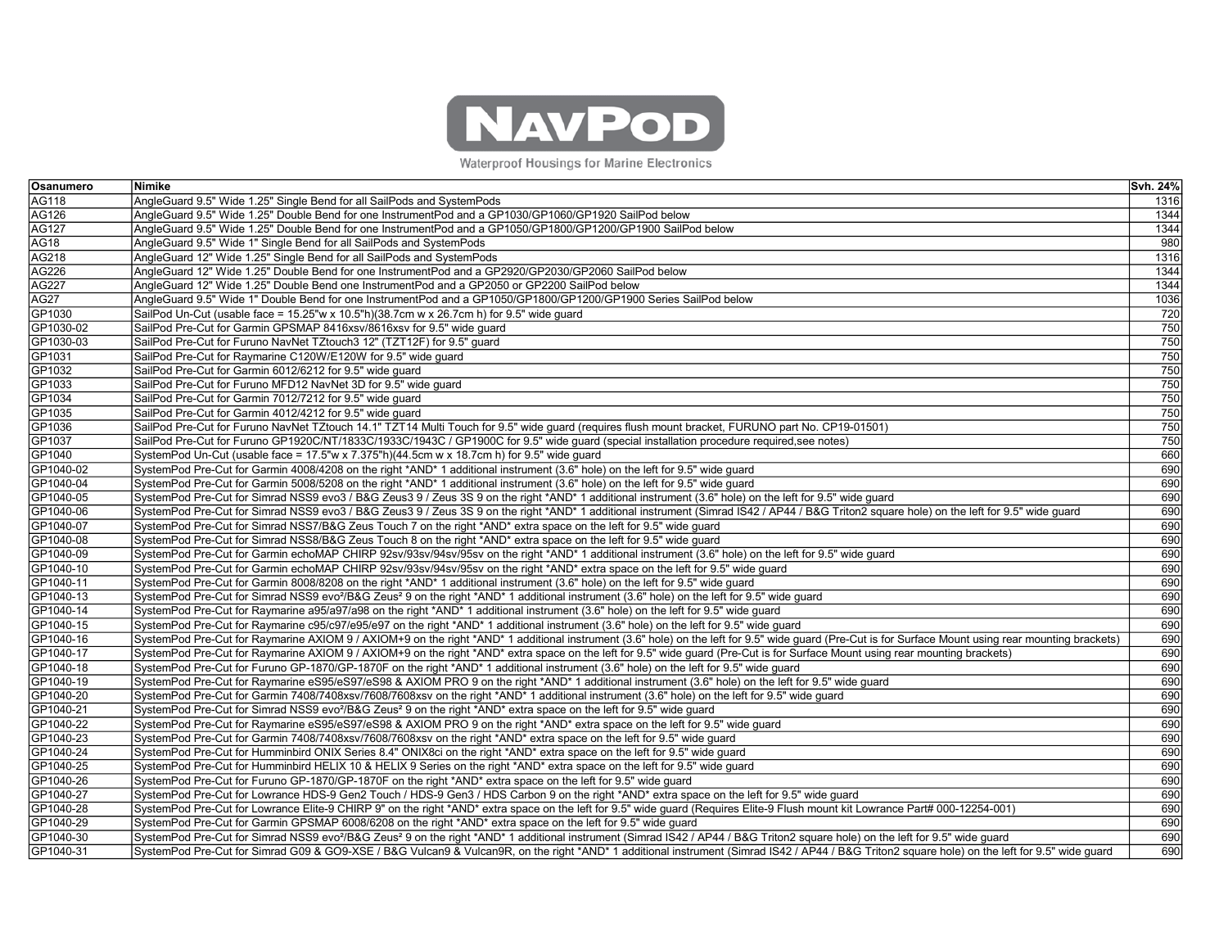

Waterproof Housings for Marine Electronics

| Osanumero   | Nimike                                                                                                                                                                                                | Svh. 24% |
|-------------|-------------------------------------------------------------------------------------------------------------------------------------------------------------------------------------------------------|----------|
| AG118       | AngleGuard 9.5" Wide 1.25" Single Bend for all SailPods and SystemPods                                                                                                                                | 1316     |
| AG126       | AngleGuard 9.5" Wide 1.25" Double Bend for one InstrumentPod and a GP1030/GP1060/GP1920 SailPod below                                                                                                 | 1344     |
| AG127       | AngleGuard 9.5" Wide 1.25" Double Bend for one InstrumentPod and a GP1050/GP1800/GP1200/GP1900 SailPod below                                                                                          | 1344     |
| <b>AG18</b> | AngleGuard 9.5" Wide 1" Single Bend for all SailPods and SystemPods                                                                                                                                   | 980      |
| AG218       | AngleGuard 12" Wide 1.25" Single Bend for all SailPods and SystemPods                                                                                                                                 | 1316     |
| AG226       | AngleGuard 12" Wide 1.25" Double Bend for one InstrumentPod and a GP2920/GP2030/GP2060 SailPod below                                                                                                  | 1344     |
| AG227       | AngleGuard 12" Wide 1.25" Double Bend one InstrumentPod and a GP2050 or GP2200 SailPod below                                                                                                          | 1344     |
| <b>AG27</b> | AngleGuard 9.5" Wide 1" Double Bend for one InstrumentPod and a GP1050/GP1800/GP1200/GP1900 Series SailPod below                                                                                      | 1036     |
| GP1030      | SailPod Un-Cut (usable face = 15.25"w x 10.5"h)(38.7cm w x 26.7cm h) for 9.5" wide guard                                                                                                              | 720      |
| GP1030-02   | SailPod Pre-Cut for Garmin GPSMAP 8416xsv/8616xsv for 9.5" wide quard                                                                                                                                 | 750      |
| GP1030-03   | SailPod Pre-Cut for Furuno NavNet TZtouch3 12" (TZT12F) for 9.5" guard                                                                                                                                | 750      |
| GP1031      | SailPod Pre-Cut for Raymarine C120W/E120W for 9.5" wide quard                                                                                                                                         | 750      |
| GP1032      | SailPod Pre-Cut for Garmin 6012/6212 for 9.5" wide quard                                                                                                                                              | 750      |
| GP1033      | SailPod Pre-Cut for Furuno MFD12 NavNet 3D for 9.5" wide guard                                                                                                                                        | 750      |
| GP1034      | SailPod Pre-Cut for Garmin 7012/7212 for 9.5" wide guard                                                                                                                                              | 750      |
| GP1035      | SailPod Pre-Cut for Garmin 4012/4212 for 9.5" wide quard                                                                                                                                              | 750      |
| GP1036      | SailPod Pre-Cut for Furuno NavNet TZtouch 14.1" TZT14 Multi Touch for 9.5" wide guard (requires flush mount bracket, FURUNO part No. CP19-01501)                                                      | 750      |
| GP1037      | SailPod Pre-Cut for Furuno GP1920C/NT/1833C/1933C/1943C / GP1900C for 9.5" wide guard (special installation procedure required, see notes)                                                            | 750      |
| GP1040      | SystemPod Un-Cut (usable face = 17.5"w x 7.375"h)(44.5cm w x 18.7cm h) for 9.5" wide quard                                                                                                            | 660      |
| GP1040-02   | SystemPod Pre-Cut for Garmin 4008/4208 on the right *AND* 1 additional instrument (3.6" hole) on the left for 9.5" wide quard                                                                         | 690      |
| GP1040-04   | SystemPod Pre-Cut for Garmin 5008/5208 on the right *AND* 1 additional instrument (3.6" hole) on the left for 9.5" wide guard                                                                         | 690      |
| GP1040-05   | SystemPod Pre-Cut for Simrad NSS9 evo3 / B&G Zeus3 9 / Zeus 3S 9 on the right *AND* 1 additional instrument (3.6" hole) on the left for 9.5" wide guard                                               | 690      |
| GP1040-06   | SystemPod Pre-Cut for Simrad NSS9 evo3 / B&G Zeus3 9 / Zeus 3S 9 on the right *AND* 1 additional instrument (Simrad IS42 / AP44 / B&G Triton2 square hole) on the left for 9.5" wide guard            | 690      |
| GP1040-07   | SystemPod Pre-Cut for Simrad NSS7/B&G Zeus Touch 7 on the right *AND* extra space on the left for 9.5" wide guard                                                                                     | 690      |
| GP1040-08   | SystemPod Pre-Cut for Simrad NSS8/B&G Zeus Touch 8 on the right *AND* extra space on the left for 9.5" wide quard                                                                                     | 690      |
| GP1040-09   | SystemPod Pre-Cut for Garmin echoMAP CHIRP 92sv/93sv/94sv/95sv on the right *AND* 1 additional instrument (3.6" hole) on the left for 9.5" wide guard                                                 | 690      |
| GP1040-10   | SystemPod Pre-Cut for Garmin echoMAP CHIRP 92sv/93sv/94sv/95sv on the right *AND* extra space on the left for 9.5" wide quard                                                                         | 690      |
| GP1040-11   | SystemPod Pre-Cut for Garmin 8008/8208 on the right *AND* 1 additional instrument (3.6" hole) on the left for 9.5" wide quard                                                                         | 690      |
| GP1040-13   | SystemPod Pre-Cut for Simrad NSS9 evo <sup>2</sup> /B&G Zeus <sup>2</sup> 9 on the right *AND* 1 additional instrument (3.6" hole) on the left for 9.5" wide guard                                    | 690      |
| GP1040-14   | SystemPod Pre-Cut for Raymarine a95/a97/a98 on the right *AND* 1 additional instrument (3.6" hole) on the left for 9.5" wide guard                                                                    | 690      |
| GP1040-15   | SystemPod Pre-Cut for Raymarine c95/c97/e95/e97 on the right *AND* 1 additional instrument (3.6" hole) on the left for 9.5" wide guard                                                                | 690      |
| GP1040-16   | SystemPod Pre-Cut for Raymarine AXIOM 9 / AXIOM+9 on the right *AND* 1 additional instrument (3.6" hole) on the left for 9.5" wide quard (Pre-Cut is for Surface Mount using rear mounting brackets)  | 690      |
| GP1040-17   | SystemPod Pre-Cut for Raymarine AXIOM 9 / AXIOM+9 on the right *AND* extra space on the left for 9.5" wide guard (Pre-Cut is for Surface Mount using rear mounting brackets)                          | 690      |
| GP1040-18   | SystemPod Pre-Cut for Furuno GP-1870/GP-1870F on the right *AND* 1 additional instrument (3.6" hole) on the left for 9.5" wide guard                                                                  | 690      |
| GP1040-19   | SystemPod Pre-Cut for Raymarine eS95/eS97/eS98 & AXIOM PRO 9 on the right *AND* 1 additional instrument (3.6" hole) on the left for 9.5" wide guard                                                   | 690      |
| GP1040-20   | SystemPod Pre-Cut for Garmin 7408/7408xsv/7608/7608xsv on the right *AND* 1 additional instrument (3.6" hole) on the left for 9.5" wide guard                                                         | 690      |
| GP1040-21   | SystemPod Pre-Cut for Simrad NSS9 evo <sup>2</sup> /B&G Zeus <sup>2</sup> 9 on the right *AND* extra space on the left for 9.5" wide quard                                                            | 690      |
| GP1040-22   | SystemPod Pre-Cut for Raymarine eS95/eS97/eS98 & AXIOM PRO 9 on the right *AND* extra space on the left for 9.5" wide quard                                                                           | 690      |
| GP1040-23   | SystemPod Pre-Cut for Garmin 7408/7408xsv/7608/7608xsv on the right *AND* extra space on the left for 9.5" wide quard                                                                                 | 690      |
| GP1040-24   | SystemPod Pre-Cut for Humminbird ONIX Series 8.4" ONIX8ci on the right *AND* extra space on the left for 9.5" wide guard                                                                              | 690      |
| GP1040-25   | SystemPod Pre-Cut for Humminbird HELIX 10 & HELIX 9 Series on the right *AND* extra space on the left for 9.5" wide quard                                                                             | 690      |
| GP1040-26   | SystemPod Pre-Cut for Furuno GP-1870/GP-1870F on the right *AND* extra space on the left for 9.5" wide guard                                                                                          | 690      |
| GP1040-27   | SystemPod Pre-Cut for Lowrance HDS-9 Gen2 Touch / HDS-9 Gen3 / HDS Carbon 9 on the right *AND* extra space on the left for 9.5" wide guard                                                            | 690      |
| GP1040-28   | SystemPod Pre-Cut for Lowrance Elite-9 CHIRP 9" on the right *AND* extra space on the left for 9.5" wide quard (Requires Elite-9 Flush mount kit Lowrance Part# 000-12254-001)                        | 690      |
| GP1040-29   | SystemPod Pre-Cut for Garmin GPSMAP 6008/6208 on the right *AND* extra space on the left for 9.5" wide guard                                                                                          | 690      |
| GP1040-30   | SystemPod Pre-Cut for Simrad NSS9 evo <sup>2</sup> /B&G Zeus <sup>2</sup> 9 on the right *AND* 1 additional instrument (Simrad IS42 / AP44 / B&G Triton2 square hole) on the left for 9.5" wide guard | 690      |
| GP1040-31   | SystemPod Pre-Cut for Simrad G09 & GO9-XSE / B&G Vulcan9 & Vulcan9R, on the right *AND* 1 additional instrument (Simrad IS42 / AP44 / B&G Triton2 square hole) on the left for 9.5" wide guard        | 690      |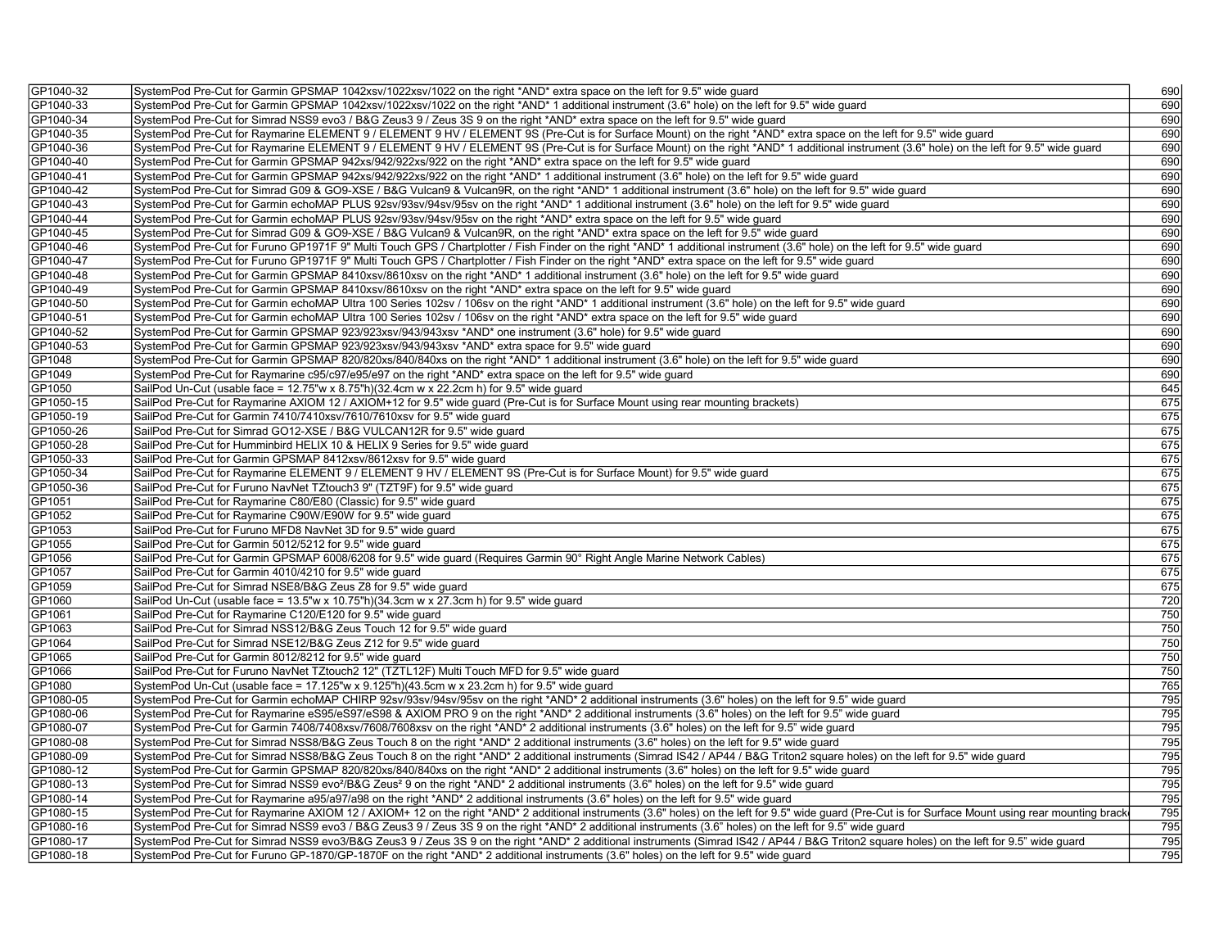| GP1040-32 | SystemPod Pre-Cut for Garmin GPSMAP 1042xsv/1022xsv/1022 on the right *AND* extra space on the left for 9.5" wide guard                                                                               | 690 |
|-----------|-------------------------------------------------------------------------------------------------------------------------------------------------------------------------------------------------------|-----|
| GP1040-33 | SystemPod Pre-Cut for Garmin GPSMAP 1042xsv/1022xsv/1022 on the right *AND* 1 additional instrument (3.6" hole) on the left for 9.5" wide quard                                                       | 690 |
| GP1040-34 | SystemPod Pre-Cut for Simrad NSS9 evo3 / B&G Zeus3 9 / Zeus 3S 9 on the right *AND* extra space on the left for 9.5" wide quard                                                                       | 690 |
| GP1040-35 | SystemPod Pre-Cut for Raymarine ELEMENT 9 / ELEMENT 9 HV / ELEMENT 9S (Pre-Cut is for Surface Mount) on the right *AND* extra space on the left for 9.5" wide guard                                   | 690 |
| GP1040-36 | SystemPod Pre-Cut for Raymarine ELEMENT 9 / ELEMENT 9 HV / ELEMENT 9S (Pre-Cut is for Surface Mount) on the right *AND* 1 additional instrument (3.6" hole) on the left for 9.5" wide quard           | 690 |
| GP1040-40 | SystemPod Pre-Cut for Garmin GPSMAP 942xs/942/922xs/922 on the right *AND* extra space on the left for 9.5" wide guard                                                                                | 690 |
| GP1040-41 | SystemPod Pre-Cut for Garmin GPSMAP 942xs/942/922xs/922 on the right *AND* 1 additional instrument (3.6" hole) on the left for 9.5" wide quard                                                        | 690 |
| GP1040-42 | SystemPod Pre-Cut for Simrad G09 & GO9-XSE / B&G Vulcan9 & Vulcan9R, on the right *AND* 1 additional instrument (3.6" hole) on the left for 9.5" wide guard                                           | 690 |
| GP1040-43 | SystemPod Pre-Cut for Garmin echoMAP PLUS 92sv/93sv/94sv/95sv on the right *AND* 1 additional instrument (3.6" hole) on the left for 9.5" wide guard                                                  | 690 |
| GP1040-44 | SystemPod Pre-Cut for Garmin echoMAP PLUS 92sv/93sv/94sv/95sv on the right *AND* extra space on the left for 9.5" wide guard                                                                          | 690 |
| GP1040-45 | SystemPod Pre-Cut for Simrad G09 & GO9-XSE / B&G Vulcan9 & Vulcan9R, on the right *AND* extra space on the left for 9.5" wide guard                                                                   | 690 |
| GP1040-46 | SystemPod Pre-Cut for Furuno GP1971F 9" Multi Touch GPS / Chartplotter / Fish Finder on the right *AND* 1 additional instrument (3.6" hole) on the left for 9.5" wide guard                           | 690 |
| GP1040-47 | SystemPod Pre-Cut for Furuno GP1971F 9" Multi Touch GPS / Chartplotter / Fish Finder on the right *AND* extra space on the left for 9.5" wide guard                                                   | 690 |
| GP1040-48 | SystemPod Pre-Cut for Garmin GPSMAP 8410xsv/8610xsv on the right *AND* 1 additional instrument (3.6" hole) on the left for 9.5" wide quard                                                            | 690 |
| GP1040-49 | SystemPod Pre-Cut for Garmin GPSMAP 8410xsv/8610xsv on the right *AND* extra space on the left for 9.5" wide guard                                                                                    | 690 |
| GP1040-50 | SystemPod Pre-Cut for Garmin echoMAP Ultra 100 Series 102sv / 106sv on the right *AND* 1 additional instrument (3.6" hole) on the left for 9.5" wide guard                                            | 690 |
| GP1040-51 | SystemPod Pre-Cut for Garmin echoMAP Ultra 100 Series 102sv / 106sv on the right *AND* extra space on the left for 9.5" wide guard                                                                    | 690 |
| GP1040-52 | SystemPod Pre-Cut for Garmin GPSMAP 923/923xsv/943/943xsv *AND* one instrument (3.6" hole) for 9.5" wide guard                                                                                        | 690 |
| GP1040-53 | SystemPod Pre-Cut for Garmin GPSMAP 923/923xsv/943/943xsv *AND* extra space for 9.5" wide quard                                                                                                       | 690 |
| GP1048    | SystemPod Pre-Cut for Garmin GPSMAP 820/820xs/840/840xs on the right *AND* 1 additional instrument (3.6" hole) on the left for 9.5" wide guard                                                        | 690 |
| GP1049    | SystemPod Pre-Cut for Raymarine c95/c97/e95/e97 on the right *AND* extra space on the left for 9.5" wide guard                                                                                        | 690 |
| GP1050    | SailPod Un-Cut (usable face = 12.75"w x 8.75"h)(32.4cm w x 22.2cm h) for 9.5" wide guard                                                                                                              | 645 |
| GP1050-15 | SailPod Pre-Cut for Raymarine AXIOM 12 / AXIOM+12 for 9.5" wide guard (Pre-Cut is for Surface Mount using rear mounting brackets)                                                                     | 675 |
| GP1050-19 | SailPod Pre-Cut for Garmin 7410/7410xsv/7610/7610xsv for 9.5" wide guard                                                                                                                              | 675 |
| GP1050-26 | SailPod Pre-Cut for Simrad GO12-XSE / B&G VULCAN12R for 9.5" wide guard                                                                                                                               | 675 |
| GP1050-28 | SailPod Pre-Cut for Humminbird HELIX 10 & HELIX 9 Series for 9.5" wide quard                                                                                                                          | 675 |
| GP1050-33 | SailPod Pre-Cut for Garmin GPSMAP 8412xsv/8612xsv for 9.5" wide guard                                                                                                                                 | 675 |
| GP1050-34 | SailPod Pre-Cut for Raymarine ELEMENT 9 / ELEMENT 9 HV / ELEMENT 9S (Pre-Cut is for Surface Mount) for 9.5" wide quard                                                                                | 675 |
| GP1050-36 | SailPod Pre-Cut for Furuno NavNet TZtouch3 9" (TZT9F) for 9.5" wide guard                                                                                                                             | 675 |
| GP1051    | SailPod Pre-Cut for Raymarine C80/E80 (Classic) for 9.5" wide guard                                                                                                                                   | 675 |
| GP1052    | SailPod Pre-Cut for Raymarine C90W/E90W for 9.5" wide guard                                                                                                                                           | 675 |
| GP1053    | SailPod Pre-Cut for Furuno MFD8 NavNet 3D for 9.5" wide guard                                                                                                                                         | 675 |
| GP1055    | SailPod Pre-Cut for Garmin 5012/5212 for 9.5" wide guard                                                                                                                                              | 675 |
|           |                                                                                                                                                                                                       |     |
| GP1056    | SailPod Pre-Cut for Garmin GPSMAP 6008/6208 for 9.5" wide guard (Requires Garmin 90° Right Angle Marine Network Cables)                                                                               | 675 |
| GP1057    | SailPod Pre-Cut for Garmin 4010/4210 for 9.5" wide quard                                                                                                                                              | 675 |
| GP1059    | SailPod Pre-Cut for Simrad NSE8/B&G Zeus Z8 for 9.5" wide guard                                                                                                                                       | 675 |
| GP1060    | SailPod Un-Cut (usable face = $13.5$ "w x $10.75$ "h)(34.3cm w x 27.3cm h) for 9.5" wide guard                                                                                                        | 720 |
| GP1061    | SailPod Pre-Cut for Raymarine C120/E120 for 9.5" wide guard                                                                                                                                           | 750 |
| GP1063    | SailPod Pre-Cut for Simrad NSS12/B&G Zeus Touch 12 for 9.5" wide guard                                                                                                                                | 750 |
| GP1064    | SailPod Pre-Cut for Simrad NSE12/B&G Zeus Z12 for 9.5" wide guard                                                                                                                                     | 750 |
| GP1065    | SailPod Pre-Cut for Garmin 8012/8212 for 9.5" wide guard                                                                                                                                              | 750 |
| GP1066    | SailPod Pre-Cut for Furuno NavNet TZtouch2 12" (TZTL12F) Multi Touch MFD for 9.5" wide guard                                                                                                          | 750 |
| GP1080    | SystemPod Un-Cut (usable face = 17.125"w x 9.125"h)(43.5cm w x 23.2cm h) for 9.5" wide guard                                                                                                          | 765 |
| GP1080-05 | SystemPod Pre-Cut for Garmin echoMAP CHIRP 92sv/93sv/94sv/95sv on the right *AND* 2 additional instruments (3.6" holes) on the left for 9.5" wide guard                                               | 795 |
| GP1080-06 | SystemPod Pre-Cut for Raymarine eS95/eS97/eS98 & AXIOM PRO 9 on the right *AND* 2 additional instruments (3.6" holes) on the left for 9.5" wide guard                                                 | 795 |
| GP1080-07 | SystemPod Pre-Cut for Garmin 7408/7408xsv/7608/7608xsv on the right *AND* 2 additional instruments (3.6" holes) on the left for 9.5" wide guard                                                       | 795 |
| GP1080-08 | SystemPod Pre-Cut for Simrad NSS8/B&G Zeus Touch 8 on the right *AND* 2 additional instruments (3.6" holes) on the left for 9.5" wide quard                                                           | 795 |
| GP1080-09 | SystemPod Pre-Cut for Simrad NSS8/B&G Zeus Touch 8 on the right *AND* 2 additional instruments (Simrad IS42 / AP44 / B&G Triton2 square holes) on the left for 9.5" wide guard                        | 795 |
| GP1080-12 | SystemPod Pre-Cut for Garmin GPSMAP 820/820xs/840/840xs on the right *AND* 2 additional instruments (3.6" holes) on the left for 9.5" wide guard                                                      | 795 |
| GP1080-13 | SystemPod Pre-Cut for Simrad NSS9 evo <sup>2</sup> /B&G Zeus <sup>2</sup> 9 on the right *AND* 2 additional instruments (3.6" holes) on the left for 9.5" wide guard                                  | 795 |
| GP1080-14 | SystemPod Pre-Cut for Raymarine a95/a97/a98 on the right *AND* 2 additional instruments (3.6" holes) on the left for 9.5" wide guard                                                                  | 795 |
| GP1080-15 | SystemPod Pre-Cut for Raymarine AXIOM 12 / AXIOM+ 12 on the right *AND* 2 additional instruments (3.6" holes) on the left for 9.5" wide guard (Pre-Cut is for Surface Mount using rear mounting brack | 795 |
| GP1080-16 | SystemPod Pre-Cut for Simrad NSS9 evo3 / B&G Zeus3 9 / Zeus 3S 9 on the right *AND* 2 additional instruments (3.6" holes) on the left for 9.5" wide guard                                             | 795 |
| GP1080-17 | SystemPod Pre-Cut for Simrad NSS9 evo3/B&G Zeus3 9 / Zeus 3S 9 on the right *AND* 2 additional instruments (Simrad IS42 / AP44 / B&G Triton2 square holes) on the left for 9.5" wide guard            | 795 |
| GP1080-18 | SystemPod Pre-Cut for Furuno GP-1870/GP-1870F on the right *AND* 2 additional instruments (3.6" holes) on the left for 9.5" wide guard                                                                | 795 |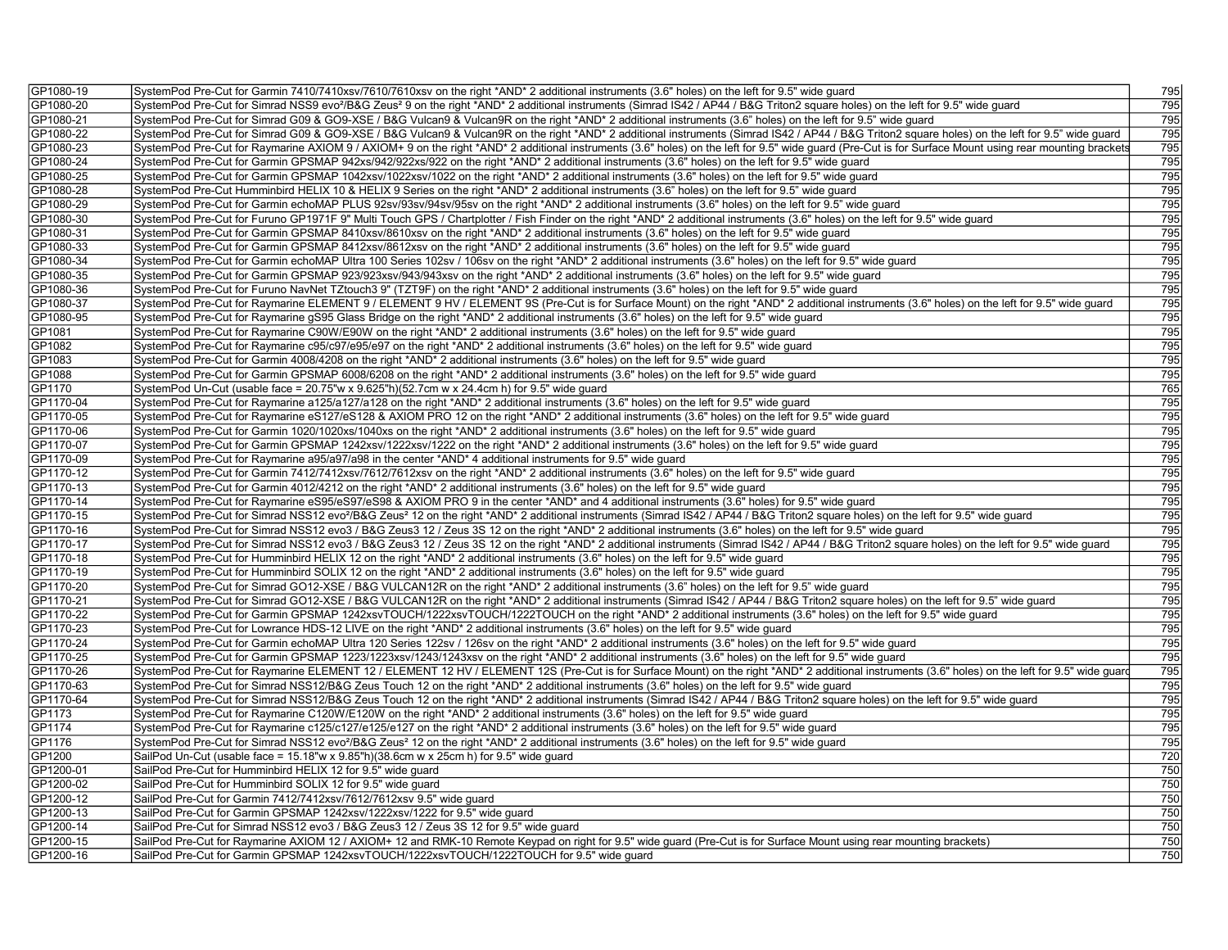| GP1080-19 | SystemPod Pre-Cut for Garmin 7410/7410xsv/7610/7610xsv on the right *AND* 2 additional instruments (3.6" holes) on the left for 9.5" wide guard                                                           | 795        |
|-----------|-----------------------------------------------------------------------------------------------------------------------------------------------------------------------------------------------------------|------------|
| GP1080-20 | SystemPod Pre-Cut for Simrad NSS9 evo <sup>2</sup> /B&G Zeus <sup>2</sup> 9 on the right *AND* 2 additional instruments (Simrad IS42 / AP44 / B&G Triton2 square holes) on the left for 9.5" wide guard   | 795        |
| GP1080-21 | SystemPod Pre-Cut for Simrad G09 & GO9-XSE / B&G Vulcan9 & Vulcan9R on the right *AND* 2 additional instruments (3.6" holes) on the left for 9.5" wide guard                                              | 795        |
| GP1080-22 | SystemPod Pre-Cut for Simrad G09 & GO9-XSE / B&G Vulcan9 & Vulcan9R on the right *AND* 2 additional instruments (Simrad IS42 / AP44 / B&G Triton2 square holes) on the left for 9.5" wide guard           | 795        |
| GP1080-23 | SystemPod Pre-Cut for Raymarine AXIOM 9 / AXIOM+ 9 on the right *AND* 2 additional instruments (3.6" holes) on the left for 9.5" wide quard (Pre-Cut is for Surface Mount using rear mounting brackets    | 795        |
| GP1080-24 | SystemPod Pre-Cut for Garmin GPSMAP 942xs/942/922xs/922 on the right *AND* 2 additional instruments (3.6" holes) on the left for 9.5" wide quard                                                          | 795        |
| GP1080-25 | SystemPod Pre-Cut for Garmin GPSMAP 1042xsv/1022xsv/1022 on the right *AND* 2 additional instruments (3.6" holes) on the left for 9.5" wide guard                                                         | 795        |
| GP1080-28 | SystemPod Pre-Cut Humminbird HELIX 10 & HELIX 9 Series on the right *AND* 2 additional instruments (3.6" holes) on the left for 9.5" wide guard                                                           | 795        |
| GP1080-29 | SystemPod Pre-Cut for Garmin echoMAP PLUS 92sv/93sv/94sv/95sv on the right *AND* 2 additional instruments (3.6" holes) on the left for 9.5" wide guard                                                    | 795        |
| GP1080-30 | SystemPod Pre-Cut for Furuno GP1971F 9" Multi Touch GPS / Chartplotter / Fish Finder on the right *AND* 2 additional instruments (3.6" holes) on the left for 9.5" wide guard                             | 795        |
| GP1080-31 | SystemPod Pre-Cut for Garmin GPSMAP 8410xsv/8610xsv on the right *AND* 2 additional instruments (3.6" holes) on the left for 9.5" wide guard                                                              | 795        |
| GP1080-33 | SystemPod Pre-Cut for Garmin GPSMAP 8412xsv/8612xsv on the right *AND* 2 additional instruments (3.6" holes) on the left for 9.5" wide guard                                                              | 795        |
| GP1080-34 | SystemPod Pre-Cut for Garmin echoMAP Ultra 100 Series 102sv / 106sv on the right *AND* 2 additional instruments (3.6" holes) on the left for 9.5" wide guard                                              | 795        |
| GP1080-35 | SystemPod Pre-Cut for Garmin GPSMAP 923/923xsv/943/943xsv on the right *AND* 2 additional instruments (3.6" holes) on the left for 9.5" wide guard                                                        | 795        |
| GP1080-36 | SystemPod Pre-Cut for Furuno NavNet TZtouch3 9" (TZT9F) on the right *AND* 2 additional instruments (3.6" holes) on the left for 9.5" wide guard                                                          | 795        |
| GP1080-37 | SystemPod Pre-Cut for Raymarine ELEMENT 9 / ELEMENT 9 HV / ELEMENT 9S (Pre-Cut is for Surface Mount) on the right *AND* 2 additional instruments (3.6" holes) on the left for 9.5" wide guard             | 795        |
| GP1080-95 | SystemPod Pre-Cut for Raymarine gS95 Glass Bridge on the right *AND* 2 additional instruments (3.6" holes) on the left for 9.5" wide guard                                                                | 795        |
| GP1081    | SystemPod Pre-Cut for Raymarine C90W/E90W on the right *AND* 2 additional instruments (3.6" holes) on the left for 9.5" wide quard                                                                        | 795        |
| GP1082    | SystemPod Pre-Cut for Raymarine c95/c97/e95/e97 on the right *AND* 2 additional instruments (3.6" holes) on the left for 9.5" wide guard                                                                  | 795        |
| GP1083    |                                                                                                                                                                                                           | 795        |
|           | SystemPod Pre-Cut for Garmin 4008/4208 on the right *AND* 2 additional instruments (3.6" holes) on the left for 9.5" wide guard                                                                           |            |
| GP1088    | SystemPod Pre-Cut for Garmin GPSMAP 6008/6208 on the right *AND* 2 additional instruments (3.6" holes) on the left for 9.5" wide guard                                                                    | 795<br>765 |
| GP1170    | SystemPod Un-Cut (usable face = $20.75$ "w x $9.625$ "h)(52.7cm w x 24.4cm h) for $9.5$ " wide guard                                                                                                      |            |
| GP1170-04 | SystemPod Pre-Cut for Raymarine a125/a127/a128 on the right *AND* 2 additional instruments (3.6" holes) on the left for 9.5" wide guard                                                                   | 795        |
| GP1170-05 | SystemPod Pre-Cut for Raymarine eS127/eS128 & AXIOM PRO 12 on the right *AND* 2 additional instruments (3.6" holes) on the left for 9.5" wide guard                                                       | 795        |
| GP1170-06 | SystemPod Pre-Cut for Garmin 1020/1020xs/1040xs on the right *AND* 2 additional instruments (3.6" holes) on the left for 9.5" wide guard                                                                  | 795        |
| GP1170-07 | SystemPod Pre-Cut for Garmin GPSMAP 1242xsv/1222xsv/1222 on the right *AND* 2 additional instruments (3.6" holes) on the left for 9.5" wide guard                                                         | 795        |
| GP1170-09 | SystemPod Pre-Cut for Raymarine a95/a97/a98 in the center *AND* 4 additional instruments for 9.5" wide guard                                                                                              | 795        |
| GP1170-12 | SystemPod Pre-Cut for Garmin 7412/7412xsv/7612/7612xsv on the right *AND* 2 additional instruments (3.6" holes) on the left for 9.5" wide quard                                                           | 795        |
| GP1170-13 | SystemPod Pre-Cut for Garmin 4012/4212 on the right *AND* 2 additional instruments (3.6" holes) on the left for 9.5" wide quard                                                                           | 795        |
| GP1170-14 | SystemPod Pre-Cut for Raymarine eS95/eS97/eS98 & AXIOM PRO 9 in the center *AND* and 4 additional instruments (3.6" holes) for 9.5" wide guard                                                            | 795        |
| GP1170-15 | SystemPod Pre-Cut for Simrad NSS12 evo <sup>2</sup> /B&G Zeus <sup>2</sup> 12 on the right *AND* 2 additional instruments (Simrad IS42 / AP44 / B&G Triton2 square holes) on the left for 9.5" wide guard | 795        |
| GP1170-16 | SystemPod Pre-Cut for Simrad NSS12 evo3 / B&G Zeus3 12 / Zeus 3S 12 on the right *AND* 2 additional instruments (3.6" holes) on the left for 9.5" wide guard                                              | 795        |
| GP1170-17 | SystemPod Pre-Cut for Simrad NSS12 evo3 / B&G Zeus3 12 / Zeus 3S 12 on the right *AND* 2 additional instruments (Simrad IS42 / AP44 / B&G Triton2 square holes) on the left for 9.5" wide quard           | 795        |
| GP1170-18 | SystemPod Pre-Cut for Humminbird HELIX 12 on the right *AND* 2 additional instruments (3.6" holes) on the left for 9.5" wide guard                                                                        | 795        |
| GP1170-19 | SystemPod Pre-Cut for Humminbird SOLIX 12 on the right *AND* 2 additional instruments (3.6" holes) on the left for 9.5" wide guard                                                                        | 795        |
| GP1170-20 | SystemPod Pre-Cut for Simrad GO12-XSE / B&G VULCAN12R on the right *AND* 2 additional instruments (3.6" holes) on the left for 9.5" wide guard                                                            | 795        |
| GP1170-21 | SystemPod Pre-Cut for Simrad GO12-XSE / B&G VULCAN12R on the right *AND* 2 additional instruments (Simrad IS42 / AP44 / B&G Triton2 square holes) on the left for 9.5" wide guard                         | 795        |
| GP1170-22 | SystemPod Pre-Cut for Garmin GPSMAP 1242xsvTOUCH/1222xsvTOUCH/1222TOUCH on the right *AND* 2 additional instruments (3.6" holes) on the left for 9.5" wide guard                                          | 795        |
| GP1170-23 | SystemPod Pre-Cut for Lowrance HDS-12 LIVE on the right *AND* 2 additional instruments (3.6" holes) on the left for 9.5" wide guard                                                                       | 795        |
| GP1170-24 | SystemPod Pre-Cut for Garmin echoMAP Ultra 120 Series 122sv / 126sv on the right *AND* 2 additional instruments (3.6" holes) on the left for 9.5" wide guard                                              | 795        |
| GP1170-25 | SystemPod Pre-Cut for Garmin GPSMAP 1223/1223xsv/1243/1243xsv on the right *AND* 2 additional instruments (3.6" holes) on the left for 9.5" wide guard                                                    | 795        |
| GP1170-26 | SystemPod Pre-Cut for Raymarine ELEMENT 12 / ELEMENT 12 HV / ELEMENT 12S (Pre-Cut is for Surface Mount) on the right *AND* 2 additional instruments (3.6" holes) on the left for 9.5" wide guar           | 795        |
| GP1170-63 | SystemPod Pre-Cut for Simrad NSS12/B&G Zeus Touch 12 on the right *AND* 2 additional instruments (3.6" holes) on the left for 9.5" wide guard                                                             | 795        |
| GP1170-64 | SystemPod Pre-Cut for Simrad NSS12/B&G Zeus Touch 12 on the right *AND* 2 additional instruments (Simrad IS42 / AP44 / B&G Triton2 square holes) on the left for 9.5" wide guard                          | 795        |
| GP1173    | SystemPod Pre-Cut for Raymarine C120W/E120W on the right *AND* 2 additional instruments (3.6" holes) on the left for 9.5" wide guard                                                                      | 795        |
| GP1174    | SystemPod Pre-Cut for Raymarine c125/c127/e125/e127 on the right *AND* 2 additional instruments (3.6" holes) on the left for 9.5" wide guard                                                              | 795        |
| GP1176    | SystemPod Pre-Cut for Simrad NSS12 evo <sup>2</sup> /B&G Zeus <sup>2</sup> 12 on the right *AND* 2 additional instruments (3.6" holes) on the left for 9.5" wide guard                                    | 795        |
| GP1200    | SailPod Un-Cut (usable face = 15.18"w x 9.85"h)(38.6cm w x 25cm h) for 9.5" wide guard                                                                                                                    | 720        |
| GP1200-01 | SailPod Pre-Cut for Humminbird HELIX 12 for 9.5" wide guard                                                                                                                                               | 750        |
| GP1200-02 | SailPod Pre-Cut for Humminbird SOLIX 12 for 9.5" wide guard                                                                                                                                               | 750        |
| GP1200-12 | SailPod Pre-Cut for Garmin 7412/7412xsv/7612/7612xsv 9.5" wide guard                                                                                                                                      | 750        |
| GP1200-13 | SailPod Pre-Cut for Garmin GPSMAP 1242xsv/1222xsv/1222 for 9.5" wide guard                                                                                                                                | 750        |
| GP1200-14 | SailPod Pre-Cut for Simrad NSS12 evo3 / B&G Zeus3 12 / Zeus 3S 12 for 9.5" wide guard                                                                                                                     | 750        |
| GP1200-15 | SailPod Pre-Cut for Raymarine AXIOM 12 / AXIOM+ 12 and RMK-10 Remote Keypad on right for 9.5" wide guard (Pre-Cut is for Surface Mount using rear mounting brackets)                                      | 750        |
| GP1200-16 | SailPod Pre-Cut for Garmin GPSMAP 1242xsvTOUCH/1222xsvTOUCH/1222TOUCH for 9.5" wide guard                                                                                                                 | 750        |
|           |                                                                                                                                                                                                           |            |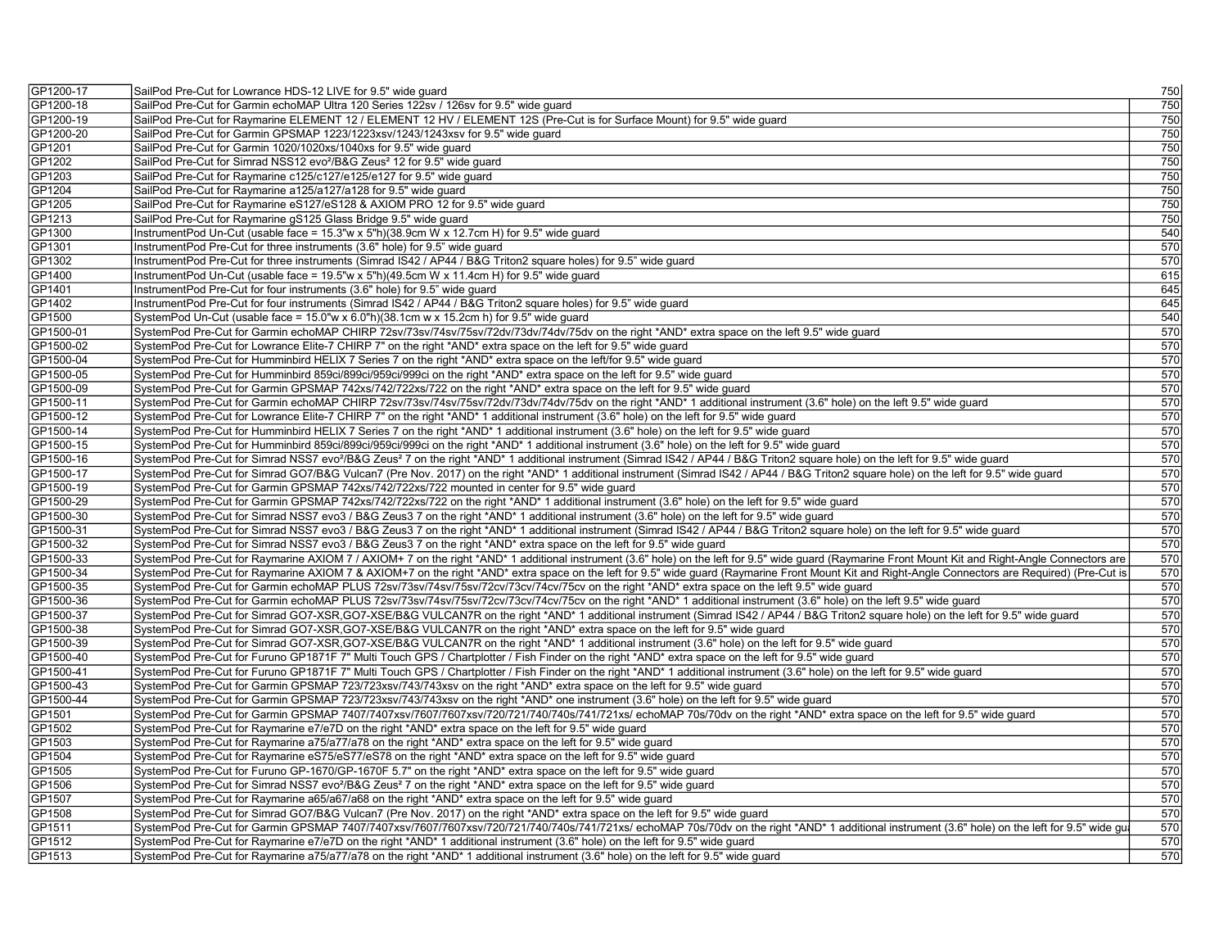| GP1200-17 | SailPod Pre-Cut for Lowrance HDS-12 LIVE for 9.5" wide guard                                                                                                                                                                                                                                                                                                                                    | 750 |
|-----------|-------------------------------------------------------------------------------------------------------------------------------------------------------------------------------------------------------------------------------------------------------------------------------------------------------------------------------------------------------------------------------------------------|-----|
| GP1200-18 | SailPod Pre-Cut for Garmin echoMAP Ultra 120 Series 122sv / 126sv for 9.5" wide guard                                                                                                                                                                                                                                                                                                           | 750 |
| GP1200-19 | SailPod Pre-Cut for Raymarine ELEMENT 12 / ELEMENT 12 HV / ELEMENT 12S (Pre-Cut is for Surface Mount) for 9.5" wide quard                                                                                                                                                                                                                                                                       | 750 |
| GP1200-20 | SailPod Pre-Cut for Garmin GPSMAP 1223/1223xsv/1243/1243xsv for 9.5" wide guard                                                                                                                                                                                                                                                                                                                 | 750 |
| GP1201    | SailPod Pre-Cut for Garmin 1020/1020xs/1040xs for 9.5" wide guard                                                                                                                                                                                                                                                                                                                               | 750 |
| GP1202    | SailPod Pre-Cut for Simrad NSS12 evo <sup>2</sup> /B&G Zeus <sup>2</sup> 12 for 9.5" wide guard                                                                                                                                                                                                                                                                                                 | 750 |
| GP1203    | SailPod Pre-Cut for Raymarine c125/c127/e125/e127 for 9.5" wide guard                                                                                                                                                                                                                                                                                                                           | 750 |
| GP1204    | SailPod Pre-Cut for Raymarine a125/a127/a128 for 9.5" wide guard                                                                                                                                                                                                                                                                                                                                | 750 |
| GP1205    | SailPod Pre-Cut for Raymarine eS127/eS128 & AXIOM PRO 12 for 9.5" wide guard                                                                                                                                                                                                                                                                                                                    | 750 |
| GP1213    | SailPod Pre-Cut for Raymarine gS125 Glass Bridge 9.5" wide guard                                                                                                                                                                                                                                                                                                                                | 750 |
| GP1300    | InstrumentPod Un-Cut (usable face = $15.3$ "w x $5$ "h)(38.9cm W x 12.7cm H) for 9.5" wide guard                                                                                                                                                                                                                                                                                                | 540 |
| GP1301    | InstrumentPod Pre-Cut for three instruments (3.6" hole) for 9.5" wide guard                                                                                                                                                                                                                                                                                                                     | 570 |
| GP1302    | InstrumentPod Pre-Cut for three instruments (Simrad IS42 / AP44 / B&G Triton2 square holes) for 9.5" wide guard                                                                                                                                                                                                                                                                                 | 570 |
| GP1400    | InstrumentPod Un-Cut (usable face = 19.5"w x 5"h)(49.5cm W x 11.4cm H) for 9.5" wide guard                                                                                                                                                                                                                                                                                                      | 615 |
| GP1401    | InstrumentPod Pre-Cut for four instruments (3.6" hole) for 9.5" wide quard                                                                                                                                                                                                                                                                                                                      | 645 |
| GP1402    | InstrumentPod Pre-Cut for four instruments (Simrad IS42 / AP44 / B&G Triton2 square holes) for 9.5" wide quard                                                                                                                                                                                                                                                                                  | 645 |
| GP1500    | SystemPod Un-Cut (usable face = 15.0"w x 6.0"h)(38.1cm w x 15.2cm h) for 9.5" wide guard                                                                                                                                                                                                                                                                                                        | 540 |
| GP1500-01 | SystemPod Pre-Cut for Garmin echoMAP CHIRP 72sv/73sv/74sv/75sv/72dv/73dv/74dv/75dv on the right *AND* extra space on the left 9.5" wide quard                                                                                                                                                                                                                                                   | 570 |
| GP1500-02 | SystemPod Pre-Cut for Lowrance Elite-7 CHIRP 7" on the right *AND* extra space on the left for 9.5" wide guard                                                                                                                                                                                                                                                                                  | 570 |
| GP1500-04 | SystemPod Pre-Cut for Humminbird HELIX 7 Series 7 on the right *AND* extra space on the left/for 9.5" wide guard                                                                                                                                                                                                                                                                                | 570 |
| GP1500-05 | SystemPod Pre-Cut for Humminbird 859ci/899ci/959ci/999ci on the right *AND* extra space on the left for 9.5" wide quard                                                                                                                                                                                                                                                                         | 570 |
| GP1500-09 | SystemPod Pre-Cut for Garmin GPSMAP 742xs/742/722xs/722 on the right *AND* extra space on the left for 9.5" wide guard                                                                                                                                                                                                                                                                          | 570 |
| GP1500-11 | SystemPod Pre-Cut for Garmin echoMAP CHIRP 72sv/73sv/74sv/75sv/72dv/73dv/74dv/75dv on the right *AND* 1 additional instrument (3.6" hole) on the left 9.5" wide quard                                                                                                                                                                                                                           | 570 |
| GP1500-12 | SystemPod Pre-Cut for Lowrance Elite-7 CHIRP 7" on the right *AND* 1 additional instrument (3.6" hole) on the left for 9.5" wide guard                                                                                                                                                                                                                                                          | 570 |
| GP1500-14 | SystemPod Pre-Cut for Humminbird HELIX 7 Series 7 on the right *AND* 1 additional instrument (3.6" hole) on the left for 9.5" wide guard                                                                                                                                                                                                                                                        | 570 |
| GP1500-15 | SystemPod Pre-Cut for Humminbird 859ci/899ci/959ci/999ci on the right *AND* 1 additional instrument (3.6" hole) on the left for 9.5" wide guard                                                                                                                                                                                                                                                 | 570 |
| GP1500-16 |                                                                                                                                                                                                                                                                                                                                                                                                 | 570 |
| GP1500-17 | SystemPod Pre-Cut for Simrad NSS7 evo <sup>2</sup> /B&G Zeus <sup>2</sup> 7 on the right *AND* 1 additional instrument (Simrad IS42 / AP44 / B&G Triton2 square hole) on the left for 9.5" wide guard<br>SystemPod Pre-Cut for Simrad GO7/B&G Vulcan7 (Pre Nov. 2017) on the right *AND* 1 additional instrument (Simrad IS42 / AP44 / B&G Triton2 square hole) on the left for 9.5" wide quard | 570 |
|           |                                                                                                                                                                                                                                                                                                                                                                                                 |     |
| GP1500-19 | SystemPod Pre-Cut for Garmin GPSMAP 742xs/742/722xs/722 mounted in center for 9.5" wide quard                                                                                                                                                                                                                                                                                                   | 570 |
| GP1500-29 | SystemPod Pre-Cut for Garmin GPSMAP 742xs/742/722xs/722 on the right *AND* 1 additional instrument (3.6" hole) on the left for 9.5" wide guard                                                                                                                                                                                                                                                  | 570 |
| GP1500-30 | SystemPod Pre-Cut for Simrad NSS7 evo3 / B&G Zeus3 7 on the right *AND* 1 additional instrument (3.6" hole) on the left for 9.5" wide guard                                                                                                                                                                                                                                                     | 570 |
| GP1500-31 | SystemPod Pre-Cut for Simrad NSS7 evo3 / B&G Zeus3 7 on the right *AND* 1 additional instrument (Simrad IS42 / AP44 / B&G Triton2 square hole) on the left for 9.5" wide guard                                                                                                                                                                                                                  | 570 |
| GP1500-32 | SystemPod Pre-Cut for Simrad NSS7 evo3 / B&G Zeus3 7 on the right *AND* extra space on the left for 9.5" wide quard                                                                                                                                                                                                                                                                             | 570 |
| GP1500-33 | SystemPod Pre-Cut for Raymarine AXIOM 7 / AXIOM+ 7 on the right *AND* 1 additional instrument (3.6" hole) on the left for 9.5" wide guard (Raymarine Front Mount Kit and Right-Angle Connectors are                                                                                                                                                                                             | 570 |
| GP1500-34 | SystemPod Pre-Cut for Raymarine AXIOM 7 & AXIOM+7 on the right *AND* extra space on the left for 9.5" wide guard (Raymarine Front Mount Kit and Right-Angle Connectors are Required) (Pre-Cut is                                                                                                                                                                                                | 570 |
| GP1500-35 | SystemPod Pre-Cut for Garmin echoMAP PLUS 72sv/73sv/74sv/75sv/72cv/73cv/74cv/75cv on the right *AND* extra space on the left 9.5" wide guard                                                                                                                                                                                                                                                    | 570 |
| GP1500-36 | SystemPod Pre-Cut for Garmin echoMAP PLUS 72sv/73sv/74sv/75sv/72cv/73cv/74cv/75cv on the right *AND* 1 additional instrument (3.6" hole) on the left 9.5" wide guard                                                                                                                                                                                                                            | 570 |
| GP1500-37 | SystemPod Pre-Cut for Simrad GO7-XSR,GO7-XSE/B&G VULCAN7R on the right *AND* 1 additional instrument (Simrad IS42 / AP44 / B&G Triton2 square hole) on the left for 9.5" wide guard                                                                                                                                                                                                             | 570 |
| GP1500-38 | SystemPod Pre-Cut for Simrad GO7-XSR,GO7-XSE/B&G VULCAN7R on the right *AND* extra space on the left for 9.5" wide guard                                                                                                                                                                                                                                                                        | 570 |
| GP1500-39 | SystemPod Pre-Cut for Simrad GO7-XSR,GO7-XSE/B&G VULCAN7R on the right *AND* 1 additional instrument (3.6" hole) on the left for 9.5" wide guard                                                                                                                                                                                                                                                | 570 |
| GP1500-40 | SystemPod Pre-Cut for Furuno GP1871F 7" Multi Touch GPS / Chartplotter / Fish Finder on the right *AND* extra space on the left for 9.5" wide quard                                                                                                                                                                                                                                             | 570 |
| GP1500-41 | SystemPod Pre-Cut for Furuno GP1871F 7" Multi Touch GPS / Chartplotter / Fish Finder on the right *AND* 1 additional instrument (3.6" hole) on the left for 9.5" wide quard                                                                                                                                                                                                                     | 570 |
| GP1500-43 | SystemPod Pre-Cut for Garmin GPSMAP 723/723xsv/743/743xsv on the right *AND* extra space on the left for 9.5" wide guard                                                                                                                                                                                                                                                                        | 570 |
| GP1500-44 | SystemPod Pre-Cut for Garmin GPSMAP 723/723xsv/743/743xsv on the right *AND* one instrument (3.6" hole) on the left for 9.5" wide quard                                                                                                                                                                                                                                                         | 570 |
| GP1501    | SystemPod Pre-Cut for Garmin GPSMAP 7407/7407xsv/7607/7607xsv/720/721/740/740s/741/721xs/ echoMAP 70s/70dv on the right *AND* extra space on the left for 9.5" wide guard                                                                                                                                                                                                                       | 570 |
| GP1502    | SystemPod Pre-Cut for Raymarine e7/e7D on the right *AND* extra space on the left for 9.5" wide guard                                                                                                                                                                                                                                                                                           | 570 |
| GP1503    | SystemPod Pre-Cut for Raymarine a75/a77/a78 on the right *AND* extra space on the left for 9.5" wide quard                                                                                                                                                                                                                                                                                      | 570 |
| GP1504    | SystemPod Pre-Cut for Raymarine eS75/eS77/eS78 on the right *AND* extra space on the left for 9.5" wide guard                                                                                                                                                                                                                                                                                   | 570 |
| GP1505    | SystemPod Pre-Cut for Furuno GP-1670/GP-1670F 5.7" on the right *AND* extra space on the left for 9.5" wide guard                                                                                                                                                                                                                                                                               | 570 |
| GP1506    | SystemPod Pre-Cut for Simrad NSS7 evo <sup>2</sup> /B&G Zeus <sup>2</sup> 7 on the right *AND* extra space on the left for 9.5" wide guard                                                                                                                                                                                                                                                      | 570 |
| GP1507    | SystemPod Pre-Cut for Raymarine a65/a67/a68 on the right *AND* extra space on the left for 9.5" wide quard                                                                                                                                                                                                                                                                                      | 570 |
| GP1508    | SystemPod Pre-Cut for Simrad GO7/B&G Vulcan7 (Pre Nov. 2017) on the right *AND* extra space on the left for 9.5" wide guard                                                                                                                                                                                                                                                                     | 570 |
| GP1511    | SystemPod Pre-Cut for Garmin GPSMAP 7407/7407xsv/7607/7607xsv/720/721/740/740s/741/721xs/ echoMAP 70s/70dv on the right *AND* 1 additional instrument (3.6" hole) on the left for 9.5" wide gu                                                                                                                                                                                                  | 570 |
| GP1512    | SystemPod Pre-Cut for Raymarine e7/e7D on the right *AND* 1 additional instrument (3.6" hole) on the left for 9.5" wide guard                                                                                                                                                                                                                                                                   | 570 |
| GP1513    | SystemPod Pre-Cut for Raymarine a75/a77/a78 on the right *AND* 1 additional instrument (3.6" hole) on the left for 9.5" wide guard                                                                                                                                                                                                                                                              | 570 |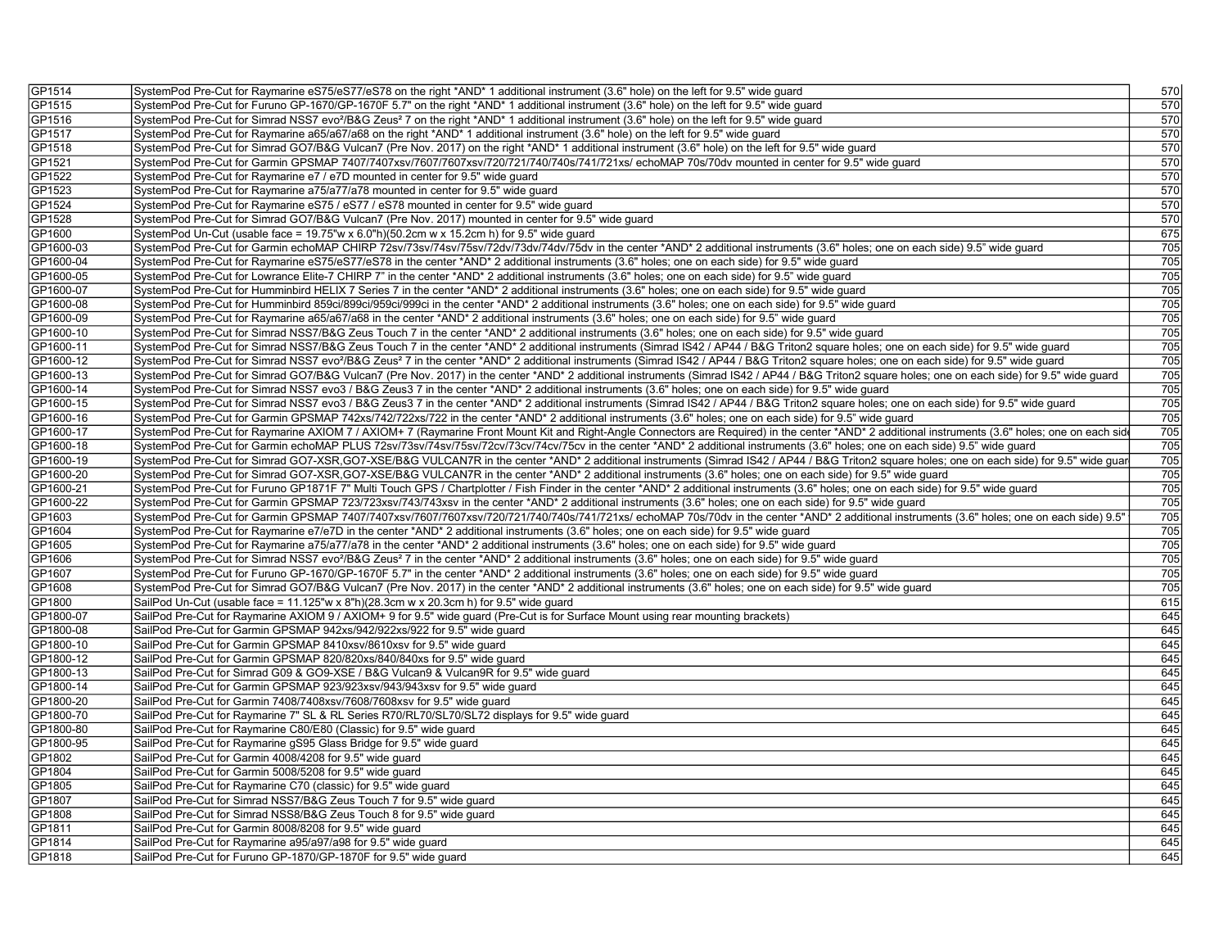| GP1514    | SystemPod Pre-Cut for Raymarine eS75/eS77/eS78 on the right *AND* 1 additional instrument (3.6" hole) on the left for 9.5" wide guard                                                                          | 570              |
|-----------|----------------------------------------------------------------------------------------------------------------------------------------------------------------------------------------------------------------|------------------|
| GP1515    | SystemPod Pre-Cut for Furuno GP-1670/GP-1670F 5.7" on the right *AND* 1 additional instrument (3.6" hole) on the left for 9.5" wide quard                                                                      | 570              |
| GP1516    | SystemPod Pre-Cut for Simrad NSS7 evo <sup>2</sup> /B&G Zeus <sup>2</sup> 7 on the right *AND* 1 additional instrument (3.6" hole) on the left for 9.5" wide guard                                             | 570              |
| GP1517    | SystemPod Pre-Cut for Raymarine a65/a67/a68 on the right *AND* 1 additional instrument (3.6" hole) on the left for 9.5" wide guard                                                                             | 570              |
| GP1518    | SystemPod Pre-Cut for Simrad GO7/B&G Vulcan7 (Pre Nov. 2017) on the right *AND* 1 additional instrument (3.6" hole) on the left for 9.5" wide quard                                                            | 570              |
| GP1521    | SystemPod Pre-Cut for Garmin GPSMAP 7407/7407xsv/7607/7607xsv/720/721/740/740s/741/721xs/ echoMAP 70s/70dv mounted in center for 9.5" wide guard                                                               | 570              |
| GP1522    | SystemPod Pre-Cut for Raymarine e7 / e7D mounted in center for 9.5" wide quard                                                                                                                                 | 570              |
| GP1523    | SystemPod Pre-Cut for Raymarine a75/a77/a78 mounted in center for 9.5" wide guard                                                                                                                              | 570              |
| GP1524    | SystemPod Pre-Cut for Raymarine eS75 / eS77 / eS78 mounted in center for 9.5" wide guard                                                                                                                       | 570              |
| GP1528    | SystemPod Pre-Cut for Simrad GO7/B&G Vulcan7 (Pre Nov. 2017) mounted in center for 9.5" wide quard                                                                                                             | 570              |
| GP1600    | SystemPod Un-Cut (usable face = $19.75$ "w x 6.0"h)(50.2cm w x 15.2cm h) for 9.5" wide quard                                                                                                                   | 675              |
| GP1600-03 | SystemPod Pre-Cut for Garmin echoMAP CHIRP 72sv/73sv/74sv/75sv/72dv/73dv/74dv/75dv in the center *AND* 2 additional instruments (3.6" holes; one on each side) 9.5" wide guard                                 | 705              |
| GP1600-04 | SystemPod Pre-Cut for Raymarine eS75/eS77/eS78 in the center *AND* 2 additional instruments (3.6" holes; one on each side) for 9.5" wide quard                                                                 | 705              |
| GP1600-05 | SystemPod Pre-Cut for Lowrance Elite-7 CHIRP 7" in the center *AND* 2 additional instruments (3.6" holes; one on each side) for 9.5" wide quard                                                                | 705              |
| GP1600-07 | SystemPod Pre-Cut for Humminbird HELIX 7 Series 7 in the center *AND* 2 additional instruments (3.6" holes; one on each side) for 9.5" wide guard                                                              | 705              |
| GP1600-08 | SystemPod Pre-Cut for Humminbird 859ci/899ci/959ci/999ci in the center *AND* 2 additional instruments (3.6" holes; one on each side) for 9.5" wide quard                                                       | 705              |
| GP1600-09 | SystemPod Pre-Cut for Raymarine a65/a67/a68 in the center *AND* 2 additional instruments (3.6" holes; one on each side) for 9.5" wide quard                                                                    | 705              |
| GP1600-10 | SystemPod Pre-Cut for Simrad NSS7/B&G Zeus Touch 7 in the center *AND* 2 additional instruments (3.6" holes; one on each side) for 9.5" wide guard                                                             | 705              |
| GP1600-11 | SystemPod Pre-Cut for Simrad NSS7/B&G Zeus Touch 7 in the center *AND* 2 additional instruments (Simrad IS42 / AP44 / B&G Triton2 square holes; one on each side) for 9.5" wide quard                          | 705              |
| GP1600-12 | SystemPod Pre-Cut for Simrad NSS7 evo <sup>2</sup> /B&G Zeus <sup>2</sup> 7 in the center *AND* 2 additional instruments (Simrad IS42 / AP44 / B&G Triton2 square holes; one on each side) for 9.5" wide quard | 705              |
| GP1600-13 | SystemPod Pre-Cut for Simrad GO7/B&G Vulcan7 (Pre Nov. 2017) in the center *AND* 2 additional instruments (Simrad IS42 / AP44 / B&G Triton2 square holes; one on each side) for 9.5" wide guard                | 705              |
|           |                                                                                                                                                                                                                | $\overline{705}$ |
| GP1600-14 | SystemPod Pre-Cut for Simrad NSS7 evo3 / B&G Zeus3 7 in the center *AND* 2 additional instruments (3.6" holes; one on each side) for 9.5" wide quard                                                           |                  |
| GP1600-15 | SystemPod Pre-Cut for Simrad NSS7 evo3 / B&G Zeus3 7 in the center *AND* 2 additional instruments (Simrad IS42 / AP44 / B&G Triton2 square holes; one on each side) for 9.5" wide quard                        | 705              |
| GP1600-16 | SystemPod Pre-Cut for Garmin GPSMAP 742xs/742/722xs/722 in the center *AND* 2 additional instruments (3.6" holes; one on each side) for 9.5" wide guard                                                        | 705              |
| GP1600-17 | SystemPod Pre-Cut for Raymarine AXIOM 7 / AXIOM+ 7 (Raymarine Front Mount Kit and Right-Angle Connectors are Required) in the center *AND* 2 additional instruments (3.6" holes; one on each sid               | $\overline{705}$ |
| GP1600-18 | SystemPod Pre-Cut for Garmin echoMAP PLUS 72sv/73sv/74sv/75sv/72cv/73cv/74cv/75cv in the center *AND* 2 additional instruments (3.6" holes; one on each side) 9.5" wide quard                                  | 705              |
| GP1600-19 | SystemPod Pre-Cut for Simrad GO7-XSR,GO7-XSE/B&G VULCAN7R in the center *AND* 2 additional instruments (Simrad IS42 / AP44 / B&G Triton2 square holes; one on each side) for 9.5" wide guare                   | 705              |
| GP1600-20 | SystemPod Pre-Cut for Simrad GO7-XSR, GO7-XSE/B&G VULCAN7R in the center *AND* 2 additional instruments (3.6" holes; one on each side) for 9.5" wide quard                                                     | $\overline{705}$ |
| GP1600-21 | SystemPod Pre-Cut for Furuno GP1871F 7" Multi Touch GPS / Chartplotter / Fish Finder in the center *AND* 2 additional instruments (3.6" holes; one on each side) for 9.5" wide guard                           | 705              |
| GP1600-22 | SystemPod Pre-Cut for Garmin GPSMAP 723/723xsv/743/743xsv in the center *AND* 2 additional instruments (3.6" holes; one on each side) for 9.5" wide guard                                                      | 705              |
| GP1603    | SystemPod Pre-Cut for Garmin GPSMAP 7407/7407xsv/7607/7607xsv/720/721/740/740s/741/721xs/ echoMAP 70s/70dv in the center *AND* 2 additional instruments (3.6" holes; one on each side) 9.5"                    | $\overline{705}$ |
| GP1604    | SystemPod Pre-Cut for Raymarine e7/e7D in the center *AND* 2 additional instruments (3.6" holes; one on each side) for 9.5" wide quard                                                                         | 705              |
| GP1605    | SystemPod Pre-Cut for Raymarine a75/a77/a78 in the center *AND* 2 additional instruments (3.6" holes; one on each side) for 9.5" wide guard                                                                    | 705              |
| GP1606    | SystemPod Pre-Cut for Simrad NSS7 evo <sup>2</sup> /B&G Zeus <sup>2</sup> 7 in the center *AND* 2 additional instruments (3.6" holes; one on each side) for 9.5" wide quard                                    | 705              |
| GP1607    | SystemPod Pre-Cut for Furuno GP-1670/GP-1670F 5.7" in the center *AND* 2 additional instruments (3.6" holes; one on each side) for 9.5" wide guard                                                             | 705              |
| GP1608    | SystemPod Pre-Cut for Simrad GO7/B&G Vulcan7 (Pre Nov. 2017) in the center *AND* 2 additional instruments (3.6" holes; one on each side) for 9.5" wide quard                                                   | 705              |
| GP1800    | SailPod Un-Cut (usable face = 11.125"w x 8"h)(28.3cm w x 20.3cm h) for 9.5" wide guard                                                                                                                         | 615              |
| GP1800-07 | SailPod Pre-Cut for Raymarine AXIOM 9 / AXIOM+ 9 for 9.5" wide quard (Pre-Cut is for Surface Mount using rear mounting brackets)                                                                               | 645              |
| GP1800-08 | SailPod Pre-Cut for Garmin GPSMAP 942xs/942/922xs/922 for 9.5" wide guard                                                                                                                                      | 645              |
| GP1800-10 | SailPod Pre-Cut for Garmin GPSMAP 8410xsv/8610xsv for 9.5" wide guard                                                                                                                                          | 645              |
| GP1800-12 | SailPod Pre-Cut for Garmin GPSMAP 820/820xs/840/840xs for 9.5" wide quard                                                                                                                                      | 645              |
| GP1800-13 | SailPod Pre-Cut for Simrad G09 & GO9-XSE / B&G Vulcan9 & Vulcan9R for 9.5" wide quard                                                                                                                          | 645              |
| GP1800-14 | SailPod Pre-Cut for Garmin GPSMAP 923/923xsv/943/943xsv for 9.5" wide guard                                                                                                                                    | 645              |
| GP1800-20 | SailPod Pre-Cut for Garmin 7408/7408xsv/7608/7608xsv for 9.5" wide quard                                                                                                                                       | 645              |
| GP1800-70 | SailPod Pre-Cut for Raymarine 7" SL & RL Series R70/RL70/SL70/SL72 displays for 9.5" wide guard                                                                                                                | 645              |
| GP1800-80 | SailPod Pre-Cut for Raymarine C80/E80 (Classic) for 9.5" wide guard                                                                                                                                            | 645              |
| GP1800-95 | SailPod Pre-Cut for Raymarine gS95 Glass Bridge for 9.5" wide guard                                                                                                                                            | 645              |
| GP1802    | SailPod Pre-Cut for Garmin 4008/4208 for 9.5" wide guard                                                                                                                                                       | 645              |
| GP1804    | SailPod Pre-Cut for Garmin 5008/5208 for 9.5" wide guard                                                                                                                                                       | 645              |
| GP1805    | SailPod Pre-Cut for Raymarine C70 (classic) for 9.5" wide guard                                                                                                                                                | 645              |
| GP1807    | SailPod Pre-Cut for Simrad NSS7/B&G Zeus Touch 7 for 9.5" wide guard                                                                                                                                           | 645              |
| GP1808    | SailPod Pre-Cut for Simrad NSS8/B&G Zeus Touch 8 for 9.5" wide guard                                                                                                                                           | 645              |
| GP1811    | SailPod Pre-Cut for Garmin 8008/8208 for 9.5" wide guard                                                                                                                                                       | 645              |
| GP1814    | SailPod Pre-Cut for Raymarine a95/a97/a98 for 9.5" wide guard                                                                                                                                                  | 645              |
| GP1818    | SailPod Pre-Cut for Furuno GP-1870/GP-1870F for 9.5" wide guard                                                                                                                                                | 645              |
|           |                                                                                                                                                                                                                |                  |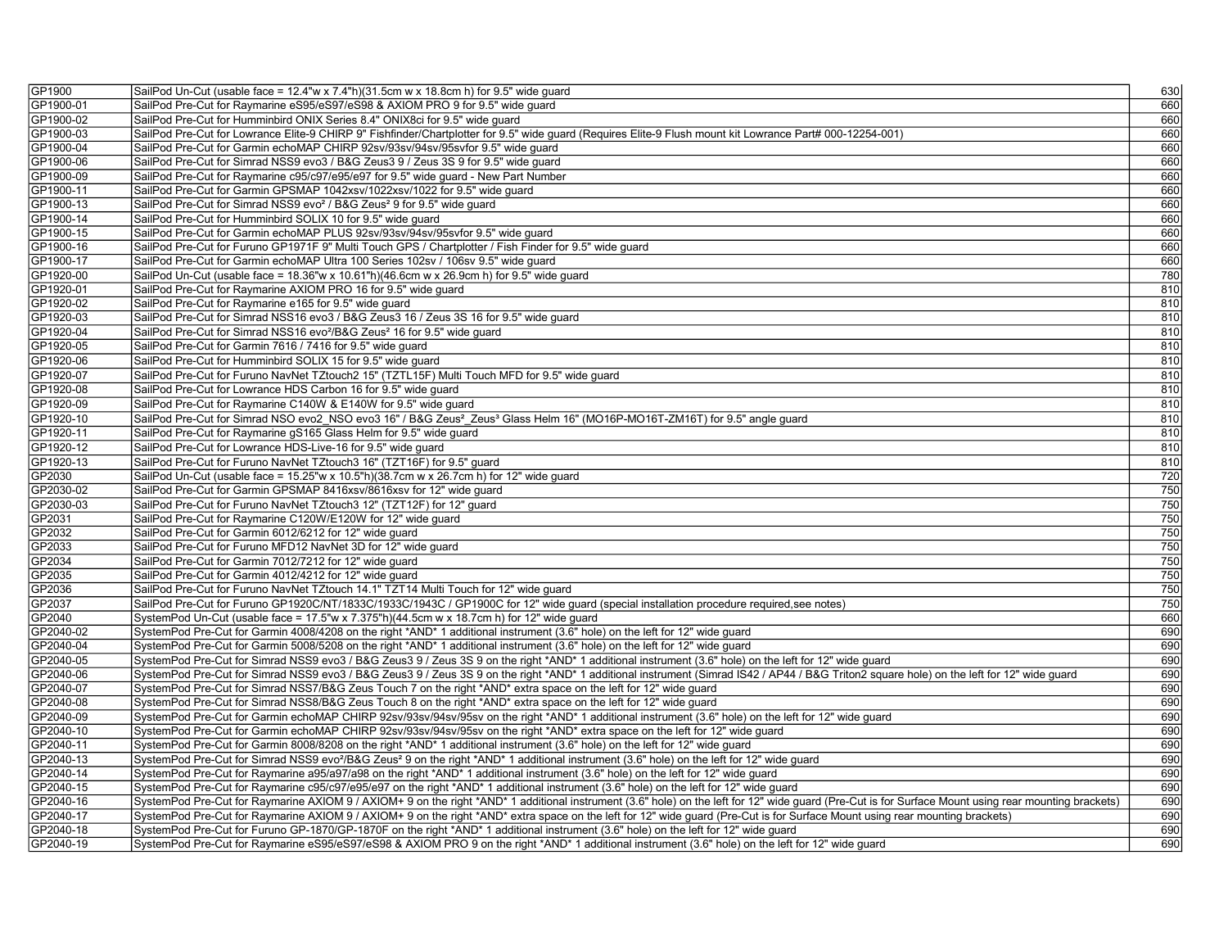| GP1900    | SailPod Un-Cut (usable face = 12.4"w x 7.4"h)(31.5cm w x 18.8cm h) for 9.5" wide guard                                                                                                               | 630        |
|-----------|------------------------------------------------------------------------------------------------------------------------------------------------------------------------------------------------------|------------|
| GP1900-01 | SailPod Pre-Cut for Raymarine eS95/eS97/eS98 & AXIOM PRO 9 for 9.5" wide quard                                                                                                                       | 660        |
| GP1900-02 | SailPod Pre-Cut for Humminbird ONIX Series 8.4" ONIX8ci for 9.5" wide guard                                                                                                                          | 660        |
| GP1900-03 | SailPod Pre-Cut for Lowrance Elite-9 CHIRP 9" Fishfinder/Chartplotter for 9.5" wide guard (Requires Elite-9 Flush mount kit Lowrance Part# 000-12254-001)                                            | 660        |
| GP1900-04 | SailPod Pre-Cut for Garmin echoMAP CHIRP 92sv/93sv/94sv/95svfor 9.5" wide guard                                                                                                                      | 660        |
| GP1900-06 | SailPod Pre-Cut for Simrad NSS9 evo3 / B&G Zeus3 9 / Zeus 3S 9 for 9.5" wide guard                                                                                                                   | 660        |
| GP1900-09 | SailPod Pre-Cut for Raymarine c95/c97/e95/e97 for 9.5" wide guard - New Part Number                                                                                                                  | 660        |
| GP1900-11 | SailPod Pre-Cut for Garmin GPSMAP 1042xsv/1022xsv/1022 for 9.5" wide guard                                                                                                                           | 660        |
| GP1900-13 | SailPod Pre-Cut for Simrad NSS9 evo <sup>2</sup> / B&G Zeus <sup>2</sup> 9 for 9.5" wide guard                                                                                                       | 660        |
| GP1900-14 | SailPod Pre-Cut for Humminbird SOLIX 10 for 9.5" wide quard                                                                                                                                          | 660        |
| GP1900-15 | SailPod Pre-Cut for Garmin echoMAP PLUS 92sv/93sv/94sv/95svfor 9.5" wide guard                                                                                                                       | 660        |
| GP1900-16 | SailPod Pre-Cut for Furuno GP1971F 9" Multi Touch GPS / Chartplotter / Fish Finder for 9.5" wide guard                                                                                               | 660        |
| GP1900-17 | SailPod Pre-Cut for Garmin echoMAP Ultra 100 Series 102sv / 106sv 9.5" wide guard                                                                                                                    | 660        |
| GP1920-00 | SailPod Un-Cut (usable face = 18.36"w x 10.61"h)(46.6cm w x 26.9cm h) for 9.5" wide guard                                                                                                            | 780        |
| GP1920-01 | SailPod Pre-Cut for Raymarine AXIOM PRO 16 for 9.5" wide quard                                                                                                                                       | 810        |
| GP1920-02 | SailPod Pre-Cut for Raymarine e165 for 9.5" wide guard                                                                                                                                               | 810        |
| GP1920-03 | SailPod Pre-Cut for Simrad NSS16 evo3 / B&G Zeus3 16 / Zeus 3S 16 for 9.5" wide guard                                                                                                                | 810        |
| GP1920-04 | SailPod Pre-Cut for Simrad NSS16 evo <sup>2</sup> /B&G Zeus <sup>2</sup> 16 for 9.5" wide guard                                                                                                      | 810        |
| GP1920-05 | SailPod Pre-Cut for Garmin 7616 / 7416 for 9.5" wide guard                                                                                                                                           | 810        |
| GP1920-06 | SailPod Pre-Cut for Humminbird SOLIX 15 for 9.5" wide guard                                                                                                                                          | 810        |
| GP1920-07 | SailPod Pre-Cut for Furuno NavNet TZtouch2 15" (TZTL15F) Multi Touch MFD for 9.5" wide guard                                                                                                         | 810        |
| GP1920-08 | SailPod Pre-Cut for Lowrance HDS Carbon 16 for 9.5" wide quard                                                                                                                                       | 810        |
| GP1920-09 | SailPod Pre-Cut for Raymarine C140W & E140W for 9.5" wide guard                                                                                                                                      | 810        |
| GP1920-10 | SailPod Pre-Cut for Simrad NSO evo2_NSO evo3 16" / B&G Zeus <sup>2</sup> _Zeus <sup>3</sup> Glass Helm 16" (MO16P-MO16T-ZM16T) for 9.5" angle guard                                                  | 810        |
| GP1920-11 | SailPod Pre-Cut for Raymarine gS165 Glass Helm for 9.5" wide quard                                                                                                                                   | 810        |
| GP1920-12 | SailPod Pre-Cut for Lowrance HDS-Live-16 for 9.5" wide guard                                                                                                                                         | 810        |
| GP1920-13 | SailPod Pre-Cut for Furuno NavNet TZtouch3 16" (TZT16F) for 9.5" guard                                                                                                                               | 810        |
| GP2030    | SailPod Un-Cut (usable face = 15.25"w x 10.5"h)(38.7cm w x 26.7cm h) for 12" wide guard                                                                                                              | 720        |
| GP2030-02 | SailPod Pre-Cut for Garmin GPSMAP 8416xsv/8616xsv for 12" wide quard                                                                                                                                 | 750        |
| GP2030-03 | SailPod Pre-Cut for Furuno NavNet TZtouch3 12" (TZT12F) for 12" guard                                                                                                                                |            |
| GP2031    | SailPod Pre-Cut for Raymarine C120W/E120W for 12" wide guard                                                                                                                                         | 750<br>750 |
| GP2032    | SailPod Pre-Cut for Garmin 6012/6212 for 12" wide guard                                                                                                                                              | 750        |
| GP2033    | SailPod Pre-Cut for Furuno MFD12 NavNet 3D for 12" wide guard                                                                                                                                        | 750        |
| GP2034    | SailPod Pre-Cut for Garmin 7012/7212 for 12" wide guard                                                                                                                                              | 750        |
| GP2035    | SailPod Pre-Cut for Garmin 4012/4212 for 12" wide guard                                                                                                                                              | 750        |
| GP2036    | SailPod Pre-Cut for Furuno NavNet TZtouch 14.1" TZT14 Multi Touch for 12" wide guard                                                                                                                 | 750        |
| GP2037    | SailPod Pre-Cut for Furuno GP1920C/NT/1833C/1933C/1943C / GP1900C for 12" wide guard (special installation procedure required,see notes)                                                             | 750        |
| GP2040    | SystemPod Un-Cut (usable face = 17.5"w x 7.375"h)(44.5cm w x 18.7cm h) for 12" wide guard                                                                                                            | 660        |
| GP2040-02 | SystemPod Pre-Cut for Garmin 4008/4208 on the right *AND* 1 additional instrument (3.6" hole) on the left for 12" wide guard                                                                         | 690        |
| GP2040-04 | SystemPod Pre-Cut for Garmin 5008/5208 on the right *AND* 1 additional instrument (3.6" hole) on the left for 12" wide quard                                                                         | 690        |
| GP2040-05 | SystemPod Pre-Cut for Simrad NSS9 evo3 / B&G Zeus3 9 / Zeus 3S 9 on the right *AND* 1 additional instrument (3.6" hole) on the left for 12" wide guard                                               | 690        |
| GP2040-06 | SystemPod Pre-Cut for Simrad NSS9 evo3 / B&G Zeus3 9 / Zeus 3S 9 on the right *AND* 1 additional instrument (Simrad IS42 / AP44 / B&G Triton2 square hole) on the left for 12" wide guard            | 690        |
| GP2040-07 | SystemPod Pre-Cut for Simrad NSS7/B&G Zeus Touch 7 on the right *AND* extra space on the left for 12" wide guard                                                                                     | 690        |
| GP2040-08 | SystemPod Pre-Cut for Simrad NSS8/B&G Zeus Touch 8 on the right *AND* extra space on the left for 12" wide quard                                                                                     | 690        |
| GP2040-09 | SystemPod Pre-Cut for Garmin echoMAP CHIRP 92sv/93sv/94sv/95sv on the right *AND* 1 additional instrument (3.6" hole) on the left for 12" wide guard                                                 | 690        |
| GP2040-10 | SystemPod Pre-Cut for Garmin echoMAP CHIRP 92sv/93sv/94sv/95sv on the right *AND* extra space on the left for 12" wide guard                                                                         | 690        |
| GP2040-11 | SystemPod Pre-Cut for Garmin 8008/8208 on the right *AND* 1 additional instrument (3.6" hole) on the left for 12" wide guard                                                                         | 690        |
| GP2040-13 | SystemPod Pre-Cut for Simrad NSS9 evo <sup>2</sup> /B&G Zeus <sup>2</sup> 9 on the right *AND* 1 additional instrument (3.6" hole) on the left for 12" wide guard                                    | 690        |
| GP2040-14 | SystemPod Pre-Cut for Raymarine a95/a97/a98 on the right *AND* 1 additional instrument (3.6" hole) on the left for 12" wide guard                                                                    | 690        |
| GP2040-15 | SystemPod Pre-Cut for Raymarine c95/c97/e95/e97 on the right *AND* 1 additional instrument (3.6" hole) on the left for 12" wide guard                                                                | 690        |
| GP2040-16 | SystemPod Pre-Cut for Raymarine AXIOM 9 / AXIOM+ 9 on the right *AND* 1 additional instrument (3.6" hole) on the left for 12" wide guard (Pre-Cut is for Surface Mount using rear mounting brackets) | 690        |
| GP2040-17 | SystemPod Pre-Cut for Raymarine AXIOM 9 / AXIOM+ 9 on the right *AND* extra space on the left for 12" wide quard (Pre-Cut is for Surface Mount using rear mounting brackets)                         | 690        |
| GP2040-18 | SystemPod Pre-Cut for Furuno GP-1870/GP-1870F on the right *AND* 1 additional instrument (3.6" hole) on the left for 12" wide guard                                                                  | 690        |
| GP2040-19 | SystemPod Pre-Cut for Raymarine eS95/eS97/eS98 & AXIOM PRO 9 on the right *AND* 1 additional instrument (3.6" hole) on the left for 12" wide guard                                                   | 690        |
|           |                                                                                                                                                                                                      |            |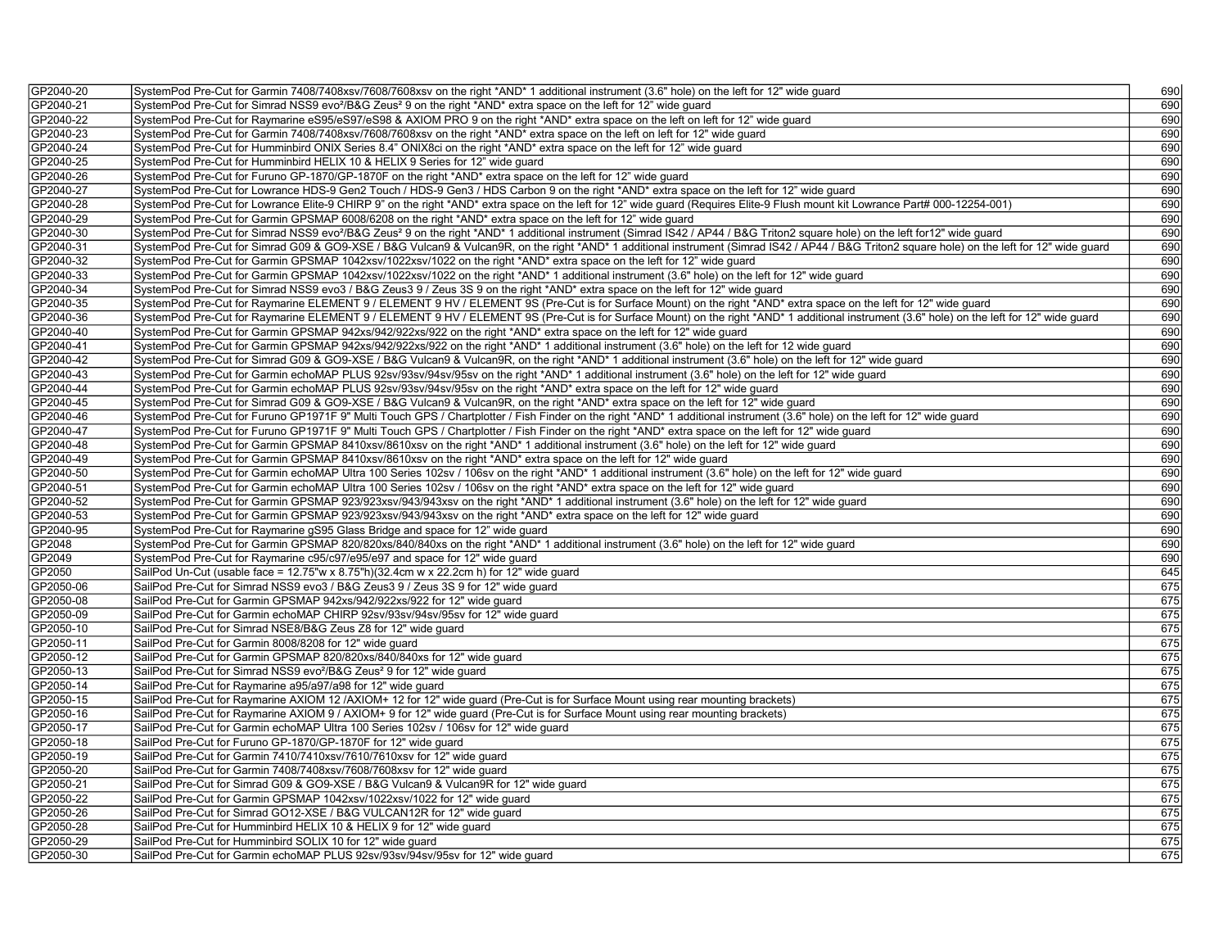| GP2040-20 | SystemPod Pre-Cut for Garmin 7408/7408xsv/7608/7608xsv on the right *AND* 1 additional instrument (3.6" hole) on the left for 12" wide guard                                                        | 690 |
|-----------|-----------------------------------------------------------------------------------------------------------------------------------------------------------------------------------------------------|-----|
| GP2040-21 | SystemPod Pre-Cut for Simrad NSS9 evo <sup>2</sup> /B&G Zeus <sup>2</sup> 9 on the right *AND* extra space on the left for 12" wide guard                                                           | 690 |
| GP2040-22 | SystemPod Pre-Cut for Raymarine eS95/eS97/eS98 & AXIOM PRO 9 on the right *AND* extra space on the left on left for 12" wide quard                                                                  | 690 |
| GP2040-23 | SystemPod Pre-Cut for Garmin 7408/7408xsv/7608/7608xsv on the right *AND* extra space on the left on left for 12" wide guard                                                                        | 690 |
| GP2040-24 | SystemPod Pre-Cut for Humminbird ONIX Series 8.4" ONIX8ci on the right *AND* extra space on the left for 12" wide guard                                                                             | 690 |
| GP2040-25 | SystemPod Pre-Cut for Humminbird HELIX 10 & HELIX 9 Series for 12" wide guard                                                                                                                       | 690 |
| GP2040-26 | SystemPod Pre-Cut for Furuno GP-1870/GP-1870F on the right *AND* extra space on the left for 12" wide guard                                                                                         | 690 |
| GP2040-27 | SystemPod Pre-Cut for Lowrance HDS-9 Gen2 Touch / HDS-9 Gen3 / HDS Carbon 9 on the right *AND* extra space on the left for 12" wide quard                                                           | 690 |
| GP2040-28 | SystemPod Pre-Cut for Lowrance Elite-9 CHIRP 9" on the right *AND* extra space on the left for 12" wide guard (Requires Elite-9 Flush mount kit Lowrance Part# 000-12254-001)                       | 690 |
| GP2040-29 | SystemPod Pre-Cut for Garmin GPSMAP 6008/6208 on the right *AND* extra space on the left for 12" wide guard                                                                                         | 690 |
| GP2040-30 | SystemPod Pre-Cut for Simrad NSS9 evo <sup>2</sup> /B&G Zeus <sup>2</sup> 9 on the right *AND* 1 additional instrument (Simrad IS42 / AP44 / B&G Triton2 square hole) on the left for12" wide guard | 690 |
| GP2040-31 | SystemPod Pre-Cut for Simrad G09 & GO9-XSE / B&G Vulcan9 & Vulcan9R, on the right *AND* 1 additional instrument (Simrad IS42 / AP44 / B&G Triton2 square hole) on the left for 12" wide guard       | 690 |
| GP2040-32 | SystemPod Pre-Cut for Garmin GPSMAP 1042xsv/1022xsv/1022 on the right *AND* extra space on the left for 12" wide guard                                                                              | 690 |
| GP2040-33 | SystemPod Pre-Cut for Garmin GPSMAP 1042xsv/1022xsv/1022 on the right *AND* 1 additional instrument (3.6" hole) on the left for 12" wide guard                                                      | 690 |
| GP2040-34 | SystemPod Pre-Cut for Simrad NSS9 evo3 / B&G Zeus3 9 / Zeus 3S 9 on the right *AND* extra space on the left for 12" wide guard                                                                      | 690 |
| GP2040-35 | SystemPod Pre-Cut for Raymarine ELEMENT 9 / ELEMENT 9 HV / ELEMENT 9S (Pre-Cut is for Surface Mount) on the right *AND* extra space on the left for 12" wide guard                                  | 690 |
| GP2040-36 | SystemPod Pre-Cut for Raymarine ELEMENT 9 / ELEMENT 9 HV / ELEMENT 9S (Pre-Cut is for Surface Mount) on the right *AND* 1 additional instrument (3.6" hole) on the left for 12" wide guard          | 690 |
| GP2040-40 | SystemPod Pre-Cut for Garmin GPSMAP 942xs/942/922xs/922 on the right *AND* extra space on the left for 12" wide guard                                                                               | 690 |
| GP2040-41 | SystemPod Pre-Cut for Garmin GPSMAP 942xs/942/922xs/922 on the right *AND* 1 additional instrument (3.6" hole) on the left for 12 wide guard                                                        | 690 |
| GP2040-42 | SystemPod Pre-Cut for Simrad G09 & GO9-XSE / B&G Vulcan9 & Vulcan9R, on the right *AND* 1 additional instrument (3.6" hole) on the left for 12" wide guard                                          | 690 |
| GP2040-43 | SystemPod Pre-Cut for Garmin echoMAP PLUS 92sv/93sv/94sv/95sv on the right *AND* 1 additional instrument (3.6" hole) on the left for 12" wide guard                                                 | 690 |
| GP2040-44 | SystemPod Pre-Cut for Garmin echoMAP PLUS 92sv/93sv/94sv/95sv on the right *AND* extra space on the left for 12" wide quard                                                                         | 690 |
| GP2040-45 | SystemPod Pre-Cut for Simrad G09 & GO9-XSE / B&G Vulcan9 & Vulcan9R, on the right *AND* extra space on the left for 12" wide guard                                                                  | 690 |
| GP2040-46 | SystemPod Pre-Cut for Furuno GP1971F 9" Multi Touch GPS / Chartplotter / Fish Finder on the right *AND* 1 additional instrument (3.6" hole) on the left for 12" wide guard                          | 690 |
| GP2040-47 | SystemPod Pre-Cut for Furuno GP1971F 9" Multi Touch GPS / Chartplotter / Fish Finder on the right *AND* extra space on the left for 12" wide guard                                                  | 690 |
| GP2040-48 | SystemPod Pre-Cut for Garmin GPSMAP 8410xsv/8610xsv on the right *AND* 1 additional instrument (3.6" hole) on the left for 12" wide guard                                                           | 690 |
| GP2040-49 | SystemPod Pre-Cut for Garmin GPSMAP 8410xsv/8610xsv on the right *AND* extra space on the left for 12" wide guard                                                                                   | 690 |
| GP2040-50 | SystemPod Pre-Cut for Garmin echoMAP Ultra 100 Series 102sv / 106sv on the right *AND* 1 additional instrument (3.6" hole) on the left for 12" wide guard                                           | 690 |
| GP2040-51 | SystemPod Pre-Cut for Garmin echoMAP Ultra 100 Series 102sv / 106sv on the right *AND* extra space on the left for 12" wide guard                                                                   | 690 |
| GP2040-52 | SystemPod Pre-Cut for Garmin GPSMAP 923/923xsv/943/943xsv on the right *AND* 1 additional instrument (3.6" hole) on the left for 12" wide guard                                                     | 690 |
| GP2040-53 | SystemPod Pre-Cut for Garmin GPSMAP 923/923xsv/943/943xsv on the right *AND* extra space on the left for 12" wide quard                                                                             | 690 |
| GP2040-95 | SystemPod Pre-Cut for Raymarine gS95 Glass Bridge and space for 12" wide guard                                                                                                                      | 690 |
| GP2048    | SystemPod Pre-Cut for Garmin GPSMAP 820/820xs/840/840xs on the right *AND* 1 additional instrument (3.6" hole) on the left for 12" wide quard                                                       | 690 |
| GP2049    | SystemPod Pre-Cut for Raymarine c95/c97/e95/e97 and space for 12" wide guard                                                                                                                        | 690 |
| GP2050    | SailPod Un-Cut (usable face = 12.75"w x 8.75"h)(32.4cm w x 22.2cm h) for 12" wide guard                                                                                                             | 645 |
| GP2050-06 | SailPod Pre-Cut for Simrad NSS9 evo3 / B&G Zeus3 9 / Zeus 3S 9 for 12" wide guard                                                                                                                   | 675 |
| GP2050-08 | SailPod Pre-Cut for Garmin GPSMAP 942xs/942/922xs/922 for 12" wide guard                                                                                                                            | 675 |
| GP2050-09 | SailPod Pre-Cut for Garmin echoMAP CHIRP 92sv/93sv/94sv/95sv for 12" wide guard                                                                                                                     | 675 |
| GP2050-10 | SailPod Pre-Cut for Simrad NSE8/B&G Zeus Z8 for 12" wide guard                                                                                                                                      | 675 |
| GP2050-11 | SailPod Pre-Cut for Garmin 8008/8208 for 12" wide guard                                                                                                                                             | 675 |
| GP2050-12 | SailPod Pre-Cut for Garmin GPSMAP 820/820xs/840/840xs for 12" wide guard                                                                                                                            | 675 |
| GP2050-13 | SailPod Pre-Cut for Simrad NSS9 evo <sup>2</sup> /B&G Zeus <sup>2</sup> 9 for 12" wide guard                                                                                                        | 675 |
| GP2050-14 | SailPod Pre-Cut for Raymarine a95/a97/a98 for 12" wide guard                                                                                                                                        | 675 |
| GP2050-15 | SailPod Pre-Cut for Raymarine AXIOM 12 /AXIOM+ 12 for 12" wide guard (Pre-Cut is for Surface Mount using rear mounting brackets)                                                                    | 675 |
| GP2050-16 | SailPod Pre-Cut for Raymarine AXIOM 9 / AXIOM+ 9 for 12" wide guard (Pre-Cut is for Surface Mount using rear mounting brackets)                                                                     | 675 |
| GP2050-17 | SailPod Pre-Cut for Garmin echoMAP Ultra 100 Series 102sv / 106sv for 12" wide guard                                                                                                                | 675 |
| GP2050-18 | SailPod Pre-Cut for Furuno GP-1870/GP-1870F for 12" wide quard                                                                                                                                      | 675 |
| GP2050-19 | SailPod Pre-Cut for Garmin 7410/7410xsv/7610/7610xsv for 12" wide guard                                                                                                                             | 675 |
| GP2050-20 | SailPod Pre-Cut for Garmin 7408/7408xsv/7608/7608xsv for 12" wide guard                                                                                                                             | 675 |
| GP2050-21 | SailPod Pre-Cut for Simrad G09 & GO9-XSE / B&G Vulcan9 & Vulcan9R for 12" wide quard                                                                                                                | 675 |
| GP2050-22 | SailPod Pre-Cut for Garmin GPSMAP 1042xsv/1022xsv/1022 for 12" wide guard                                                                                                                           | 675 |
| GP2050-26 | SailPod Pre-Cut for Simrad GO12-XSE / B&G VULCAN12R for 12" wide guard                                                                                                                              | 675 |
| GP2050-28 | SailPod Pre-Cut for Humminbird HELIX 10 & HELIX 9 for 12" wide quard                                                                                                                                | 675 |
| GP2050-29 | SailPod Pre-Cut for Humminbird SOLIX 10 for 12" wide guard                                                                                                                                          | 675 |
| GP2050-30 | SailPod Pre-Cut for Garmin echoMAP PLUS 92sv/93sv/94sv/95sv for 12" wide guard                                                                                                                      | 675 |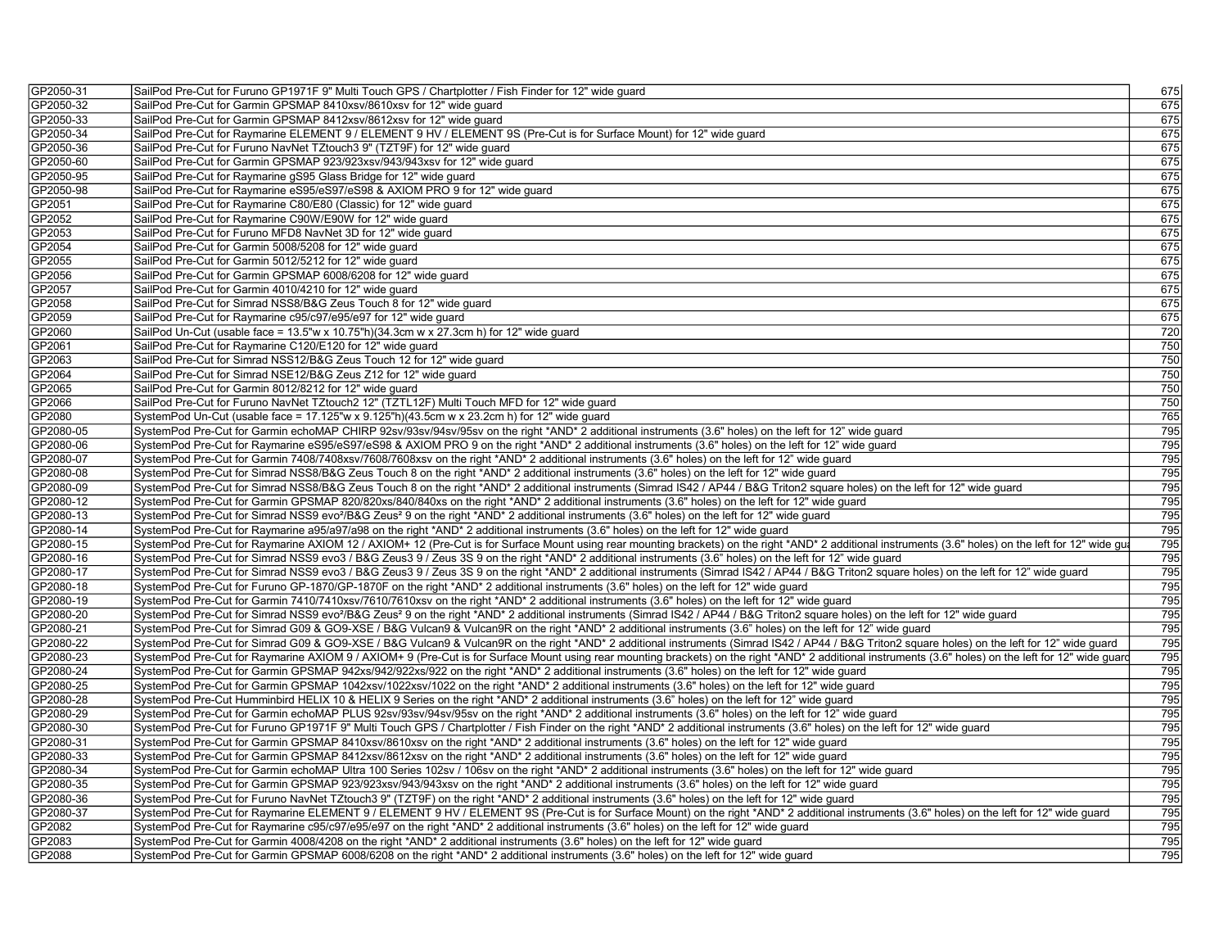| GP2050-31 | SailPod Pre-Cut for Furuno GP1971F 9" Multi Touch GPS / Chartplotter / Fish Finder for 12" wide guard                                                                                                                                                                                                                                         | 675        |
|-----------|-----------------------------------------------------------------------------------------------------------------------------------------------------------------------------------------------------------------------------------------------------------------------------------------------------------------------------------------------|------------|
| GP2050-32 | SailPod Pre-Cut for Garmin GPSMAP 8410xsv/8610xsv for 12" wide guard                                                                                                                                                                                                                                                                          | 675        |
| GP2050-33 | SailPod Pre-Cut for Garmin GPSMAP 8412xsv/8612xsv for 12" wide quard                                                                                                                                                                                                                                                                          | 675        |
| GP2050-34 | SailPod Pre-Cut for Raymarine ELEMENT 9 / ELEMENT 9 HV / ELEMENT 9S (Pre-Cut is for Surface Mount) for 12" wide quard                                                                                                                                                                                                                         | 675        |
| GP2050-36 | SailPod Pre-Cut for Furuno NavNet TZtouch3 9" (TZT9F) for 12" wide quard                                                                                                                                                                                                                                                                      | 675        |
| GP2050-60 | SailPod Pre-Cut for Garmin GPSMAP 923/923xsv/943/943xsv for 12" wide guard                                                                                                                                                                                                                                                                    | 675        |
| GP2050-95 | SailPod Pre-Cut for Raymarine gS95 Glass Bridge for 12" wide guard                                                                                                                                                                                                                                                                            | 675        |
| GP2050-98 | SailPod Pre-Cut for Raymarine eS95/eS97/eS98 & AXIOM PRO 9 for 12" wide guard                                                                                                                                                                                                                                                                 | 675        |
| GP2051    | SailPod Pre-Cut for Raymarine C80/E80 (Classic) for 12" wide guard                                                                                                                                                                                                                                                                            | 675        |
| GP2052    | SailPod Pre-Cut for Raymarine C90W/E90W for 12" wide quard                                                                                                                                                                                                                                                                                    | 675        |
| GP2053    | SailPod Pre-Cut for Furuno MFD8 NavNet 3D for 12" wide guard                                                                                                                                                                                                                                                                                  | 675        |
| GP2054    | SailPod Pre-Cut for Garmin 5008/5208 for 12" wide guard                                                                                                                                                                                                                                                                                       | 675        |
| GP2055    | SailPod Pre-Cut for Garmin 5012/5212 for 12" wide guard                                                                                                                                                                                                                                                                                       | 675        |
| GP2056    | SailPod Pre-Cut for Garmin GPSMAP 6008/6208 for 12" wide guard                                                                                                                                                                                                                                                                                | 675        |
| GP2057    | SailPod Pre-Cut for Garmin 4010/4210 for 12" wide guard                                                                                                                                                                                                                                                                                       | 675        |
| GP2058    | SailPod Pre-Cut for Simrad NSS8/B&G Zeus Touch 8 for 12" wide quard                                                                                                                                                                                                                                                                           | 675        |
| GP2059    | SailPod Pre-Cut for Raymarine c95/c97/e95/e97 for 12" wide guard                                                                                                                                                                                                                                                                              | 675        |
| GP2060    | SailPod Un-Cut (usable face = 13.5"w x 10.75"h)(34.3cm w x 27.3cm h) for 12" wide quard                                                                                                                                                                                                                                                       | 720        |
| GP2061    | SailPod Pre-Cut for Raymarine C120/E120 for 12" wide guard                                                                                                                                                                                                                                                                                    | 750        |
| GP2063    | SailPod Pre-Cut for Simrad NSS12/B&G Zeus Touch 12 for 12" wide guard                                                                                                                                                                                                                                                                         | 750        |
| GP2064    | SailPod Pre-Cut for Simrad NSE12/B&G Zeus Z12 for 12" wide guard                                                                                                                                                                                                                                                                              | 750        |
| GP2065    | SailPod Pre-Cut for Garmin 8012/8212 for 12" wide guard                                                                                                                                                                                                                                                                                       | 750        |
| GP2066    | SailPod Pre-Cut for Furuno NavNet TZtouch2 12" (TZTL12F) Multi Touch MFD for 12" wide guard                                                                                                                                                                                                                                                   | 750        |
| GP2080    | SystemPod Un-Cut (usable face = 17.125"w x 9.125"h)(43.5cm w x 23.2cm h) for 12" wide guard                                                                                                                                                                                                                                                   | 765        |
| GP2080-05 | SystemPod Pre-Cut for Garmin echoMAP CHIRP 92sv/93sv/94sv/95sv on the right *AND* 2 additional instruments (3.6" holes) on the left for 12" wide guard                                                                                                                                                                                        | 795        |
| GP2080-06 | SystemPod Pre-Cut for Raymarine eS95/eS97/eS98 & AXIOM PRO 9 on the right *AND* 2 additional instruments (3.6" holes) on the left for 12" wide guard                                                                                                                                                                                          | 795        |
| GP2080-07 | SystemPod Pre-Cut for Garmin 7408/7408xsv/7608/7608xsv on the right *AND* 2 additional instruments (3.6" holes) on the left for 12" wide guard                                                                                                                                                                                                | 795        |
| GP2080-08 | SystemPod Pre-Cut for Simrad NSS8/B&G Zeus Touch 8 on the right *AND* 2 additional instruments (3.6" holes) on the left for 12" wide quard                                                                                                                                                                                                    | 795        |
| GP2080-09 | SystemPod Pre-Cut for Simrad NSS8/B&G Zeus Touch 8 on the right *AND* 2 additional instruments (Simrad IS42 / AP44 / B&G Triton2 square holes) on the left for 12" wide guard                                                                                                                                                                 | 795        |
| GP2080-12 | SystemPod Pre-Cut for Garmin GPSMAP 820/820xs/840/840xs on the right *AND* 2 additional instruments (3.6" holes) on the left for 12" wide guard                                                                                                                                                                                               | 795        |
| GP2080-13 | SystemPod Pre-Cut for Simrad NSS9 evo <sup>2</sup> /B&G Zeus <sup>2</sup> 9 on the right *AND* 2 additional instruments (3.6" holes) on the left for 12" wide guard                                                                                                                                                                           | 795        |
| GP2080-14 |                                                                                                                                                                                                                                                                                                                                               |            |
| GP2080-15 | SystemPod Pre-Cut for Raymarine a95/a97/a98 on the right *AND* 2 additional instruments (3.6" holes) on the left for 12" wide guard<br>SystemPod Pre-Cut for Raymarine AXIOM 12 / AXIOM+ 12 (Pre-Cut is for Surface Mount using rear mounting brackets) on the right *AND* 2 additional instruments (3.6" holes) on the left for 12" wide gua | 795<br>795 |
|           |                                                                                                                                                                                                                                                                                                                                               |            |
| GP2080-16 | SystemPod Pre-Cut for Simrad NSS9 evo3 / B&G Zeus3 9 / Zeus 3S 9 on the right *AND* 2 additional instruments (3.6" holes) on the left for 12" wide guard                                                                                                                                                                                      | 795        |
| GP2080-17 | SystemPod Pre-Cut for Simrad NSS9 evo3 / B&G Zeus3 9 / Zeus 3S 9 on the right *AND* 2 additional instruments (Simrad IS42 / AP44 / B&G Triton2 square holes) on the left for 12" wide guard                                                                                                                                                   | 795<br>795 |
| GP2080-18 | SystemPod Pre-Cut for Furuno GP-1870/GP-1870F on the right *AND* 2 additional instruments (3.6" holes) on the left for 12" wide guard                                                                                                                                                                                                         |            |
| GP2080-19 | SystemPod Pre-Cut for Garmin 7410/7410xsv/7610/7610xsv on the right *AND* 2 additional instruments (3.6" holes) on the left for 12" wide guard                                                                                                                                                                                                | 795        |
| GP2080-20 | SystemPod Pre-Cut for Simrad NSS9 evo <sup>2</sup> /B&G Zeus <sup>2</sup> 9 on the right *AND* 2 additional instruments (Simrad IS42 / AP44 / B&G Triton2 square holes) on the left for 12" wide guard                                                                                                                                        | 795        |
| GP2080-21 | SystemPod Pre-Cut for Simrad G09 & GO9-XSE / B&G Vulcan9 & Vulcan9R on the right *AND* 2 additional instruments (3.6" holes) on the left for 12" wide guard                                                                                                                                                                                   | 795        |
| GP2080-22 | SystemPod Pre-Cut for Simrad G09 & GO9-XSE / B&G Vulcan9 & Vulcan9R on the right *AND* 2 additional instruments (Simrad IS42 / AP44 / B&G Triton2 square holes) on the left for 12" wide guard                                                                                                                                                | 795        |
| GP2080-23 | SystemPod Pre-Cut for Raymarine AXIOM 9 / AXIOM+ 9 (Pre-Cut is for Surface Mount using rear mounting brackets) on the right *AND* 2 additional instruments (3.6" holes) on the left for 12" wide guard                                                                                                                                        | 795        |
| GP2080-24 | SystemPod Pre-Cut for Garmin GPSMAP 942xs/942/922xs/922 on the right *AND* 2 additional instruments (3.6" holes) on the left for 12" wide guard                                                                                                                                                                                               | 795        |
| GP2080-25 | SystemPod Pre-Cut for Garmin GPSMAP 1042xsv/1022xsv/1022 on the right *AND* 2 additional instruments (3.6" holes) on the left for 12" wide guard                                                                                                                                                                                              | 795        |
| GP2080-28 | SystemPod Pre-Cut Humminbird HELIX 10 & HELIX 9 Series on the right *AND* 2 additional instruments (3.6" holes) on the left for 12" wide guard                                                                                                                                                                                                | 795        |
| GP2080-29 | SystemPod Pre-Cut for Garmin echoMAP PLUS 92sv/93sv/94sv/95sv on the right *AND* 2 additional instruments (3.6" holes) on the left for 12" wide guard                                                                                                                                                                                         | 795        |
| GP2080-30 | SystemPod Pre-Cut for Furuno GP1971F 9" Multi Touch GPS / Chartplotter / Fish Finder on the right *AND* 2 additional instruments (3.6" holes) on the left for 12" wide quard                                                                                                                                                                  | 795        |
| GP2080-31 | SystemPod Pre-Cut for Garmin GPSMAP 8410xsv/8610xsv on the right *AND* 2 additional instruments (3.6" holes) on the left for 12" wide guard                                                                                                                                                                                                   | 795        |
| GP2080-33 | SystemPod Pre-Cut for Garmin GPSMAP 8412xsv/8612xsv on the right *AND* 2 additional instruments (3.6" holes) on the left for 12" wide guard                                                                                                                                                                                                   | 795        |
| GP2080-34 | SystemPod Pre-Cut for Garmin echoMAP Ultra 100 Series 102sv / 106sv on the right *AND* 2 additional instruments (3.6" holes) on the left for 12" wide guard                                                                                                                                                                                   | 795        |
| GP2080-35 | SystemPod Pre-Cut for Garmin GPSMAP 923/923xsv/943/943xsv on the right *AND* 2 additional instruments (3.6" holes) on the left for 12" wide guard                                                                                                                                                                                             | 795        |
| GP2080-36 | SystemPod Pre-Cut for Furuno NavNet TZtouch3 9" (TZT9F) on the right *AND* 2 additional instruments (3.6" holes) on the left for 12" wide guard                                                                                                                                                                                               | 795        |
| GP2080-37 | SystemPod Pre-Cut for Raymarine ELEMENT 9 / ELEMENT 9 HV / ELEMENT 9S (Pre-Cut is for Surface Mount) on the right *AND* 2 additional instruments (3.6" holes) on the left for 12" wide guard                                                                                                                                                  | 795        |
| GP2082    | SystemPod Pre-Cut for Raymarine c95/c97/e95/e97 on the right *AND* 2 additional instruments (3.6" holes) on the left for 12" wide guard                                                                                                                                                                                                       | 795        |
| GP2083    | SystemPod Pre-Cut for Garmin 4008/4208 on the right *AND* 2 additional instruments (3.6" holes) on the left for 12" wide quard                                                                                                                                                                                                                | 795        |
| GP2088    | SystemPod Pre-Cut for Garmin GPSMAP 6008/6208 on the right *AND* 2 additional instruments (3.6" holes) on the left for 12" wide guard                                                                                                                                                                                                         | 795        |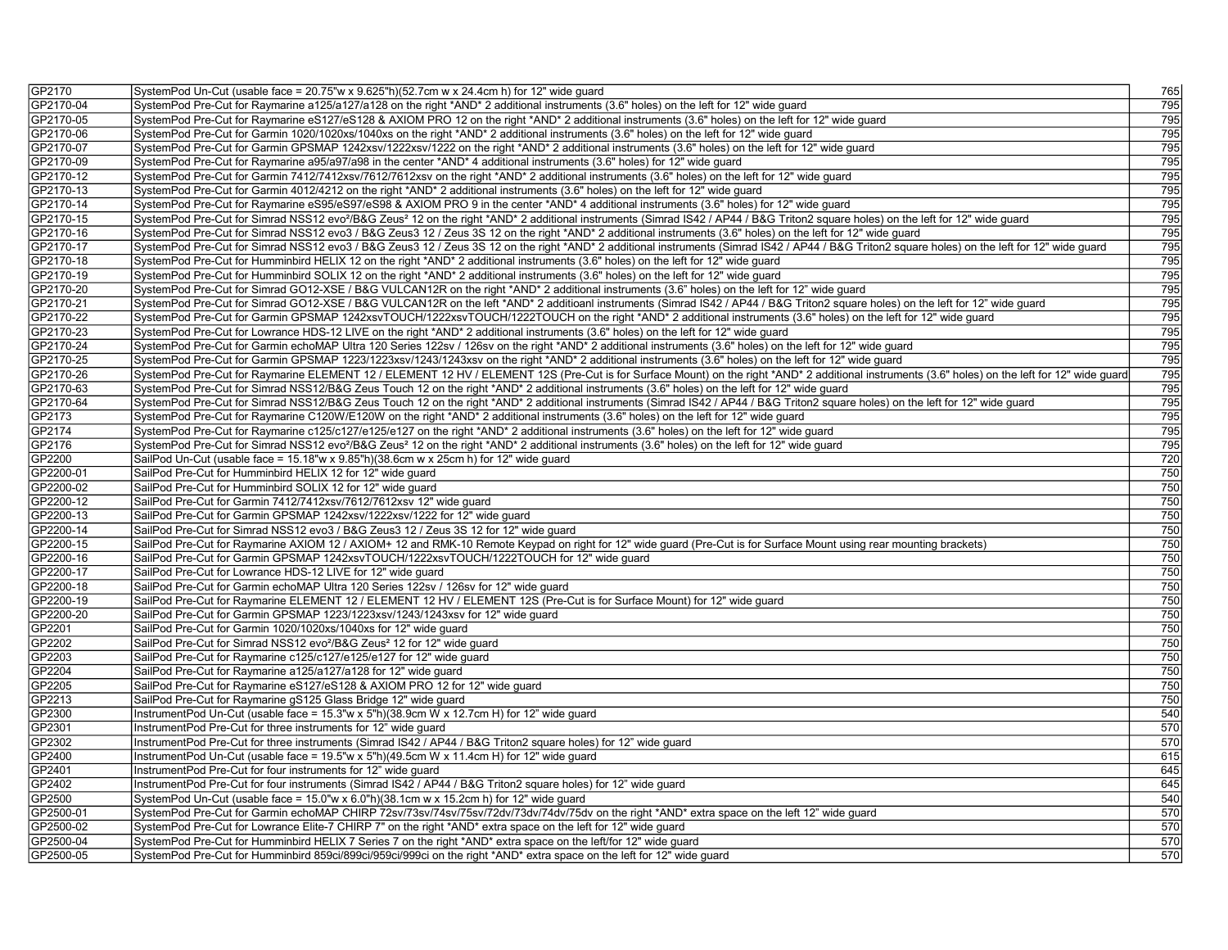| GP2170                 | SystemPod Un-Cut (usable face = 20.75"w x 9.625"h)(52.7cm w x 24.4cm h) for 12" wide guard                                                                                                               | 765        |
|------------------------|----------------------------------------------------------------------------------------------------------------------------------------------------------------------------------------------------------|------------|
| GP2170-04              | SystemPod Pre-Cut for Raymarine a125/a127/a128 on the right *AND* 2 additional instruments (3.6" holes) on the left for 12" wide guard                                                                   | 795        |
| GP2170-05              | SystemPod Pre-Cut for Raymarine eS127/eS128 & AXIOM PRO 12 on the right *AND* 2 additional instruments (3.6" holes) on the left for 12" wide guard                                                       | 795        |
| GP2170-06              | SystemPod Pre-Cut for Garmin 1020/1020xs/1040xs on the right *AND* 2 additional instruments (3.6" holes) on the left for 12" wide guard                                                                  | 795        |
| GP2170-07              | SystemPod Pre-Cut for Garmin GPSMAP 1242xsv/1222xsv/1222 on the right *AND* 2 additional instruments (3.6" holes) on the left for 12" wide guard                                                         | 795        |
| GP2170-09              | SystemPod Pre-Cut for Raymarine a95/a97/a98 in the center *AND* 4 additional instruments (3.6" holes) for 12" wide guard                                                                                 | 795        |
| GP2170-12              | SystemPod Pre-Cut for Garmin 7412/7412xsv/7612/7612xsv on the right *AND* 2 additional instruments (3.6" holes) on the left for 12" wide quard                                                           | 795        |
| GP2170-13              | SystemPod Pre-Cut for Garmin 4012/4212 on the right *AND* 2 additional instruments (3.6" holes) on the left for 12" wide guard                                                                           | 795        |
| GP2170-14              | SystemPod Pre-Cut for Raymarine eS95/eS97/eS98 & AXIOM PRO 9 in the center *AND* 4 additional instruments (3.6" holes) for 12" wide guard                                                                | 795        |
| GP2170-15              | SystemPod Pre-Cut for Simrad NSS12 evo <sup>2</sup> /B&G Zeus <sup>2</sup> 12 on the right *AND* 2 additional instruments (Simrad IS42 / AP44 / B&G Triton2 square holes) on the left for 12" wide guard | 795        |
| GP2170-16              | SystemPod Pre-Cut for Simrad NSS12 evo3 / B&G Zeus3 12 / Zeus 3S 12 on the right *AND* 2 additional instruments (3.6" holes) on the left for 12" wide guard                                              | 795        |
| GP2170-17              | SystemPod Pre-Cut for Simrad NSS12 evo3 / B&G Zeus3 12 / Zeus 3S 12 on the right *AND* 2 additional instruments (Simrad IS42 / AP44 / B&G Triton2 square holes) on the left for 12" wide quard           | 795        |
| GP2170-18              | SystemPod Pre-Cut for Humminbird HELIX 12 on the right *AND* 2 additional instruments (3.6" holes) on the left for 12" wide guard                                                                        | 795        |
| GP2170-19              | SystemPod Pre-Cut for Humminbird SOLIX 12 on the right *AND* 2 additional instruments (3.6" holes) on the left for 12" wide guard                                                                        | 795        |
| GP2170-20              | SystemPod Pre-Cut for Simrad GO12-XSE / B&G VULCAN12R on the right *AND* 2 additional instruments (3.6" holes) on the left for 12" wide quard                                                            | 795        |
| GP2170-21              | SystemPod Pre-Cut for Simrad GO12-XSE / B&G VULCAN12R on the left *AND* 2 additioanl instruments (Simrad IS42 / AP44 / B&G Triton2 square holes) on the left for 12" wide guard                          | 795        |
| GP2170-22              | SystemPod Pre-Cut for Garmin GPSMAP 1242xsvTOUCH/1222xsvTOUCH/1222TOUCH on the right *AND* 2 additional instruments (3.6" holes) on the left for 12" wide guard                                          | 795        |
| GP2170-23              | SystemPod Pre-Cut for Lowrance HDS-12 LIVE on the right *AND* 2 additional instruments (3.6" holes) on the left for 12" wide guard                                                                       | 795        |
| GP2170-24              | SystemPod Pre-Cut for Garmin echoMAP Ultra 120 Series 122sv / 126sv on the right *AND* 2 additional instruments (3.6" holes) on the left for 12" wide guard                                              | 795        |
| GP2170-25              | SystemPod Pre-Cut for Garmin GPSMAP 1223/1223xsv/1243/1243xsv on the right *AND* 2 additional instruments (3.6" holes) on the left for 12" wide guard                                                    | 795        |
| GP2170-26              | SystemPod Pre-Cut for Raymarine ELEMENT 12 / ELEMENT 12 HV / ELEMENT 12S (Pre-Cut is for Surface Mount) on the right *AND* 2 additional instruments (3.6" holes) on the left for 12" wide guard          | 795        |
| GP2170-63              | SystemPod Pre-Cut for Simrad NSS12/B&G Zeus Touch 12 on the right *AND* 2 additional instruments (3.6" holes) on the left for 12" wide quard                                                             | 795        |
| GP2170-64              | SystemPod Pre-Cut for Simrad NSS12/B&G Zeus Touch 12 on the right *AND* 2 additional instruments (Simrad IS42 / AP44 / B&G Triton2 square holes) on the left for 12" wide guard                          | 795        |
| GP2173                 | SystemPod Pre-Cut for Raymarine C120W/E120W on the right *AND* 2 additional instruments (3.6" holes) on the left for 12" wide guard                                                                      | 795        |
| GP2174                 | SystemPod Pre-Cut for Raymarine c125/c127/e125/e127 on the right *AND* 2 additional instruments (3.6" holes) on the left for 12" wide guard                                                              | 795        |
| GP2176                 | SystemPod Pre-Cut for Simrad NSS12 evo <sup>2</sup> /B&G Zeus <sup>2</sup> 12 on the right *AND* 2 additional instruments (3.6" holes) on the left for 12" wide guard                                    | 795        |
| GP2200                 | SailPod Un-Cut (usable face = 15.18"w x 9.85"h)(38.6cm w x 25cm h) for 12" wide guard                                                                                                                    | 720        |
| GP2200-01              | SailPod Pre-Cut for Humminbird HELIX 12 for 12" wide guard                                                                                                                                               | 750        |
| GP2200-02              | SailPod Pre-Cut for Humminbird SOLIX 12 for 12" wide quard                                                                                                                                               | 750        |
| GP2200-12              | SailPod Pre-Cut for Garmin 7412/7412xsv/7612/7612xsv 12" wide guard                                                                                                                                      | 750        |
|                        |                                                                                                                                                                                                          | 750        |
| GP2200-13<br>GP2200-14 | SailPod Pre-Cut for Garmin GPSMAP 1242xsv/1222xsv/1222 for 12" wide guard                                                                                                                                |            |
|                        | SailPod Pre-Cut for Simrad NSS12 evo3 / B&G Zeus3 12 / Zeus 3S 12 for 12" wide guard                                                                                                                     | 750<br>750 |
| GP2200-15              | SailPod Pre-Cut for Raymarine AXIOM 12 / AXIOM+ 12 and RMK-10 Remote Keypad on right for 12" wide guard (Pre-Cut is for Surface Mount using rear mounting brackets)                                      |            |
| GP2200-16              | SailPod Pre-Cut for Garmin GPSMAP 1242xsvTOUCH/1222xsvTOUCH/1222TOUCH for 12" wide quard                                                                                                                 | 750        |
| GP2200-17              | SailPod Pre-Cut for Lowrance HDS-12 LIVE for 12" wide guard                                                                                                                                              | 750        |
| GP2200-18              | SailPod Pre-Cut for Garmin echoMAP Ultra 120 Series 122sv / 126sv for 12" wide guard                                                                                                                     | 750        |
| GP2200-19              | SailPod Pre-Cut for Raymarine ELEMENT 12 / ELEMENT 12 HV / ELEMENT 12S (Pre-Cut is for Surface Mount) for 12" wide guard                                                                                 | 750        |
| GP2200-20              | SailPod Pre-Cut for Garmin GPSMAP 1223/1223xsv/1243/1243xsv for 12" wide guard                                                                                                                           | 750        |
| GP2201                 | SailPod Pre-Cut for Garmin 1020/1020xs/1040xs for 12" wide guard                                                                                                                                         | 750        |
| GP2202                 | SailPod Pre-Cut for Simrad NSS12 evo <sup>2</sup> /B&G Zeus <sup>2</sup> 12 for 12" wide guard                                                                                                           | 750        |
| GP2203                 | SailPod Pre-Cut for Raymarine c125/c127/e125/e127 for 12" wide guard                                                                                                                                     | 750        |
| GP2204                 | SailPod Pre-Cut for Raymarine a125/a127/a128 for 12" wide guard                                                                                                                                          | 750        |
| GP2205                 | SailPod Pre-Cut for Raymarine eS127/eS128 & AXIOM PRO 12 for 12" wide guard                                                                                                                              | 750        |
| GP2213                 | SailPod Pre-Cut for Raymarine gS125 Glass Bridge 12" wide guard                                                                                                                                          | 750        |
| GP2300                 | InstrumentPod Un-Cut (usable face = 15.3"w x 5"h)(38.9cm W x 12.7cm H) for 12" wide guard                                                                                                                | 540        |
| GP2301                 | InstrumentPod Pre-Cut for three instruments for 12" wide guard                                                                                                                                           | 570        |
| GP2302                 | InstrumentPod Pre-Cut for three instruments (Simrad IS42 / AP44 / B&G Triton2 square holes) for 12" wide guard                                                                                           | 570        |
| GP2400                 | InstrumentPod Un-Cut (usable face = 19.5"w x 5"h)(49.5cm W x 11.4cm H) for 12" wide guard                                                                                                                | 615        |
| GP2401                 | InstrumentPod Pre-Cut for four instruments for 12" wide quard                                                                                                                                            | 645        |
| GP2402                 | InstrumentPod Pre-Cut for four instruments (Simrad IS42 / AP44 / B&G Triton2 square holes) for 12" wide guard                                                                                            | 645        |
| GP2500                 | SystemPod Un-Cut (usable face = $15.0$ "w x $6.0$ "h)(38.1cm w x 15.2cm h) for 12" wide guard                                                                                                            | 540        |
| GP2500-01              | SystemPod Pre-Cut for Garmin echoMAP CHIRP 72sv/73sv/74sv/75sv/72dv/73dv/74dv/75dv on the right *AND* extra space on the left 12" wide guard                                                             | 570        |
| GP2500-02              | SystemPod Pre-Cut for Lowrance Elite-7 CHIRP 7" on the right *AND* extra space on the left for 12" wide guard                                                                                            | 570        |
| GP2500-04              | SystemPod Pre-Cut for Humminbird HELIX 7 Series 7 on the right *AND* extra space on the left/for 12" wide guard                                                                                          | 570        |
| GP2500-05              | SystemPod Pre-Cut for Humminbird 859ci/899ci/959ci/999ci on the right *AND* extra space on the left for 12" wide guard                                                                                   | 570        |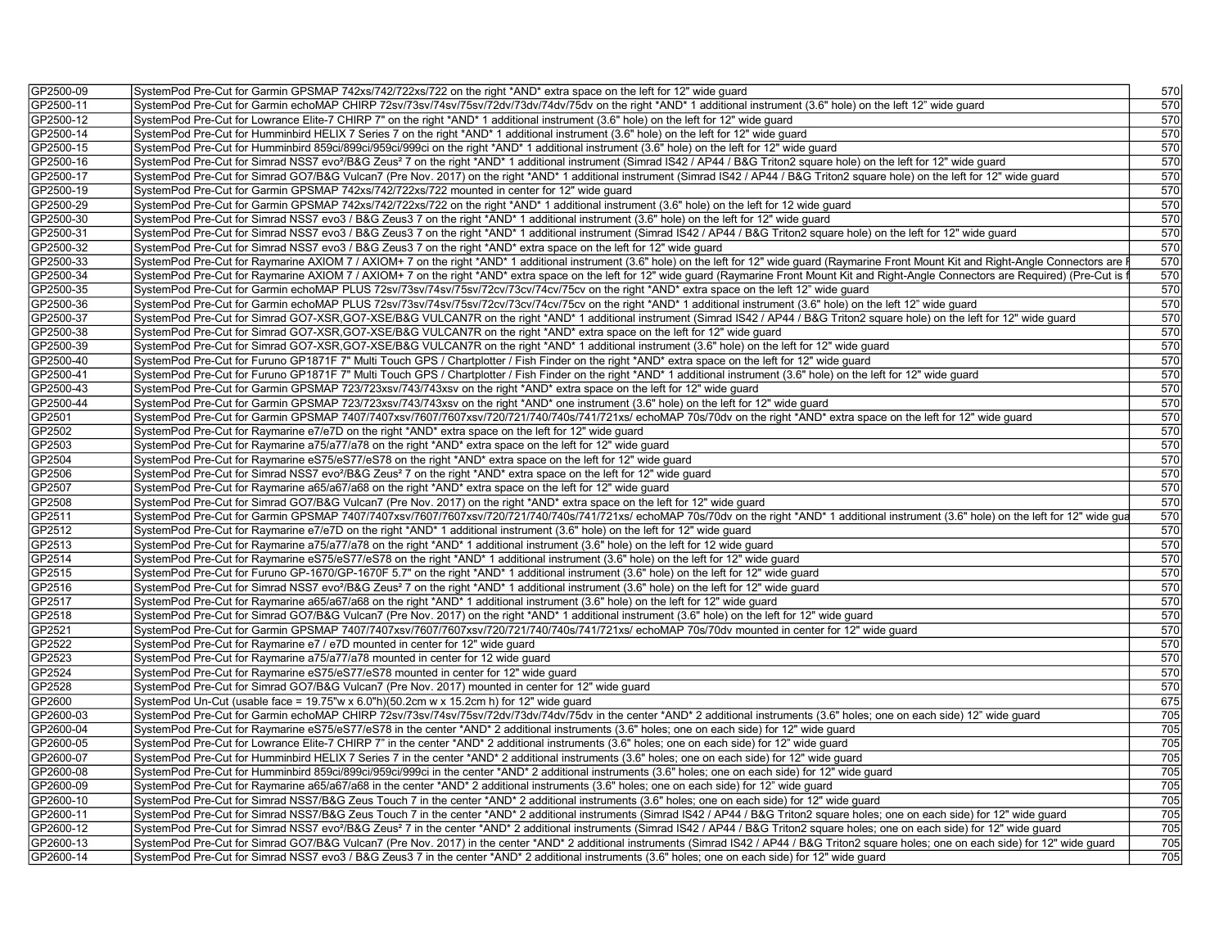| GP2500-09 | SystemPod Pre-Cut for Garmin GPSMAP 742xs/742/722xs/722 on the right *AND* extra space on the left for 12" wide guard                                                                                         | 570        |
|-----------|---------------------------------------------------------------------------------------------------------------------------------------------------------------------------------------------------------------|------------|
| GP2500-11 | SystemPod Pre-Cut for Garmin echoMAP CHIRP 72sv/73sv/74sv/75sv/72dv/73dv/74dv/75dv on the right *AND* 1 additional instrument (3.6" hole) on the left 12" wide guard                                          | 570        |
| GP2500-12 | SystemPod Pre-Cut for Lowrance Elite-7 CHIRP 7" on the right *AND* 1 additional instrument (3.6" hole) on the left for 12" wide quard                                                                         | 570        |
| GP2500-14 | SystemPod Pre-Cut for Humminbird HELIX 7 Series 7 on the right *AND* 1 additional instrument (3.6" hole) on the left for 12" wide guard                                                                       | 570        |
| GP2500-15 | SystemPod Pre-Cut for Humminbird 859ci/899ci/959ci/999ci on the right *AND* 1 additional instrument (3.6" hole) on the left for 12" wide quard                                                                | 570        |
| GP2500-16 | SystemPod Pre-Cut for Simrad NSS7 evo <sup>2</sup> /B&G Zeus <sup>2</sup> 7 on the right *AND* 1 additional instrument (Simrad IS42 / AP44 / B&G Triton2 square hole) on the left for 12" wide guard          | 570        |
| GP2500-17 | SystemPod Pre-Cut for Simrad GO7/B&G Vulcan7 (Pre Nov. 2017) on the right *AND* 1 additional instrument (Simrad IS42 / AP44 / B&G Triton2 square hole) on the left for 12" wide guard                         | 570        |
| GP2500-19 | SystemPod Pre-Cut for Garmin GPSMAP 742xs/742/722xs/722 mounted in center for 12" wide guard                                                                                                                  | 570        |
| GP2500-29 | SystemPod Pre-Cut for Garmin GPSMAP 742xs/742/722xs/722 on the right *AND* 1 additional instrument (3.6" hole) on the left for 12 wide quard                                                                  | 570        |
| GP2500-30 | SystemPod Pre-Cut for Simrad NSS7 evo3 / B&G Zeus3 7 on the right *AND* 1 additional instrument (3.6" hole) on the left for 12" wide guard                                                                    | 570        |
| GP2500-31 | SystemPod Pre-Cut for Simrad NSS7 evo3 / B&G Zeus3 7 on the right *AND* 1 additional instrument (Simrad IS42 / AP44 / B&G Triton2 square hole) on the left for 12" wide guard                                 | 570        |
| GP2500-32 | SystemPod Pre-Cut for Simrad NSS7 evo3 / B&G Zeus3 7 on the right *AND* extra space on the left for 12" wide guard                                                                                            | 570        |
| GP2500-33 | SystemPod Pre-Cut for Raymarine AXIOM 7 / AXIOM+ 7 on the right *AND* 1 additional instrument (3.6" hole) on the left for 12" wide guard (Raymarine Front Mount Kit and Right-Angle Connectors are            | 570        |
| GP2500-34 | SystemPod Pre-Cut for Raymarine AXIOM 7 / AXIOM+ 7 on the right *AND* extra space on the left for 12" wide guard (Raymarine Front Mount Kit and Right-Angle Connectors are Required) (Pre-Cut is              | 570        |
| GP2500-35 | SystemPod Pre-Cut for Garmin echoMAP PLUS 72sv/73sv/74sv/75sv/72cv/73cv/74cv/75cv on the right *AND* extra space on the left 12" wide guard                                                                   | 570        |
| GP2500-36 | SystemPod Pre-Cut for Garmin echoMAP PLUS 72sv/73sv/74sv/75sv/72cv/73cv/74cv/75cv on the right *AND* 1 additional instrument (3.6" hole) on the left 12" wide quard                                           | 570        |
| GP2500-37 | SystemPod Pre-Cut for Simrad GO7-XSR,GO7-XSE/B&G VULCAN7R on the right *AND* 1 additional instrument (Simrad IS42 / AP44 / B&G Triton2 square hole) on the left for 12" wide guard                            | 570        |
| GP2500-38 | SystemPod Pre-Cut for Simrad GO7-XSR, GO7-XSE/B&G VULCAN7R on the right *AND* extra space on the left for 12" wide guard                                                                                      | 570        |
| GP2500-39 | SystemPod Pre-Cut for Simrad GO7-XSR,GO7-XSE/B&G VULCAN7R on the right *AND* 1 additional instrument (3.6" hole) on the left for 12" wide quard                                                               | 570        |
| GP2500-40 | SystemPod Pre-Cut for Furuno GP1871F 7" Multi Touch GPS / Chartplotter / Fish Finder on the right *AND* extra space on the left for 12" wide guard                                                            | 570        |
| GP2500-41 | SystemPod Pre-Cut for Furuno GP1871F 7" Multi Touch GPS / Chartplotter / Fish Finder on the right *AND* 1 additional instrument (3.6" hole) on the left for 12" wide guard                                    | 570        |
| GP2500-43 | SystemPod Pre-Cut for Garmin GPSMAP 723/723xsv/743/743xsv on the right *AND* extra space on the left for 12" wide guard                                                                                       | 570        |
| GP2500-44 |                                                                                                                                                                                                               |            |
| GP2501    | SystemPod Pre-Cut for Garmin GPSMAP 723/723xsv/743/743xsv on the right *AND* one instrument (3.6" hole) on the left for 12" wide guard                                                                        | 570<br>570 |
|           | SystemPod Pre-Cut for Garmin GPSMAP 7407/7407xsv/7607/7607xsv/720/721/740/740s/741/721xs/ echoMAP 70s/70dv on the right *AND* extra space on the left for 12" wide guard                                      |            |
| GP2502    | SystemPod Pre-Cut for Raymarine e7/e7D on the right *AND* extra space on the left for 12" wide guard                                                                                                          | 570        |
| GP2503    | SystemPod Pre-Cut for Raymarine a75/a77/a78 on the right *AND* extra space on the left for 12" wide quard                                                                                                     | 570        |
| GP2504    | SystemPod Pre-Cut for Raymarine eS75/eS77/eS78 on the right *AND* extra space on the left for 12" wide guard                                                                                                  | 570        |
| GP2506    | SystemPod Pre-Cut for Simrad NSS7 evo <sup>2</sup> /B&G Zeus <sup>2</sup> 7 on the right *AND* extra space on the left for 12" wide guard                                                                     | 570        |
| GP2507    | SystemPod Pre-Cut for Raymarine a65/a67/a68 on the right *AND* extra space on the left for 12" wide guard                                                                                                     | 570        |
| GP2508    | SystemPod Pre-Cut for Simrad GO7/B&G Vulcan7 (Pre Nov. 2017) on the right *AND* extra space on the left for 12" wide guard                                                                                    | 570        |
| GP2511    | SystemPod Pre-Cut for Garmin GPSMAP 7407/7407xsv/7607/7607xsv/720/721/740/740s/741/721xs/ echoMAP 70s/70dv on the right *AND* 1 additional instrument (3.6" hole) on the left for 12" wide gua                | 570        |
| GP2512    | SystemPod Pre-Cut for Raymarine e7/e7D on the right *AND* 1 additional instrument (3.6" hole) on the left for 12" wide guard                                                                                  | 570        |
| GP2513    | SystemPod Pre-Cut for Raymarine a75/a77/a78 on the right *AND* 1 additional instrument (3.6" hole) on the left for 12 wide quard                                                                              | 570        |
| GP2514    | SystemPod Pre-Cut for Raymarine eS75/eS77/eS78 on the right *AND* 1 additional instrument (3.6" hole) on the left for 12" wide guard                                                                          | 570        |
| GP2515    | SystemPod Pre-Cut for Furuno GP-1670/GP-1670F 5.7" on the right *AND* 1 additional instrument (3.6" hole) on the left for 12" wide guard                                                                      | 570        |
| GP2516    | SystemPod Pre-Cut for Simrad NSS7 evo <sup>2</sup> /B&G Zeus <sup>2</sup> 7 on the right *AND* 1 additional instrument (3.6" hole) on the left for 12" wide guard                                             | 570        |
| GP2517    | SystemPod Pre-Cut for Raymarine a65/a67/a68 on the right *AND* 1 additional instrument (3.6" hole) on the left for 12" wide guard                                                                             | 570        |
| GP2518    | SystemPod Pre-Cut for Simrad GO7/B&G Vulcan7 (Pre Nov. 2017) on the right *AND* 1 additional instrument (3.6" hole) on the left for 12" wide quard                                                            | 570        |
| GP2521    | SystemPod Pre-Cut for Garmin GPSMAP 7407/7407xsv/7607/7607xsv/720/721/740/740s/741/721xs/ echoMAP 70s/70dv mounted in center for 12" wide guard                                                               | 570        |
| GP2522    | SystemPod Pre-Cut for Raymarine e7 / e7D mounted in center for 12" wide guard                                                                                                                                 | 570        |
| GP2523    | SystemPod Pre-Cut for Raymarine a75/a77/a78 mounted in center for 12 wide quard                                                                                                                               | 570        |
| GP2524    | SystemPod Pre-Cut for Raymarine eS75/eS77/eS78 mounted in center for 12" wide guard                                                                                                                           | 570        |
| GP2528    | SystemPod Pre-Cut for Simrad GO7/B&G Vulcan7 (Pre Nov. 2017) mounted in center for 12" wide guard                                                                                                             | 570        |
| GP2600    | SystemPod Un-Cut (usable face = $19.75$ "w x 6.0"h)(50.2cm w x 15.2cm h) for 12" wide guard                                                                                                                   | 675        |
| GP2600-03 | SystemPod Pre-Cut for Garmin echoMAP CHIRP 72sv/73sv/74sv/75sv/72dv/73dv/74dv/75dv in the center *AND* 2 additional instruments (3.6" holes; one on each side) 12" wide guard                                 | 705        |
| GP2600-04 | SystemPod Pre-Cut for Raymarine eS75/eS77/eS78 in the center *AND* 2 additional instruments (3.6" holes; one on each side) for 12" wide guard                                                                 | 705        |
| GP2600-05 | SystemPod Pre-Cut for Lowrance Elite-7 CHIRP 7" in the center *AND* 2 additional instruments (3.6" holes; one on each side) for 12" wide quard                                                                | 705        |
| GP2600-07 | SystemPod Pre-Cut for Humminbird HELIX 7 Series 7 in the center *AND* 2 additional instruments (3.6" holes; one on each side) for 12" wide guard                                                              | 705        |
| GP2600-08 | SystemPod Pre-Cut for Humminbird 859ci/899ci/959ci/999ci in the center *AND* 2 additional instruments (3.6" holes; one on each side) for 12" wide guard                                                       | 705        |
| GP2600-09 | SystemPod Pre-Cut for Raymarine a65/a67/a68 in the center *AND* 2 additional instruments (3.6" holes; one on each side) for 12" wide guard                                                                    | 705        |
| GP2600-10 | SystemPod Pre-Cut for Simrad NSS7/B&G Zeus Touch 7 in the center *AND* 2 additional instruments (3.6" holes; one on each side) for 12" wide guard                                                             | 705        |
| GP2600-11 | SystemPod Pre-Cut for Simrad NSS7/B&G Zeus Touch 7 in the center *AND* 2 additional instruments (Simrad IS42 / AP44 / B&G Triton2 square holes; one on each side) for 12" wide guard                          | 705        |
| GP2600-12 | SystemPod Pre-Cut for Simrad NSS7 evo <sup>2</sup> /B&G Zeus <sup>2</sup> 7 in the center *AND* 2 additional instruments (Simrad IS42 / AP44 / B&G Triton2 square holes; one on each side) for 12" wide guard | 705        |
| GP2600-13 | SystemPod Pre-Cut for Simrad GO7/B&G Vulcan7 (Pre Nov. 2017) in the center *AND* 2 additional instruments (Simrad IS42 / AP44 / B&G Triton2 square holes; one on each side) for 12" wide guard                | 705        |
| GP2600-14 | SystemPod Pre-Cut for Simrad NSS7 evo3 / B&G Zeus3 7 in the center *AND* 2 additional instruments (3.6" holes; one on each side) for 12" wide guard                                                           | 705        |
|           |                                                                                                                                                                                                               |            |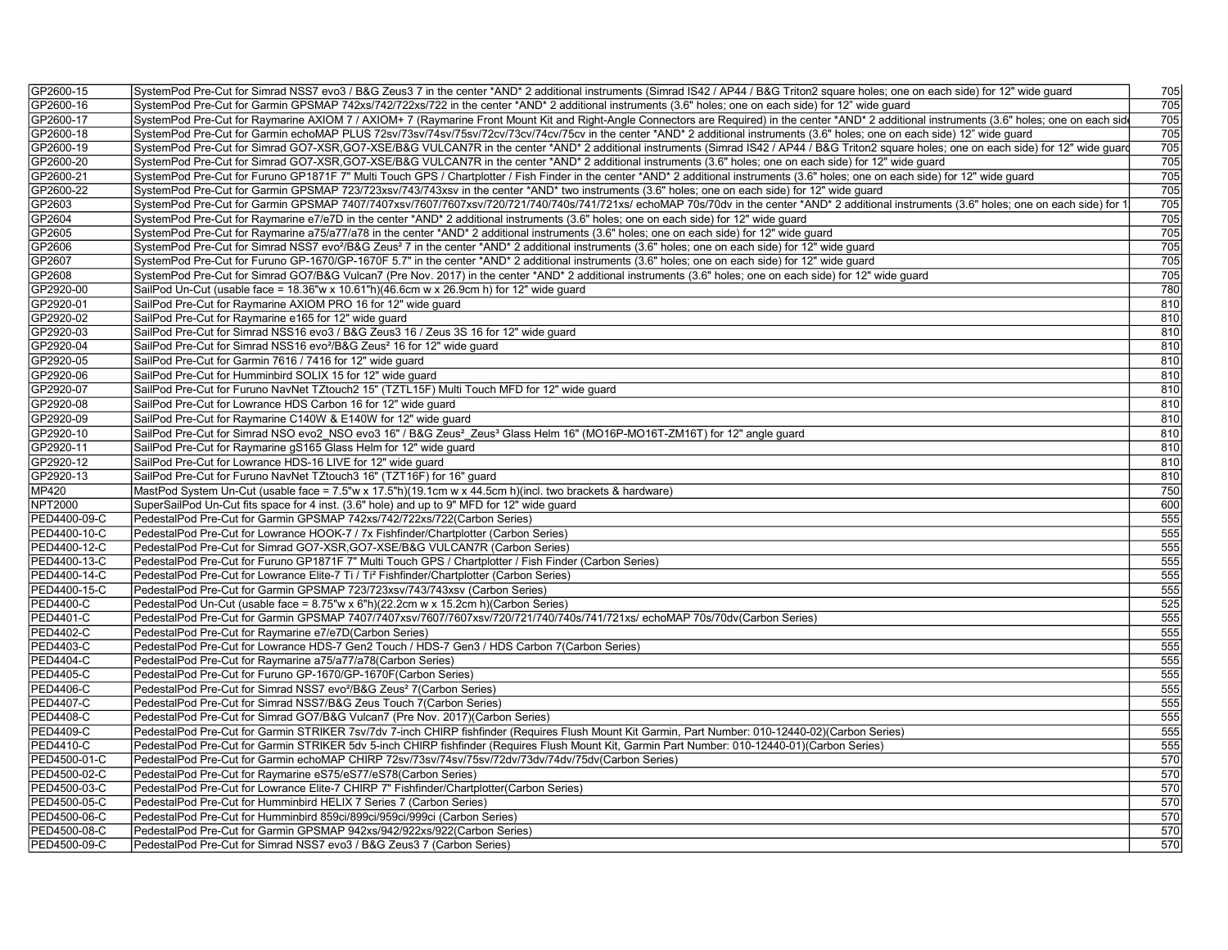| GP2600-15        | SystemPod Pre-Cut for Simrad NSS7 evo3 / B&G Zeus3 7 in the center *AND* 2 additional instruments (Simrad IS42 / AP44 / B&G Triton2 square holes; one on each side) for 12" wide guard            | 705              |
|------------------|---------------------------------------------------------------------------------------------------------------------------------------------------------------------------------------------------|------------------|
| GP2600-16        | SystemPod Pre-Cut for Garmin GPSMAP 742xs/742/722xs/722 in the center *AND* 2 additional instruments (3.6" holes; one on each side) for 12" wide quard                                            | 705              |
| GP2600-17        | SystemPod Pre-Cut for Raymarine AXIOM 7 / AXIOM+ 7 (Raymarine Front Mount Kit and Right-Angle Connectors are Required) in the center *AND* 2 additional instruments (3.6" holes; one on each side | 705              |
| GP2600-18        | SystemPod Pre-Cut for Garmin echoMAP PLUS 72sv/73sv/74sv/75sv/72cv/73cv/74cv/75cv in the center *AND* 2 additional instruments (3.6" holes; one on each side) 12" wide guard                      | 705              |
| GP2600-19        | SystemPod Pre-Cut for Simrad GO7-XSR, GO7-XSE/B&G VULCAN7R in the center *AND* 2 additional instruments (Simrad IS42 / AP44 / B&G Triton2 square holes; one on each side) for 12" wide guard      | 705              |
| GP2600-20        | SystemPod Pre-Cut for Simrad GO7-XSR, GO7-XSE/B&G VULCAN7R in the center *AND* 2 additional instruments (3.6" holes; one on each side) for 12" wide quard                                         | $\overline{705}$ |
| GP2600-21        | SystemPod Pre-Cut for Furuno GP1871F 7" Multi Touch GPS / Chartplotter / Fish Finder in the center *AND* 2 additional instruments (3.6" holes; one on each side) for 12" wide quard               | 705              |
| GP2600-22        | SystemPod Pre-Cut for Garmin GPSMAP 723/723xsv/743/743xsv in the center *AND* two instruments (3.6" holes; one on each side) for 12" wide guard                                                   | 705              |
| GP2603           | SystemPod Pre-Cut for Garmin GPSMAP 7407/7407xsv/7607/7607xsv/720/721/740/740/740/741/721xs/ echoMAP 70s/70dv in the center *AND* 2 additional instruments (3.6" holes; one on each side) for     | 705              |
| GP2604           | SystemPod Pre-Cut for Raymarine e7/e7D in the center *AND* 2 additional instruments (3.6" holes; one on each side) for 12" wide quard                                                             | 705              |
| GP2605           | SystemPod Pre-Cut for Raymarine a75/a77/a78 in the center *AND* 2 additional instruments (3.6" holes; one on each side) for 12" wide guard                                                        | 705              |
| GP2606           | SystemPod Pre-Cut for Simrad NSS7 evo <sup>2</sup> /B&G Zeus <sup>2</sup> 7 in the center *AND* 2 additional instruments (3.6" holes; one on each side) for 12" wide quard                        | 705              |
| GP2607           | SystemPod Pre-Cut for Furuno GP-1670/GP-1670F 5.7" in the center *AND* 2 additional instruments (3.6" holes; one on each side) for 12" wide guard                                                 | 705              |
| GP2608           | SystemPod Pre-Cut for Simrad GO7/B&G Vulcan7 (Pre Nov. 2017) in the center *AND* 2 additional instruments (3.6" holes; one on each side) for 12" wide guard                                       | 705              |
|                  |                                                                                                                                                                                                   |                  |
| GP2920-00        | SailPod Un-Cut (usable face = 18.36"w x 10.61"h)(46.6cm w x 26.9cm h) for 12" wide guard                                                                                                          | 780<br>810       |
| GP2920-01        | SailPod Pre-Cut for Raymarine AXIOM PRO 16 for 12" wide quard                                                                                                                                     |                  |
| GP2920-02        | SailPod Pre-Cut for Raymarine e165 for 12" wide quard                                                                                                                                             | 810              |
| GP2920-03        | SailPod Pre-Cut for Simrad NSS16 evo3 / B&G Zeus3 16 / Zeus 3S 16 for 12" wide quard                                                                                                              | 810              |
| GP2920-04        | SailPod Pre-Cut for Simrad NSS16 evo <sup>2</sup> /B&G Zeus <sup>2</sup> 16 for 12" wide quard                                                                                                    | 810              |
| GP2920-05        | SailPod Pre-Cut for Garmin 7616 / 7416 for 12" wide guard                                                                                                                                         | 810              |
| GP2920-06        | SailPod Pre-Cut for Humminbird SOLIX 15 for 12" wide guard                                                                                                                                        | 810              |
| GP2920-07        | SailPod Pre-Cut for Furuno NavNet TZtouch2 15" (TZTL15F) Multi Touch MFD for 12" wide guard                                                                                                       | 810              |
| GP2920-08        | SailPod Pre-Cut for Lowrance HDS Carbon 16 for 12" wide quard                                                                                                                                     | 810              |
| GP2920-09        | SailPod Pre-Cut for Raymarine C140W & E140W for 12" wide guard                                                                                                                                    | 810              |
| GP2920-10        | SailPod Pre-Cut for Simrad NSO evo2 NSO evo3 16" / B&G Zeus <sup>2</sup> Zeus <sup>3</sup> Glass Helm 16" (MO16P-MO16T-ZM16T) for 12" angle quard                                                 | 810              |
| GP2920-11        | SailPod Pre-Cut for Raymarine gS165 Glass Helm for 12" wide quard                                                                                                                                 | 810              |
| GP2920-12        | SailPod Pre-Cut for Lowrance HDS-16 LIVE for 12" wide guard                                                                                                                                       | 810              |
| GP2920-13        | SailPod Pre-Cut for Furuno NavNet TZtouch3 16" (TZT16F) for 16" quard                                                                                                                             | 810              |
| MP420            | MastPod System Un-Cut (usable face = 7.5"w x 17.5"h)(19.1cm w x 44.5cm h)(incl. two brackets & hardware)                                                                                          | 750              |
| <b>NPT2000</b>   | SuperSailPod Un-Cut fits space for 4 inst. (3.6" hole) and up to 9" MFD for 12" wide guard                                                                                                        | 600              |
| PED4400-09-C     | PedestalPod Pre-Cut for Garmin GPSMAP 742xs/742/722xs/722(Carbon Series)                                                                                                                          | 555              |
| PED4400-10-C     | PedestalPod Pre-Cut for Lowrance HOOK-7 / 7x Fishfinder/Chartplotter (Carbon Series)                                                                                                              | 555              |
| PED4400-12-C     | PedestalPod Pre-Cut for Simrad GO7-XSR, GO7-XSE/B&G VULCAN7R (Carbon Series)                                                                                                                      | 555              |
| PED4400-13-C     | PedestalPod Pre-Cut for Furuno GP1871F 7" Multi Touch GPS / Chartplotter / Fish Finder (Carbon Series)                                                                                            | 555              |
| PED4400-14-C     | PedestalPod Pre-Cut for Lowrance Elite-7 Ti / Ti <sup>2</sup> Fishfinder/Chartplotter (Carbon Series)                                                                                             | 555              |
| PED4400-15-C     | PedestalPod Pre-Cut for Garmin GPSMAP 723/723xsv/743/743xsv (Carbon Series)                                                                                                                       | 555              |
| <b>PED4400-C</b> | PedestalPod Un-Cut (usable face = 8.75"w x 6"h)(22.2cm w x 15.2cm h)(Carbon Series)                                                                                                               | 525              |
| PED4401-C        | PedestalPod Pre-Cut for Garmin GPSMAP 7407/7407xsv/7607/7607xsv/720/721/740/740s/741/721xs/ echoMAP 70s/70dv(Carbon Series)                                                                       | 555              |
| <b>PED4402-C</b> | PedestalPod Pre-Cut for Raymarine e7/e7D(Carbon Series)                                                                                                                                           | 555              |
| <b>PED4403-C</b> | PedestalPod Pre-Cut for Lowrance HDS-7 Gen2 Touch / HDS-7 Gen3 / HDS Carbon 7(Carbon Series)                                                                                                      | 555              |
| <b>PED4404-C</b> | PedestalPod Pre-Cut for Raymarine a75/a77/a78(Carbon Series)                                                                                                                                      | 555              |
| <b>PED4405-C</b> | PedestalPod Pre-Cut for Furuno GP-1670/GP-1670F(Carbon Series)                                                                                                                                    | 555              |
| <b>PED4406-C</b> | PedestalPod Pre-Cut for Simrad NSS7 evo <sup>2</sup> /B&G Zeus <sup>2</sup> 7(Carbon Series)                                                                                                      | 555              |
| <b>PED4407-C</b> | PedestalPod Pre-Cut for Simrad NSS7/B&G Zeus Touch 7(Carbon Series)                                                                                                                               | 555              |
| <b>PED4408-C</b> | PedestalPod Pre-Cut for Simrad GO7/B&G Vulcan7 (Pre Nov. 2017)(Carbon Series)                                                                                                                     | 555              |
| <b>PED4409-C</b> | PedestalPod Pre-Cut for Garmin STRIKER 7sv/7dv 7-inch CHIRP fishfinder (Requires Flush Mount Kit Garmin, Part Number: 010-12440-02)(Carbon Series)                                                | 555              |
| <b>PED4410-C</b> | PedestalPod Pre-Cut for Garmin STRIKER 5dv 5-inch CHIRP fishfinder (Requires Flush Mount Kit, Garmin Part Number: 010-12440-01)(Carbon Series)                                                    | 555              |
| PED4500-01-C     | PedestalPod Pre-Cut for Garmin echoMAP CHIRP 72sv/73sv/74sv/75sv/72dv/73dv/74dv/75dv(Carbon Series)                                                                                               | 570              |
| PED4500-02-C     | PedestalPod Pre-Cut for Raymarine eS75/eS77/eS78(Carbon Series)                                                                                                                                   | 570              |
|                  |                                                                                                                                                                                                   |                  |
| PED4500-03-C     | PedestalPod Pre-Cut for Lowrance Elite-7 CHIRP 7" Fishfinder/Chartplotter(Carbon Series)                                                                                                          | 570              |
| PED4500-05-C     | PedestalPod Pre-Cut for Humminbird HELIX 7 Series 7 (Carbon Series)                                                                                                                               | 570              |
| PED4500-06-C     | PedestalPod Pre-Cut for Humminbird 859ci/899ci/959ci/999ci (Carbon Series)                                                                                                                        | 570              |
| PED4500-08-C     | PedestalPod Pre-Cut for Garmin GPSMAP 942xs/942/922xs/922(Carbon Series)                                                                                                                          | 570              |
| PED4500-09-C     | PedestalPod Pre-Cut for Simrad NSS7 evo3 / B&G Zeus3 7 (Carbon Series)                                                                                                                            | 570              |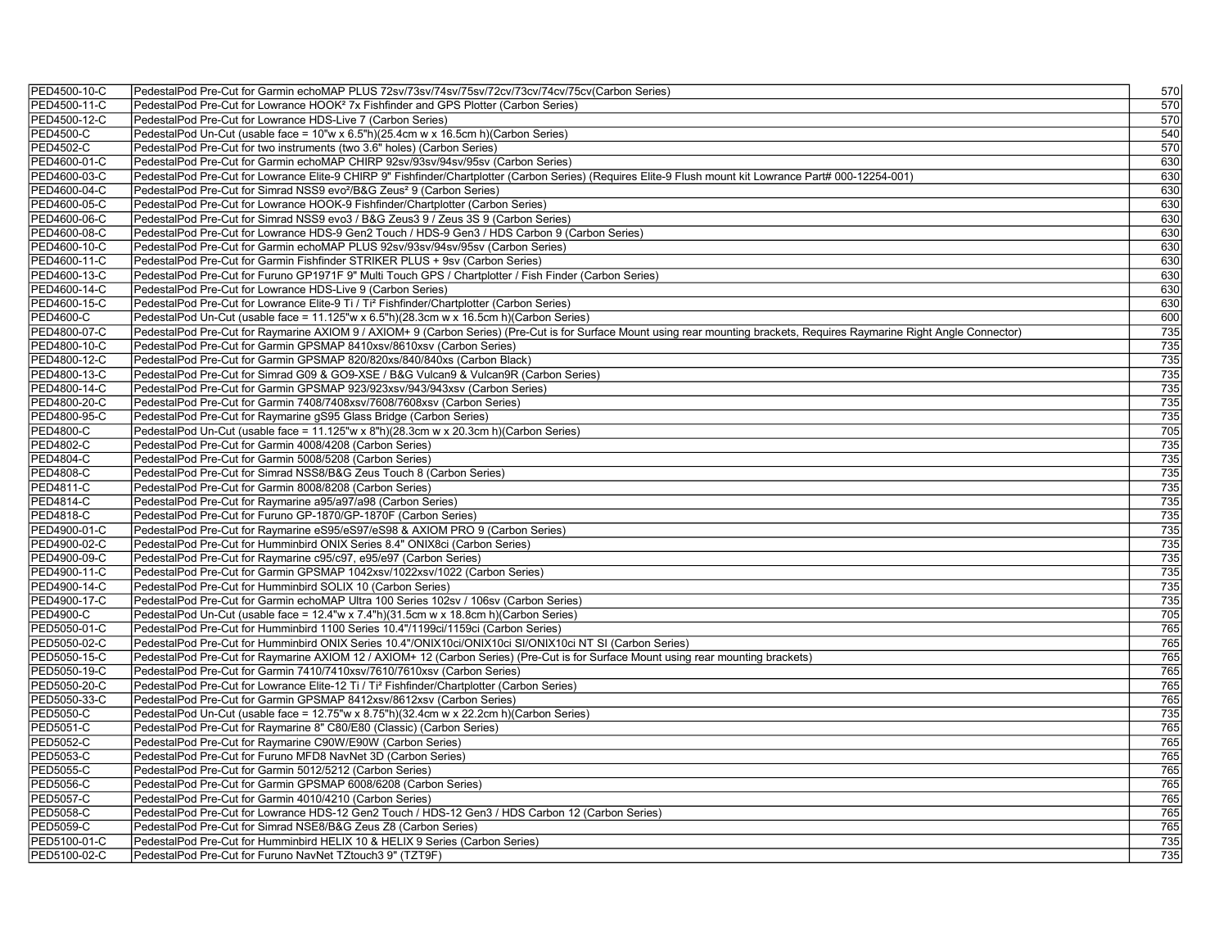| PED4500-10-C     | PedestalPod Pre-Cut for Garmin echoMAP PLUS 72sv/73sv/74sv/75sv/72cv/73cv/74cv/75cv(Carbon Series)                                                                         | 570              |
|------------------|----------------------------------------------------------------------------------------------------------------------------------------------------------------------------|------------------|
| PED4500-11-C     | PedestalPod Pre-Cut for Lowrance HOOK <sup>2</sup> 7x Fishfinder and GPS Plotter (Carbon Series)                                                                           | 570              |
| PED4500-12-C     | PedestalPod Pre-Cut for Lowrance HDS-Live 7 (Carbon Series)                                                                                                                | 570              |
| <b>PED4500-C</b> | PedestalPod Un-Cut (usable face = 10"w x 6.5"h)(25.4cm w x 16.5cm h)(Carbon Series)                                                                                        | 540              |
| <b>PED4502-C</b> | PedestalPod Pre-Cut for two instruments (two 3.6" holes) (Carbon Series)                                                                                                   | 570              |
| PED4600-01-C     | PedestalPod Pre-Cut for Garmin echoMAP CHIRP 92sv/93sv/94sv/95sv (Carbon Series)                                                                                           | 630              |
| PED4600-03-C     | PedestalPod Pre-Cut for Lowrance Elite-9 CHIRP 9" Fishfinder/Chartplotter (Carbon Series) (Requires Elite-9 Flush mount kit Lowrance Part# 000-12254-001)                  | 630              |
| PED4600-04-C     | PedestalPod Pre-Cut for Simrad NSS9 evo <sup>2</sup> /B&G Zeus <sup>2</sup> 9 (Carbon Series)                                                                              | 630              |
| PED4600-05-C     | PedestalPod Pre-Cut for Lowrance HOOK-9 Fishfinder/Chartplotter (Carbon Series)                                                                                            | 630              |
| PED4600-06-C     | PedestalPod Pre-Cut for Simrad NSS9 evo3 / B&G Zeus3 9 / Zeus 3S 9 (Carbon Series)                                                                                         | 630              |
| PED4600-08-C     | PedestalPod Pre-Cut for Lowrance HDS-9 Gen2 Touch / HDS-9 Gen3 / HDS Carbon 9 (Carbon Series)                                                                              | 630              |
| PED4600-10-C     | PedestalPod Pre-Cut for Garmin echoMAP PLUS 92sv/93sv/94sv/95sv (Carbon Series)                                                                                            | 630              |
| PED4600-11-C     | PedestalPod Pre-Cut for Garmin Fishfinder STRIKER PLUS + 9sv (Carbon Series)                                                                                               | 630              |
| PED4600-13-C     | PedestalPod Pre-Cut for Furuno GP1971F 9" Multi Touch GPS / Chartplotter / Fish Finder (Carbon Series)                                                                     | 630              |
| PED4600-14-C     | PedestalPod Pre-Cut for Lowrance HDS-Live 9 (Carbon Series)                                                                                                                | 630              |
| PED4600-15-C     | PedestalPod Pre-Cut for Lowrance Elite-9 Ti / Ti <sup>2</sup> Fishfinder/Chartplotter (Carbon Series)                                                                      | 630              |
| <b>PED4600-C</b> | PedestalPod Un-Cut (usable face = 11.125"w x 6.5"h)(28.3cm w x 16.5cm h)(Carbon Series)                                                                                    | 600              |
| PED4800-07-C     | PedestalPod Pre-Cut for Raymarine AXIOM 9 / AXIOM+ 9 (Carbon Series) (Pre-Cut is for Surface Mount using rear mounting brackets, Requires Raymarine Right Angle Connector) | 735              |
| PED4800-10-C     | PedestalPod Pre-Cut for Garmin GPSMAP 8410xsv/8610xsv (Carbon Series)                                                                                                      | 735              |
| PED4800-12-C     | PedestalPod Pre-Cut for Garmin GPSMAP 820/820xs/840/840xs (Carbon Black)                                                                                                   | $\overline{735}$ |
| PED4800-13-C     | PedestalPod Pre-Cut for Simrad G09 & GO9-XSE / B&G Vulcan9 & Vulcan9R (Carbon Series)                                                                                      | 735              |
| PED4800-14-C     | PedestalPod Pre-Cut for Garmin GPSMAP 923/923xsv/943/943xsv (Carbon Series)                                                                                                | 735              |
| PED4800-20-C     | PedestalPod Pre-Cut for Garmin 7408/7408xsv/7608/7608xsv (Carbon Series)                                                                                                   | $\overline{735}$ |
| PED4800-95-C     | PedestalPod Pre-Cut for Raymarine gS95 Glass Bridge (Carbon Series)                                                                                                        | 735              |
| <b>PED4800-C</b> | PedestalPod Un-Cut (usable face = 11.125"w x 8"h)(28.3cm w x 20.3cm h)(Carbon Series)                                                                                      | 705              |
| <b>PED4802-C</b> | PedestalPod Pre-Cut for Garmin 4008/4208 (Carbon Series)                                                                                                                   | $\overline{735}$ |
| <b>PED4804-C</b> | PedestalPod Pre-Cut for Garmin 5008/5208 (Carbon Series)                                                                                                                   | 735              |
| <b>PED4808-C</b> | PedestalPod Pre-Cut for Simrad NSS8/B&G Zeus Touch 8 (Carbon Series)                                                                                                       | 735              |
| PED4811-C        | PedestalPod Pre-Cut for Garmin 8008/8208 (Carbon Series)                                                                                                                   | $\overline{735}$ |
| PED4814-C        | PedestalPod Pre-Cut for Raymarine a95/a97/a98 (Carbon Series)                                                                                                              | 735              |
| PED4818-C        | PedestalPod Pre-Cut for Furuno GP-1870/GP-1870F (Carbon Series)                                                                                                            | $\overline{735}$ |
| PED4900-01-C     | PedestalPod Pre-Cut for Raymarine eS95/eS97/eS98 & AXIOM PRO 9 (Carbon Series)                                                                                             | 735              |
| PED4900-02-C     | PedestalPod Pre-Cut for Humminbird ONIX Series 8.4" ONIX8ci (Carbon Series)                                                                                                | 735              |
| PED4900-09-C     | PedestalPod Pre-Cut for Raymarine c95/c97, e95/e97 (Carbon Series)                                                                                                         | 735              |
| PED4900-11-C     | PedestalPod Pre-Cut for Garmin GPSMAP 1042xsv/1022xsv/1022 (Carbon Series)                                                                                                 | $\overline{735}$ |
| PED4900-14-C     | PedestalPod Pre-Cut for Humminbird SOLIX 10 (Carbon Series)                                                                                                                | 735              |
| PED4900-17-C     | PedestalPod Pre-Cut for Garmin echoMAP Ultra 100 Series 102sv / 106sv (Carbon Series)                                                                                      | $\overline{735}$ |
| <b>PED4900-C</b> | PedestalPod Un-Cut (usable face = 12.4"w x 7.4"h)(31.5cm w x 18.8cm h)(Carbon Series)                                                                                      | 705              |
| PED5050-01-C     | PedestalPod Pre-Cut for Humminbird 1100 Series 10.4"/1199ci/1159ci (Carbon Series)                                                                                         | 765              |
| PED5050-02-C     | PedestalPod Pre-Cut for Humminbird ONIX Series 10.4"/ONIX10ci/ONIX10ci SI/ONIX10ci NT SI (Carbon Series)                                                                   | 765              |
| PED5050-15-C     | PedestalPod Pre-Cut for Raymarine AXIOM 12 / AXIOM+ 12 (Carbon Series) (Pre-Cut is for Surface Mount using rear mounting brackets)                                         | 765              |
| PED5050-19-C     | PedestalPod Pre-Cut for Garmin 7410/7410xsv/7610/7610xsv (Carbon Series)                                                                                                   | 765              |
| PED5050-20-C     | PedestalPod Pre-Cut for Lowrance Elite-12 Ti / Ti <sup>2</sup> Fishfinder/Chartplotter (Carbon Series)                                                                     | 765              |
| PED5050-33-C     | PedestalPod Pre-Cut for Garmin GPSMAP 8412xsv/8612xsv (Carbon Series)                                                                                                      | 765              |
| <b>PED5050-C</b> | PedestalPod Un-Cut (usable face = 12.75"w x 8.75"h)(32.4cm w x 22.2cm h)(Carbon Series)                                                                                    | $\overline{735}$ |
| PED5051-C        | PedestalPod Pre-Cut for Raymarine 8" C80/E80 (Classic) (Carbon Series)                                                                                                     | 765              |
| <b>PED5052-C</b> | PedestalPod Pre-Cut for Raymarine C90W/E90W (Carbon Series)                                                                                                                | 765              |
| <b>PED5053-C</b> | PedestalPod Pre-Cut for Furuno MFD8 NavNet 3D (Carbon Series)                                                                                                              | 765              |
| <b>PED5055-C</b> | PedestalPod Pre-Cut for Garmin 5012/5212 (Carbon Series)                                                                                                                   | 765              |
| <b>PED5056-C</b> | PedestalPod Pre-Cut for Garmin GPSMAP 6008/6208 (Carbon Series)                                                                                                            | 765              |
| <b>PED5057-C</b> | PedestalPod Pre-Cut for Garmin 4010/4210 (Carbon Series)                                                                                                                   | 765              |
| <b>PED5058-C</b> | PedestalPod Pre-Cut for Lowrance HDS-12 Gen2 Touch / HDS-12 Gen3 / HDS Carbon 12 (Carbon Series)                                                                           | 765              |
| <b>PED5059-C</b> | PedestalPod Pre-Cut for Simrad NSE8/B&G Zeus Z8 (Carbon Series)                                                                                                            | 765              |
| PED5100-01-C     | PedestalPod Pre-Cut for Humminbird HELIX 10 & HELIX 9 Series (Carbon Series)                                                                                               | 735              |
| PED5100-02-C     | PedestalPod Pre-Cut for Furuno NavNet TZtouch3 9" (TZT9F)                                                                                                                  | 735              |
|                  |                                                                                                                                                                            |                  |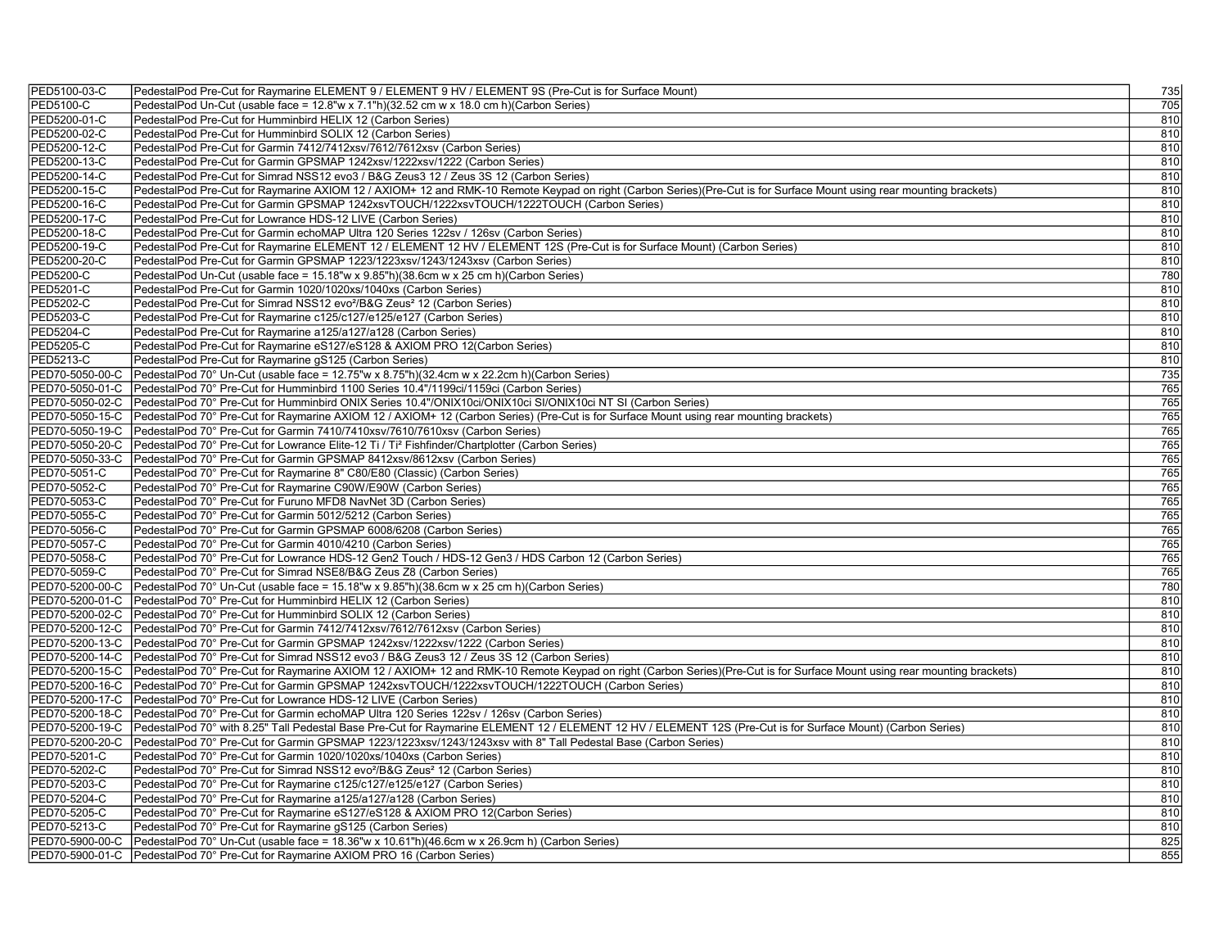| PED5100-03-C     | PedestalPod Pre-Cut for Raymarine ELEMENT 9 / ELEMENT 9 HV / ELEMENT 9S (Pre-Cut is for Surface Mount)                                                                                  | 735        |
|------------------|-----------------------------------------------------------------------------------------------------------------------------------------------------------------------------------------|------------|
| <b>PED5100-C</b> | PedestalPod Un-Cut (usable face = 12.8"w x 7.1"h)(32.52 cm w x 18.0 cm h)(Carbon Series)                                                                                                | 705        |
| PED5200-01-C     | PedestalPod Pre-Cut for Humminbird HELIX 12 (Carbon Series)                                                                                                                             | 810        |
| PED5200-02-C     | PedestalPod Pre-Cut for Humminbird SOLIX 12 (Carbon Series)                                                                                                                             | 810        |
| PED5200-12-C     | PedestalPod Pre-Cut for Garmin 7412/7412xsv/7612/7612xsv (Carbon Series)                                                                                                                | 810        |
| PED5200-13-C     | PedestalPod Pre-Cut for Garmin GPSMAP 1242xsv/1222xsv/1222 (Carbon Series)                                                                                                              | 810        |
| PED5200-14-C     | PedestalPod Pre-Cut for Simrad NSS12 evo3 / B&G Zeus3 12 / Zeus 3S 12 (Carbon Series)                                                                                                   | 810        |
| PED5200-15-C     | PedestalPod Pre-Cut for Raymarine AXIOM 12 / AXIOM+ 12 and RMK-10 Remote Keypad on right (Carbon Series)(Pre-Cut is for Surface Mount using rear mounting brackets)                     | 810        |
| PED5200-16-C     | PedestalPod Pre-Cut for Garmin GPSMAP 1242xsvTOUCH/1222xsvTOUCH/1222TOUCH (Carbon Series)                                                                                               | 810        |
| PED5200-17-C     | PedestalPod Pre-Cut for Lowrance HDS-12 LIVE (Carbon Series)                                                                                                                            | 810        |
| PED5200-18-C     | PedestalPod Pre-Cut for Garmin echoMAP Ultra 120 Series 122sv / 126sv (Carbon Series)                                                                                                   | 810        |
| PED5200-19-C     | PedestalPod Pre-Cut for Raymarine ELEMENT 12 / ELEMENT 12 HV / ELEMENT 12S (Pre-Cut is for Surface Mount) (Carbon Series)                                                               | 810        |
| PED5200-20-C     | PedestalPod Pre-Cut for Garmin GPSMAP 1223/1223xsv/1243/1243xsv (Carbon Series)                                                                                                         | 810        |
| <b>PED5200-C</b> | PedestalPod Un-Cut (usable face = 15.18"w x 9.85"h)(38.6cm w x 25 cm h)(Carbon Series)                                                                                                  | 780        |
| PED5201-C        | PedestalPod Pre-Cut for Garmin 1020/1020xs/1040xs (Carbon Series)                                                                                                                       | 810        |
| PED5202-C        | PedestalPod Pre-Cut for Simrad NSS12 evo <sup>2</sup> /B&G Zeus <sup>2</sup> 12 (Carbon Series)                                                                                         | 810        |
| <b>PED5203-C</b> | PedestalPod Pre-Cut for Raymarine c125/c127/e125/e127 (Carbon Series)                                                                                                                   | 810        |
| <b>PED5204-C</b> | PedestalPod Pre-Cut for Raymarine a125/a127/a128 (Carbon Series)                                                                                                                        | 810        |
| <b>PED5205-C</b> | PedestalPod Pre-Cut for Raymarine eS127/eS128 & AXIOM PRO 12(Carbon Series)                                                                                                             | 810        |
| <b>PED5213-C</b> | PedestalPod Pre-Cut for Raymarine gS125 (Carbon Series)                                                                                                                                 | 810        |
| PED70-5050-00-C  | PedestalPod 70° Un-Cut (usable face = 12.75"w x 8.75"h)(32.4cm w x 22.2cm h)(Carbon Series)                                                                                             | 735        |
|                  | PED70-5050-01-C   PedestalPod 70° Pre-Cut for Humminbird 1100 Series 10.4"/1199ci/1159ci (Carbon Series)                                                                                | 765        |
|                  | PED70-5050-02-C   PedestalPod 70° Pre-Cut for Humminbird ONIX Series 10.4"/ONIX10ci/ONIX10ci SI/ONIX10ci NT SI (Carbon Series)                                                          | 765        |
| PED70-5050-15-C  | PedestalPod 70° Pre-Cut for Raymarine AXIOM 12 / AXIOM+ 12 (Carbon Series) (Pre-Cut is for Surface Mount using rear mounting brackets)                                                  | 765        |
|                  | PED70-5050-19-C   PedestalPod 70° Pre-Cut for Garmin 7410/7410xsv/7610/7610xsv (Carbon Series)                                                                                          | 765        |
| PED70-5050-20-C  | PedestalPod 70° Pre-Cut for Lowrance Elite-12 Ti / Ti <sup>2</sup> Fishfinder/Chartplotter (Carbon Series)                                                                              | 765        |
| PED70-5050-33-C  | PedestalPod 70° Pre-Cut for Garmin GPSMAP 8412xsv/8612xsv (Carbon Series)                                                                                                               | 765        |
| PED70-5051-C     | PedestalPod 70° Pre-Cut for Raymarine 8" C80/E80 (Classic) (Carbon Series)                                                                                                              | 765        |
| PED70-5052-C     | PedestalPod 70° Pre-Cut for Raymarine C90W/E90W (Carbon Series)                                                                                                                         | 765        |
| PED70-5053-C     | PedestalPod 70° Pre-Cut for Furuno MFD8 NavNet 3D (Carbon Series)                                                                                                                       | 765        |
| PED70-5055-C     | PedestalPod 70° Pre-Cut for Garmin 5012/5212 (Carbon Series)                                                                                                                            | 765        |
| PED70-5056-C     | PedestalPod 70° Pre-Cut for Garmin GPSMAP 6008/6208 (Carbon Series)                                                                                                                     | 765        |
| PED70-5057-C     | PedestalPod 70° Pre-Cut for Garmin 4010/4210 (Carbon Series)                                                                                                                            | 765        |
| PED70-5058-C     |                                                                                                                                                                                         | 765        |
| PED70-5059-C     | PedestalPod 70° Pre-Cut for Lowrance HDS-12 Gen2 Touch / HDS-12 Gen3 / HDS Carbon 12 (Carbon Series)                                                                                    | 765        |
| PED70-5200-00-C  | PedestalPod 70° Pre-Cut for Simrad NSE8/B&G Zeus Z8 (Carbon Series)<br>PedestalPod 70° Un-Cut (usable face = 15.18"w x 9.85"h)(38.6cm w x 25 cm h)(Carbon Series)                       | 780        |
|                  |                                                                                                                                                                                         |            |
|                  | PED70-5200-01-C   PedestalPod 70° Pre-Cut for Humminbird HELIX 12 (Carbon Series)                                                                                                       | 810        |
|                  | PED70-5200-02-C   PedestalPod 70° Pre-Cut for Humminbird SOLIX 12 (Carbon Series)<br>PED70-5200-12-C   PedestalPod 70° Pre-Cut for Garmin 7412/7412xsv/7612/7612xsv (Carbon Series)     | 810<br>810 |
|                  |                                                                                                                                                                                         |            |
|                  | PED70-5200-13-C   PedestalPod 70° Pre-Cut for Garmin GPSMAP 1242xsv/1222xsv/1222 (Carbon Series)                                                                                        | 810        |
|                  | PED70-5200-14-C   PedestalPod 70° Pre-Cut for Simrad NSS12 evo3 / B&G Zeus3 12 / Zeus 3S 12 (Carbon Series)                                                                             | 810        |
|                  | PED70-5200-15-C PedestalPod 70° Pre-Cut for Raymarine AXIOM 12 / AXIOM+ 12 and RMK-10 Remote Keypad on right (Carbon Series)(Pre-Cut is for Surface Mount using rear mounting brackets) | 810        |
|                  | PED70-5200-16-C   PedestalPod 70° Pre-Cut for Garmin GPSMAP 1242xsvTOUCH/1222xsvTOUCH/1222TOUCH (Carbon Series)                                                                         | 810        |
|                  | PED70-5200-17-C   Pedestal Pod 70° Pre-Cut for Lowrance HDS-12 LIVE (Carbon Series)                                                                                                     | 810        |
|                  | PED70-5200-18-C   Pedestal Pod 70° Pre-Cut for Garmin echoMAP Ultra 120 Series 122sv / 126sv (Carbon Series)                                                                            | 810        |
|                  | PED70-5200-19-C  PedestalPod 70° with 8.25" Tall Pedestal Base Pre-Cut for Raymarine ELEMENT 12 / ELEMENT 12 HV / ELEMENT 12S (Pre-Cut is for Surface Mount) (Carbon Series)            | 810        |
| PED70-5200-20-C  | PedestalPod 70° Pre-Cut for Garmin GPSMAP 1223/1223xsv/1243/1243xsv with 8" Tall Pedestal Base (Carbon Series)                                                                          | 810        |
| PED70-5201-C     | PedestalPod 70° Pre-Cut for Garmin 1020/1020xs/1040xs (Carbon Series)                                                                                                                   | 810        |
| PED70-5202-C     | PedestalPod 70° Pre-Cut for Simrad NSS12 evo <sup>2</sup> /B&G Zeus <sup>2</sup> 12 (Carbon Series)                                                                                     | 810        |
| PED70-5203-C     | PedestalPod 70° Pre-Cut for Raymarine c125/c127/e125/e127 (Carbon Series)                                                                                                               | 810        |
| PED70-5204-C     | PedestalPod 70° Pre-Cut for Raymarine a125/a127/a128 (Carbon Series)                                                                                                                    | 810        |
| PED70-5205-C     | PedestalPod 70° Pre-Cut for Raymarine eS127/eS128 & AXIOM PRO 12(Carbon Series)                                                                                                         | 810        |
| PED70-5213-C     | PedestalPod 70° Pre-Cut for Raymarine gS125 (Carbon Series)                                                                                                                             | 810        |
| PED70-5900-00-C  | PedestalPod 70° Un-Cut (usable face = 18.36"w x 10.61"h)(46.6cm w x 26.9cm h) (Carbon Series)                                                                                           | 825        |
|                  | PED70-5900-01-C PedestalPod 70° Pre-Cut for Raymarine AXIOM PRO 16 (Carbon Series)                                                                                                      | 855        |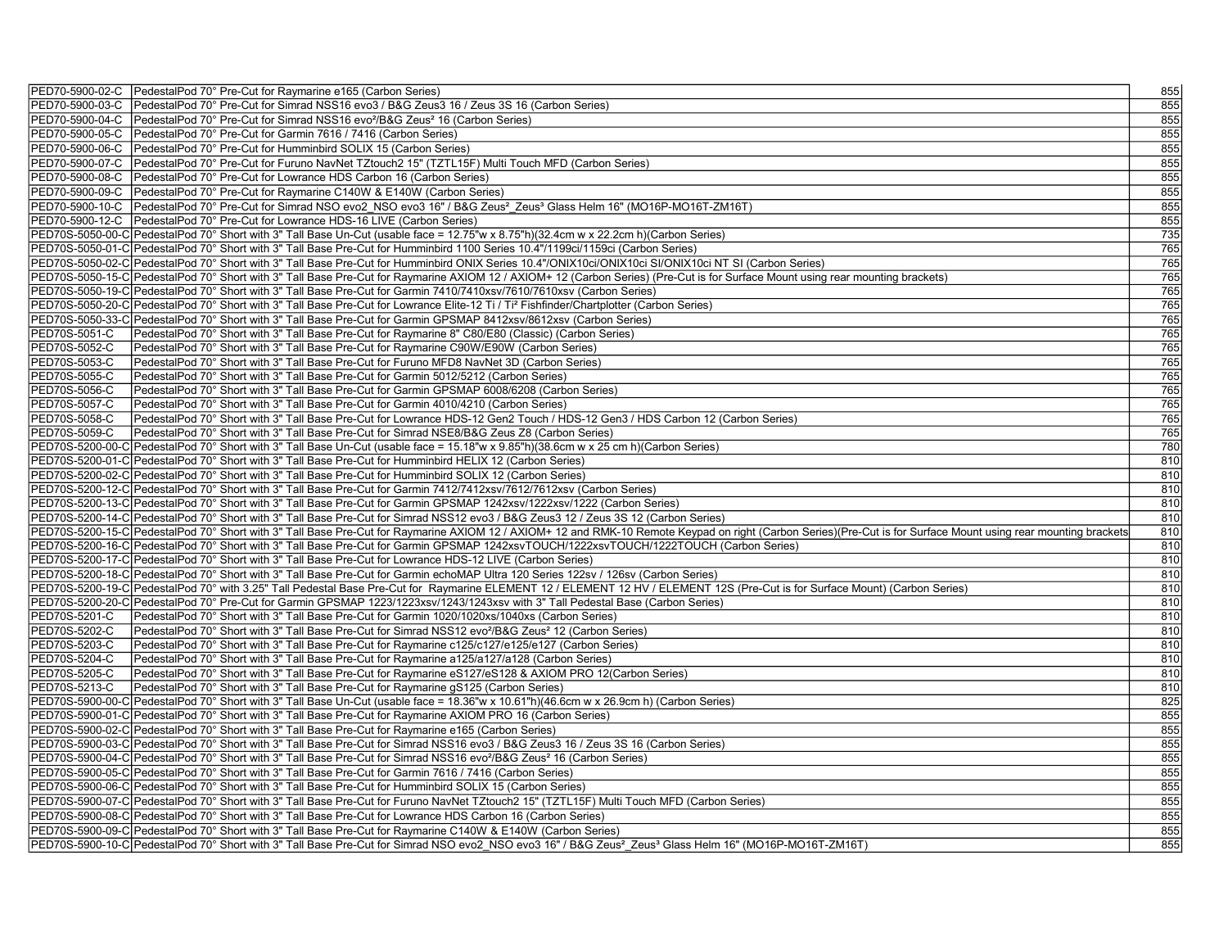| PED70-5900-03-C PedestalPod 70° Pre-Cut for Simrad NSS16 evo3 / B&G Zeus3 16 / Zeus 3S 16 (Carbon Series)<br>855<br>PED70-5900-04-C   Pedestal Pod 70° Pre-Cut for Simrad NSS16 evo <sup>2</sup> /B&G Zeus <sup>2</sup> 16 (Carbon Series)<br>855<br>PED70-5900-05-C   Pedestal Pod 70° Pre-Cut for Garmin 7616 / 7416 (Carbon Series)<br>855<br>855<br>PED70-5900-06-C   PedestalPod 70° Pre-Cut for Humminbird SOLIX 15 (Carbon Series) |
|-------------------------------------------------------------------------------------------------------------------------------------------------------------------------------------------------------------------------------------------------------------------------------------------------------------------------------------------------------------------------------------------------------------------------------------------|
|                                                                                                                                                                                                                                                                                                                                                                                                                                           |
|                                                                                                                                                                                                                                                                                                                                                                                                                                           |
|                                                                                                                                                                                                                                                                                                                                                                                                                                           |
|                                                                                                                                                                                                                                                                                                                                                                                                                                           |
| 855<br>PED70-5900-07-C PedestalPod 70° Pre-Cut for Furuno NavNet TZtouch2 15" (TZTL15F) Multi Touch MFD (Carbon Series)                                                                                                                                                                                                                                                                                                                   |
| PED70-5900-08-C PedestalPod 70° Pre-Cut for Lowrance HDS Carbon 16 (Carbon Series)<br>855                                                                                                                                                                                                                                                                                                                                                 |
| 855<br>PED70-5900-09-C   Pedestal Pod 70° Pre-Cut for Raymarine C140W & E140W (Carbon Series)                                                                                                                                                                                                                                                                                                                                             |
| 855<br>PED70-5900-10-C PedestalPod 70° Pre-Cut for Simrad NSO evo2 NSO evo3 16" / B&G Zeus <sup>2</sup> Zeus <sup>3</sup> Glass Helm 16" (MO16P-MO16T-ZM16T)                                                                                                                                                                                                                                                                              |
| 855<br>PED70-5900-12-C   PedestalPod 70° Pre-Cut for Lowrance HDS-16 LIVE (Carbon Series)                                                                                                                                                                                                                                                                                                                                                 |
| 735<br>PED70S-5050-00-C PedestalPod 70° Short with 3" Tall Base Un-Cut (usable face = 12.75"w x 8.75"h)(32.4cm w x 22.2cm h)(Carbon Series)                                                                                                                                                                                                                                                                                               |
| 765<br>PED70S-5050-01-C PedestalPod 70° Short with 3" Tall Base Pre-Cut for Humminbird 1100 Series 10.4"/1199ci/1159ci (Carbon Series)                                                                                                                                                                                                                                                                                                    |
| 765<br>PED70S-5050-02-C PedestalPod 70° Short with 3" Tall Base Pre-Cut for Humminbird ONIX Series 10.4"/ONIX10ci/ONIX10ci SI/ONIX10ci NT SI (Carbon Series)                                                                                                                                                                                                                                                                              |
| 765<br>PED70S-5050-15-C PedestalPod 70° Short with 3" Tall Base Pre-Cut for Raymarine AXIOM 12 / AXIOM+ 12 (Carbon Series) (Pre-Cut is for Surface Mount using rear mounting brackets)                                                                                                                                                                                                                                                    |
| 765<br>PED70S-5050-19-C PedestalPod 70° Short with 3" Tall Base Pre-Cut for Garmin 7410/7410xsv/7610/7610xsv (Carbon Series)                                                                                                                                                                                                                                                                                                              |
| 765<br>PED70S-5050-20-C PedestalPod 70° Short with 3" Tall Base Pre-Cut for Lowrance Elite-12 Ti / Ti <sup>2</sup> Fishfinder/Chartplotter (Carbon Series)                                                                                                                                                                                                                                                                                |
| 765<br>PED70S-5050-33-C PedestalPod 70° Short with 3" Tall Base Pre-Cut for Garmin GPSMAP 8412xsv/8612xsv (Carbon Series)                                                                                                                                                                                                                                                                                                                 |
| 765<br>PED70S-5051-C<br>PedestalPod 70° Short with 3" Tall Base Pre-Cut for Raymarine 8" C80/E80 (Classic) (Carbon Series)                                                                                                                                                                                                                                                                                                                |
| 765<br>PED70S-5052-C<br>PedestalPod 70° Short with 3" Tall Base Pre-Cut for Raymarine C90W/E90W (Carbon Series)                                                                                                                                                                                                                                                                                                                           |
| PED70S-5053-C<br>PedestalPod 70° Short with 3" Tall Base Pre-Cut for Furuno MFD8 NavNet 3D (Carbon Series)<br>765                                                                                                                                                                                                                                                                                                                         |
| 765<br>PED70S-5055-C<br>PedestalPod 70° Short with 3" Tall Base Pre-Cut for Garmin 5012/5212 (Carbon Series)                                                                                                                                                                                                                                                                                                                              |
| PED70S-5056-C<br>PedestalPod 70° Short with 3" Tall Base Pre-Cut for Garmin GPSMAP 6008/6208 (Carbon Series)<br>765                                                                                                                                                                                                                                                                                                                       |
| 765<br>PED70S-5057-C<br>PedestalPod 70° Short with 3" Tall Base Pre-Cut for Garmin 4010/4210 (Carbon Series)                                                                                                                                                                                                                                                                                                                              |
| PED70S-5058-C<br>765<br>PedestalPod 70° Short with 3" Tall Base Pre-Cut for Lowrance HDS-12 Gen2 Touch / HDS-12 Gen3 / HDS Carbon 12 (Carbon Series)                                                                                                                                                                                                                                                                                      |
| 765<br>PED70S-5059-C<br>PedestalPod 70° Short with 3" Tall Base Pre-Cut for Simrad NSE8/B&G Zeus Z8 (Carbon Series)                                                                                                                                                                                                                                                                                                                       |
| 780<br>PED70S-5200-00-C PedestalPod 70° Short with 3" Tall Base Un-Cut (usable face = 15.18"w x 9.85"h)(38.6cm w x 25 cm h)(Carbon Series)                                                                                                                                                                                                                                                                                                |
| 810<br>PED70S-5200-01-C PedestalPod 70° Short with 3" Tall Base Pre-Cut for Humminbird HELIX 12 (Carbon Series)                                                                                                                                                                                                                                                                                                                           |
| PED70S-5200-02-C PedestalPod 70° Short with 3" Tall Base Pre-Cut for Humminbird SOLIX 12 (Carbon Series)<br>810                                                                                                                                                                                                                                                                                                                           |
| 810<br>PED70S-5200-12-C PedestalPod 70° Short with 3" Tall Base Pre-Cut for Garmin 7412/7412xsv/7612/7612xsv (Carbon Series)                                                                                                                                                                                                                                                                                                              |
| PED70S-5200-13-C PedestalPod 70° Short with 3" Tall Base Pre-Cut for Garmin GPSMAP 1242xsv/1222xsv/1222 (Carbon Series)<br>810                                                                                                                                                                                                                                                                                                            |
| 810<br>PED70S-5200-14-C PedestalPod 70° Short with 3" Tall Base Pre-Cut for Simrad NSS12 evo3 / B&G Zeus3 12 / Zeus 3S 12 (Carbon Series)                                                                                                                                                                                                                                                                                                 |
| 810<br>PED70S-5200-15-C PedestalPod 70° Short with 3" Tall Base Pre-Cut for Raymarine AXIOM 12 / AXIOM+ 12 and RMK-10 Remote Keypad on right (Carbon Series)(Pre-Cut is for Surface Mount using rear mounting brackets                                                                                                                                                                                                                    |
| PED70S-5200-16-C PedestalPod 70° Short with 3" Tall Base Pre-Cut for Garmin GPSMAP 1242xsvTOUCH/1222xsvTOUCH/1222TOUCH (Carbon Series)<br>810                                                                                                                                                                                                                                                                                             |
| 810<br>PED70S-5200-17-C PedestalPod 70° Short with 3" Tall Base Pre-Cut for Lowrance HDS-12 LIVE (Carbon Series)                                                                                                                                                                                                                                                                                                                          |
| PED70S-5200-18-C PedestalPod 70° Short with 3" Tall Base Pre-Cut for Garmin echoMAP Ultra 120 Series 122sv / 126sv (Carbon Series)<br>810                                                                                                                                                                                                                                                                                                 |
| 810<br>PED70S-5200-19-C PedestalPod 70° with 3.25" Tall Pedestal Base Pre-Cut for Raymarine ELEMENT 12 / ELEMENT 12 HV / ELEMENT 12S (Pre-Cut is for Surface Mount) (Carbon Series)                                                                                                                                                                                                                                                       |
| 810<br> PED70S-5200-20-C PedestalPod 70° Pre-Cut for Garmin GPSMAP 1223/1223xsv/1243/1243xsv with 3" Tall Pedestal Base (Carbon Series)                                                                                                                                                                                                                                                                                                   |
| PED70S-5201-C<br>PedestalPod 70° Short with 3" Tall Base Pre-Cut for Garmin 1020/1020xs/1040xs (Carbon Series)<br>810                                                                                                                                                                                                                                                                                                                     |
| PED70S-5202-C<br>PedestalPod 70° Short with 3" Tall Base Pre-Cut for Simrad NSS12 evo <sup>2</sup> /B&G Zeus <sup>2</sup> 12 (Carbon Series)<br>810                                                                                                                                                                                                                                                                                       |
| 810<br>PED70S-5203-C<br>PedestalPod 70° Short with 3" Tall Base Pre-Cut for Raymarine c125/c127/e125/e127 (Carbon Series)                                                                                                                                                                                                                                                                                                                 |
| PED70S-5204-C<br>PedestalPod 70° Short with 3" Tall Base Pre-Cut for Raymarine a125/a127/a128 (Carbon Series)<br>810                                                                                                                                                                                                                                                                                                                      |
| PED70S-5205-C<br>PedestalPod 70° Short with 3" Tall Base Pre-Cut for Raymarine eS127/eS128 & AXIOM PRO 12(Carbon Series)<br>810                                                                                                                                                                                                                                                                                                           |
| 810<br>PED70S-5213-C<br>PedestalPod 70° Short with 3" Tall Base Pre-Cut for Raymarine gS125 (Carbon Series)                                                                                                                                                                                                                                                                                                                               |
| 825<br>PED70S-5900-00-C PedestalPod 70° Short with 3" Tall Base Un-Cut (usable face = 18.36"w x 10.61"h)(46.6cm w x 26.9cm h) (Carbon Series)                                                                                                                                                                                                                                                                                             |
| PED70S-5900-01-C PedestalPod 70° Short with 3" Tall Base Pre-Cut for Raymarine AXIOM PRO 16 (Carbon Series)<br>855                                                                                                                                                                                                                                                                                                                        |
| 855<br>PED70S-5900-02-C PedestalPod 70° Short with 3" Tall Base Pre-Cut for Raymarine e165 (Carbon Series)                                                                                                                                                                                                                                                                                                                                |
| 855<br>PED70S-5900-03-C PedestalPod 70° Short with 3" Tall Base Pre-Cut for Simrad NSS16 evo3 / B&G Zeus3 16 / Zeus 3S 16 (Carbon Series)                                                                                                                                                                                                                                                                                                 |
| 855<br>PED70S-5900-04-C PedestalPod 70° Short with 3" Tall Base Pre-Cut for Simrad NSS16 evo <sup>2</sup> /B&G Zeus <sup>2</sup> 16 (Carbon Series)                                                                                                                                                                                                                                                                                       |
| 855<br>PED70S-5900-05-C PedestalPod 70° Short with 3" Tall Base Pre-Cut for Garmin 7616 / 7416 (Carbon Series)                                                                                                                                                                                                                                                                                                                            |
| 855<br>PED70S-5900-06-C PedestalPod 70° Short with 3" Tall Base Pre-Cut for Humminbird SOLIX 15 (Carbon Series)                                                                                                                                                                                                                                                                                                                           |
| 855<br>PED70S-5900-07-C PedestalPod 70° Short with 3" Tall Base Pre-Cut for Furuno NavNet TZtouch2 15" (TZTL15F) Multi Touch MFD (Carbon Series)                                                                                                                                                                                                                                                                                          |
| PED70S-5900-08-C Pedestal Pod 70° Short with 3" Tall Base Pre-Cut for Lowrance HDS Carbon 16 (Carbon Series)<br>855                                                                                                                                                                                                                                                                                                                       |
| 855<br>PED70S-5900-09-C PedestalPod 70° Short with 3" Tall Base Pre-Cut for Raymarine C140W & E140W (Carbon Series)                                                                                                                                                                                                                                                                                                                       |
| PED70S-5900-10-C PedestalPod 70° Short with 3" Tall Base Pre-Cut for Simrad NSO evo2 NSO evo3 16" / B&G Zeus <sup>2</sup> Zeus <sup>3</sup> Glass Helm 16" (MO16P-MO16T-ZM16T)<br>855                                                                                                                                                                                                                                                     |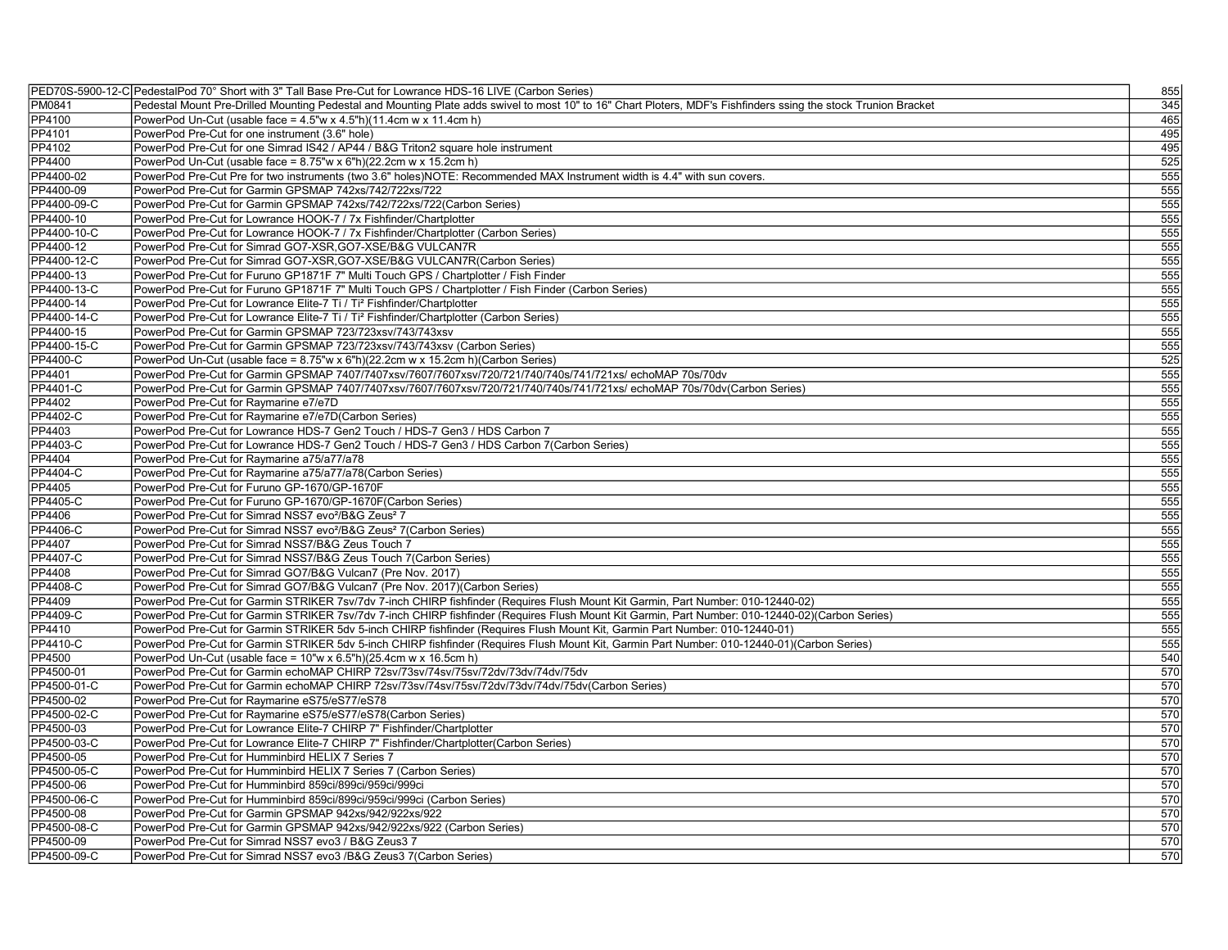|                 | PED70S-5900-12-C PedestalPod 70° Short with 3" Tall Base Pre-Cut for Lowrance HDS-16 LIVE (Carbon Series)                                                       | 855 |
|-----------------|-----------------------------------------------------------------------------------------------------------------------------------------------------------------|-----|
| PM0841          | Pedestal Mount Pre-Drilled Mounting Pedestal and Mounting Plate adds swivel to most 10" to 16" Chart Ploters, MDF's Fishfinders ssing the stock Trunion Bracket | 345 |
| <b>PP4100</b>   | PowerPod Un-Cut (usable face = $4.5$ "w x $4.5$ "h)(11.4cm w x 11.4cm h)                                                                                        | 465 |
| PP4101          | PowerPod Pre-Cut for one instrument (3.6" hole)                                                                                                                 | 495 |
| PP4102          | PowerPod Pre-Cut for one Simrad IS42 / AP44 / B&G Triton2 square hole instrument                                                                                | 495 |
| <b>PP4400</b>   | PowerPod Un-Cut (usable face = 8.75"w x 6"h)(22.2cm w x 15.2cm h)                                                                                               | 525 |
| PP4400-02       | PowerPod Pre-Cut Pre for two instruments (two 3.6" holes)NOTE: Recommended MAX Instrument width is 4.4" with sun covers.                                        | 555 |
| PP4400-09       | PowerPod Pre-Cut for Garmin GPSMAP 742xs/742/722xs/722                                                                                                          | 555 |
| PP4400-09-C     | PowerPod Pre-Cut for Garmin GPSMAP 742xs/742/722xs/722(Carbon Series)                                                                                           | 555 |
| PP4400-10       | PowerPod Pre-Cut for Lowrance HOOK-7 / 7x Fishfinder/Chartplotter                                                                                               | 555 |
| PP4400-10-C     | PowerPod Pre-Cut for Lowrance HOOK-7 / 7x Fishfinder/Chartplotter (Carbon Series)                                                                               | 555 |
| PP4400-12       | PowerPod Pre-Cut for Simrad GO7-XSR, GO7-XSE/B&G VULCAN7R                                                                                                       | 555 |
| PP4400-12-C     | PowerPod Pre-Cut for Simrad GO7-XSR, GO7-XSE/B&G VULCAN7R (Carbon Series)                                                                                       | 555 |
| PP4400-13       | PowerPod Pre-Cut for Furuno GP1871F 7" Multi Touch GPS / Chartplotter / Fish Finder                                                                             | 555 |
| PP4400-13-C     | PowerPod Pre-Cut for Furuno GP1871F 7" Multi Touch GPS / Chartplotter / Fish Finder (Carbon Series)                                                             | 555 |
| PP4400-14       | PowerPod Pre-Cut for Lowrance Elite-7 Ti / Ti <sup>2</sup> Fishfinder/Chartplotter                                                                              | 555 |
| PP4400-14-C     | PowerPod Pre-Cut for Lowrance Elite-7 Ti / Ti <sup>2</sup> Fishfinder/Chartplotter (Carbon Series)                                                              | 555 |
| PP4400-15       | PowerPod Pre-Cut for Garmin GPSMAP 723/723xsv/743/743xsv                                                                                                        | 555 |
| PP4400-15-C     | PowerPod Pre-Cut for Garmin GPSMAP 723/723xsv/743/743xsv (Carbon Series)                                                                                        | 555 |
| <b>PP4400-C</b> | PowerPod Un-Cut (usable face = 8.75"w x 6"h)(22.2cm w x 15.2cm h)(Carbon Series)                                                                                | 525 |
| PP4401          | PowerPod Pre-Cut for Garmin GPSMAP 7407/7407xsv/7607/7607xsv/720/721/740/740s/741/721xs/ echoMAP 70s/70dv                                                       | 555 |
| PP4401-C        | PowerPod Pre-Cut for Garmin GPSMAP 7407/7407xsv/7607/7607xsv/720/721/740/740s/741/721xs/ echoMAP 70s/70dv(Carbon Series)                                        | 555 |
| PP4402          | PowerPod Pre-Cut for Raymarine e7/e7D                                                                                                                           | 555 |
| PP4402-C        | PowerPod Pre-Cut for Raymarine e7/e7D(Carbon Series)                                                                                                            | 555 |
| PP4403          | PowerPod Pre-Cut for Lowrance HDS-7 Gen2 Touch / HDS-7 Gen3 / HDS Carbon 7                                                                                      | 555 |
| PP4403-C        | PowerPod Pre-Cut for Lowrance HDS-7 Gen2 Touch / HDS-7 Gen3 / HDS Carbon 7(Carbon Series)                                                                       | 555 |
| PP4404          | PowerPod Pre-Cut for Raymarine a75/a77/a78                                                                                                                      | 555 |
| PP4404-C        | PowerPod Pre-Cut for Raymarine a75/a77/a78(Carbon Series)                                                                                                       | 555 |
| PP4405          | PowerPod Pre-Cut for Furuno GP-1670/GP-1670F                                                                                                                    | 555 |
| PP4405-C        | PowerPod Pre-Cut for Furuno GP-1670/GP-1670F(Carbon Series)                                                                                                     | 555 |
| PP4406          | PowerPod Pre-Cut for Simrad NSS7 evo <sup>2</sup> /B&G Zeus <sup>2</sup> 7                                                                                      | 555 |
| PP4406-C        | PowerPod Pre-Cut for Simrad NSS7 evo <sup>2</sup> /B&G Zeus <sup>2</sup> 7(Carbon Series)                                                                       | 555 |
| PP4407          | PowerPod Pre-Cut for Simrad NSS7/B&G Zeus Touch 7                                                                                                               | 555 |
| PP4407-C        | PowerPod Pre-Cut for Simrad NSS7/B&G Zeus Touch 7(Carbon Series)                                                                                                | 555 |
| PP4408          | PowerPod Pre-Cut for Simrad GO7/B&G Vulcan7 (Pre Nov. 2017)                                                                                                     | 555 |
| PP4408-C        |                                                                                                                                                                 | 555 |
|                 | PowerPod Pre-Cut for Simrad GO7/B&G Vulcan7 (Pre Nov. 2017)(Carbon Series)                                                                                      |     |
| PP4409          | PowerPod Pre-Cut for Garmin STRIKER 7sv/7dv 7-inch CHIRP fishfinder (Requires Flush Mount Kit Garmin, Part Number: 010-12440-02)                                | 555 |
| PP4409-C        | PowerPod Pre-Cut for Garmin STRIKER 7sv/7dv 7-inch CHIRP fishfinder (Requires Flush Mount Kit Garmin, Part Number: 010-12440-02)(Carbon Series)                 | 555 |
| PP4410          | PowerPod Pre-Cut for Garmin STRIKER 5dv 5-inch CHIRP fishfinder (Requires Flush Mount Kit, Garmin Part Number: 010-12440-01)                                    | 555 |
| PP4410-C        | PowerPod Pre-Cut for Garmin STRIKER 5dv 5-inch CHIRP fishfinder (Requires Flush Mount Kit, Garmin Part Number: 010-12440-01)(Carbon Series)                     | 555 |
| PP4500          | PowerPod Un-Cut (usable face = 10"w x 6.5"h)(25.4cm w x 16.5cm h)                                                                                               | 540 |
| PP4500-01       | PowerPod Pre-Cut for Garmin echoMAP CHIRP 72sv/73sv/74sv/75sv/72dv/73dv/74dv/75dv                                                                               | 570 |
| PP4500-01-C     | PowerPod Pre-Cut for Garmin echoMAP CHIRP 72sv/73sv/74sv/75sv/72dv/73dv/74dv/75dv(Carbon Series)                                                                | 570 |
| PP4500-02       | PowerPod Pre-Cut for Raymarine eS75/eS77/eS78                                                                                                                   | 570 |
| PP4500-02-C     | PowerPod Pre-Cut for Raymarine eS75/eS77/eS78(Carbon Series)                                                                                                    | 570 |
| PP4500-03       | PowerPod Pre-Cut for Lowrance Elite-7 CHIRP 7" Fishfinder/Chartplotter                                                                                          | 570 |
| PP4500-03-C     | PowerPod Pre-Cut for Lowrance Elite-7 CHIRP 7" Fishfinder/Chartplotter(Carbon Series)                                                                           | 570 |
| PP4500-05       | PowerPod Pre-Cut for Humminbird HELIX 7 Series 7                                                                                                                | 570 |
| PP4500-05-C     | PowerPod Pre-Cut for Humminbird HELIX 7 Series 7 (Carbon Series)                                                                                                | 570 |
| PP4500-06       | PowerPod Pre-Cut for Humminbird 859ci/899ci/959ci/999ci                                                                                                         | 570 |
| PP4500-06-C     | PowerPod Pre-Cut for Humminbird 859ci/899ci/959ci/999ci (Carbon Series)                                                                                         | 570 |
| PP4500-08       | PowerPod Pre-Cut for Garmin GPSMAP 942xs/942/922xs/922                                                                                                          | 570 |
| PP4500-08-C     | PowerPod Pre-Cut for Garmin GPSMAP 942xs/942/922xs/922 (Carbon Series)                                                                                          | 570 |
| PP4500-09       | PowerPod Pre-Cut for Simrad NSS7 evo3 / B&G Zeus3 7                                                                                                             | 570 |
| PP4500-09-C     | PowerPod Pre-Cut for Simrad NSS7 evo3 /B&G Zeus3 7(Carbon Series)                                                                                               | 570 |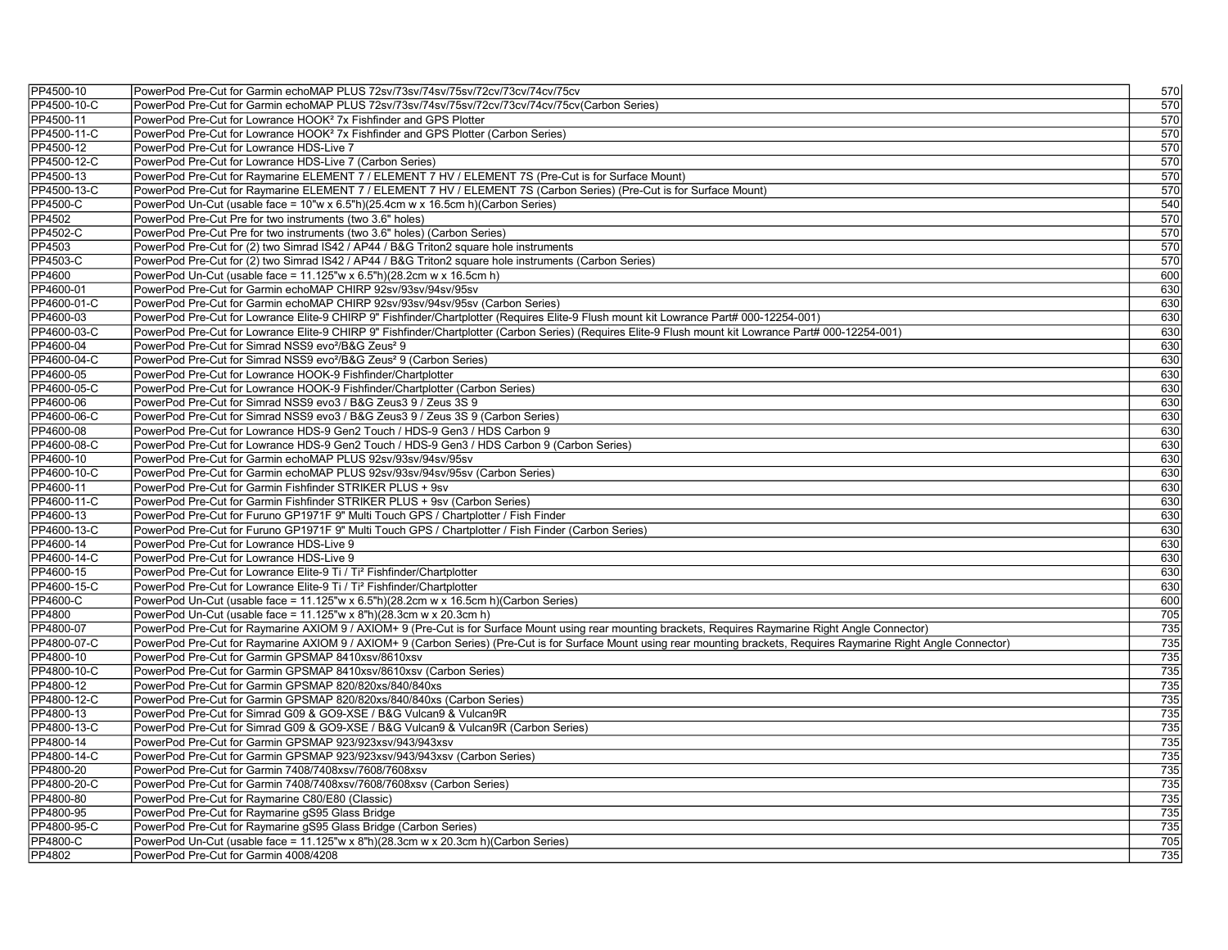| PP4500-10                | PowerPod Pre-Cut for Garmin echoMAP PLUS 72sv/73sv/74sv/75sv/72cv/73cv/74cv/75cv                                                                                                                                              | 570              |
|--------------------------|-------------------------------------------------------------------------------------------------------------------------------------------------------------------------------------------------------------------------------|------------------|
| PP4500-10-C              | PowerPod Pre-Cut for Garmin echoMAP PLUS 72sv/73sv/74sv/75sv/72cv/73cv/74cv/75cv(Carbon Series)                                                                                                                               | 570              |
| PP4500-11                | PowerPod Pre-Cut for Lowrance HOOK <sup>2</sup> 7x Fishfinder and GPS Plotter                                                                                                                                                 | 570              |
| PP4500-11-C              | PowerPod Pre-Cut for Lowrance HOOK <sup>2</sup> 7x Fishfinder and GPS Plotter (Carbon Series)                                                                                                                                 | 570              |
| PP4500-12                | PowerPod Pre-Cut for Lowrance HDS-Live 7                                                                                                                                                                                      | 570              |
| PP4500-12-C              | PowerPod Pre-Cut for Lowrance HDS-Live 7 (Carbon Series)                                                                                                                                                                      | 570              |
| PP4500-13                | PowerPod Pre-Cut for Raymarine ELEMENT 7 / ELEMENT 7 HV / ELEMENT 7S (Pre-Cut is for Surface Mount)                                                                                                                           | 570              |
| PP4500-13-C              | PowerPod Pre-Cut for Raymarine ELEMENT 7 / ELEMENT 7 HV / ELEMENT 7S (Carbon Series) (Pre-Cut is for Surface Mount)                                                                                                           | 570              |
| PP4500-C                 | PowerPod Un-Cut (usable face = 10"w x 6.5"h)(25.4cm w x 16.5cm h)(Carbon Series)                                                                                                                                              | 540              |
| PP4502                   | PowerPod Pre-Cut Pre for two instruments (two 3.6" holes)                                                                                                                                                                     | 570              |
| PP4502-C                 | PowerPod Pre-Cut Pre for two instruments (two 3.6" holes) (Carbon Series)                                                                                                                                                     | 570              |
| PP4503                   | PowerPod Pre-Cut for (2) two Simrad IS42 / AP44 / B&G Triton2 square hole instruments                                                                                                                                         | 570              |
| PP4503-C                 | PowerPod Pre-Cut for (2) two Simrad IS42 / AP44 / B&G Triton2 square hole instruments (Carbon Series)                                                                                                                         | 570              |
| PP4600                   | PowerPod Un-Cut (usable face = $11.125$ "w x 6.5"h)(28.2cm w x 16.5cm h)                                                                                                                                                      | 600              |
| PP4600-01                | PowerPod Pre-Cut for Garmin echoMAP CHIRP 92sv/93sv/94sv/95sv                                                                                                                                                                 | 630              |
| PP4600-01-C              | PowerPod Pre-Cut for Garmin echoMAP CHIRP 92sv/93sv/94sv/95sv (Carbon Series)                                                                                                                                                 | 630              |
| PP4600-03                | PowerPod Pre-Cut for Lowrance Elite-9 CHIRP 9" Fishfinder/Chartplotter (Requires Elite-9 Flush mount kit Lowrance Part# 000-12254-001)                                                                                        | 630              |
| PP4600-03-C              | PowerPod Pre-Cut for Lowrance Elite-9 CHIRP 9" Fishfinder/Chartplotter (Carbon Series) (Requires Elite-9 Flush mount kit Lowrance Part# 000-12254-001)                                                                        | 630              |
| PP4600-04                | PowerPod Pre-Cut for Simrad NSS9 evo <sup>2</sup> /B&G Zeus <sup>2</sup> 9                                                                                                                                                    | 630              |
| PP4600-04-C              | PowerPod Pre-Cut for Simrad NSS9 evo <sup>2</sup> /B&G Zeus <sup>2</sup> 9 (Carbon Series)                                                                                                                                    | 630              |
| PP4600-05                | PowerPod Pre-Cut for Lowrance HOOK-9 Fishfinder/Chartplotter                                                                                                                                                                  | 630              |
| PP4600-05-C              | PowerPod Pre-Cut for Lowrance HOOK-9 Fishfinder/Chartplotter (Carbon Series)                                                                                                                                                  | 630              |
| PP4600-06                | PowerPod Pre-Cut for Simrad NSS9 evo3 / B&G Zeus3 9 / Zeus 3S 9                                                                                                                                                               | 630              |
| PP4600-06-C              | PowerPod Pre-Cut for Simrad NSS9 evo3 / B&G Zeus3 9 / Zeus 3S 9 (Carbon Series)                                                                                                                                               | 630              |
| PP4600-08                | PowerPod Pre-Cut for Lowrance HDS-9 Gen2 Touch / HDS-9 Gen3 / HDS Carbon 9                                                                                                                                                    | 630              |
| PP4600-08-C              | PowerPod Pre-Cut for Lowrance HDS-9 Gen2 Touch / HDS-9 Gen3 / HDS Carbon 9 (Carbon Series)                                                                                                                                    | 630              |
| PP4600-10                | PowerPod Pre-Cut for Garmin echoMAP PLUS 92sv/93sv/94sv/95sv                                                                                                                                                                  | 630              |
| PP4600-10-C              | PowerPod Pre-Cut for Garmin echoMAP PLUS 92sv/93sv/94sv/95sv (Carbon Series)                                                                                                                                                  | 630              |
| PP4600-11                | PowerPod Pre-Cut for Garmin Fishfinder STRIKER PLUS + 9sv                                                                                                                                                                     | 630              |
| PP4600-11-C              | PowerPod Pre-Cut for Garmin Fishfinder STRIKER PLUS + 9sv (Carbon Series)                                                                                                                                                     | 630              |
| PP4600-13                | PowerPod Pre-Cut for Furuno GP1971F 9" Multi Touch GPS / Chartplotter / Fish Finder                                                                                                                                           | 630              |
| PP4600-13-C              | PowerPod Pre-Cut for Furuno GP1971F 9" Multi Touch GPS / Chartplotter / Fish Finder (Carbon Series)                                                                                                                           | 630              |
| PP4600-14                | PowerPod Pre-Cut for Lowrance HDS-Live 9                                                                                                                                                                                      | 630              |
| PP4600-14-C              | PowerPod Pre-Cut for Lowrance HDS-Live 9                                                                                                                                                                                      | 630              |
| PP4600-15                | PowerPod Pre-Cut for Lowrance Elite-9 Ti / Ti <sup>2</sup> Fishfinder/Chartplotter                                                                                                                                            | 630              |
| PP4600-15-C              | PowerPod Pre-Cut for Lowrance Elite-9 Ti / Ti <sup>2</sup> Fishfinder/Chartplotter                                                                                                                                            | 630              |
| PP4600-C                 | PowerPod Un-Cut (usable face = 11.125"w x 6.5"h)(28.2cm w x 16.5cm h)(Carbon Series)                                                                                                                                          | 600              |
| PP4800                   | PowerPod Un-Cut (usable face = 11.125"w x 8"h)(28.3cm w x 20.3cm h)                                                                                                                                                           | 705              |
| PP4800-07                | PowerPod Pre-Cut for Raymarine AXIOM 9 / AXIOM+ 9 (Pre-Cut is for Surface Mount using rear mounting brackets, Requires Raymarine Right Angle Connector)                                                                       | 735              |
|                          |                                                                                                                                                                                                                               |                  |
| PP4800-07-C<br>PP4800-10 | PowerPod Pre-Cut for Raymarine AXIOM 9 / AXIOM+ 9 (Carbon Series) (Pre-Cut is for Surface Mount using rear mounting brackets, Requires Raymarine Right Angle Connector)<br>PowerPod Pre-Cut for Garmin GPSMAP 8410xsv/8610xsv | 735<br>735       |
| PP4800-10-C              | PowerPod Pre-Cut for Garmin GPSMAP 8410xsv/8610xsv (Carbon Series)                                                                                                                                                            | 735              |
| PP4800-12                | PowerPod Pre-Cut for Garmin GPSMAP 820/820xs/840/840xs                                                                                                                                                                        | 735              |
| PP4800-12-C              | PowerPod Pre-Cut for Garmin GPSMAP 820/820xs/840/840xs (Carbon Series)                                                                                                                                                        | 735              |
| PP4800-13                | PowerPod Pre-Cut for Simrad G09 & GO9-XSE / B&G Vulcan9 & Vulcan9R                                                                                                                                                            | 735              |
|                          |                                                                                                                                                                                                                               | 735              |
| PP4800-13-C              | PowerPod Pre-Cut for Simrad G09 & GO9-XSE / B&G Vulcan9 & Vulcan9R (Carbon Series)                                                                                                                                            |                  |
| PP4800-14                | PowerPod Pre-Cut for Garmin GPSMAP 923/923xsv/943/943xsv                                                                                                                                                                      | 735              |
| PP4800-14-C              | PowerPod Pre-Cut for Garmin GPSMAP 923/923xsv/943/943xsv (Carbon Series)                                                                                                                                                      | 735              |
| PP4800-20                | PowerPod Pre-Cut for Garmin 7408/7408xsv/7608/7608xsv                                                                                                                                                                         | 735              |
| PP4800-20-C              | PowerPod Pre-Cut for Garmin 7408/7408xsv/7608/7608xsv (Carbon Series)                                                                                                                                                         | 735              |
| PP4800-80                | PowerPod Pre-Cut for Raymarine C80/E80 (Classic)                                                                                                                                                                              | $\overline{735}$ |
| PP4800-95                | PowerPod Pre-Cut for Raymarine gS95 Glass Bridge                                                                                                                                                                              | 735              |
| PP4800-95-C              | PowerPod Pre-Cut for Raymarine gS95 Glass Bridge (Carbon Series)                                                                                                                                                              | 735              |
| PP4800-C                 | PowerPod Un-Cut (usable face = 11.125"w x 8"h)(28.3cm w x 20.3cm h)(Carbon Series)                                                                                                                                            | 705              |
| PP4802                   | PowerPod Pre-Cut for Garmin 4008/4208                                                                                                                                                                                         | 735              |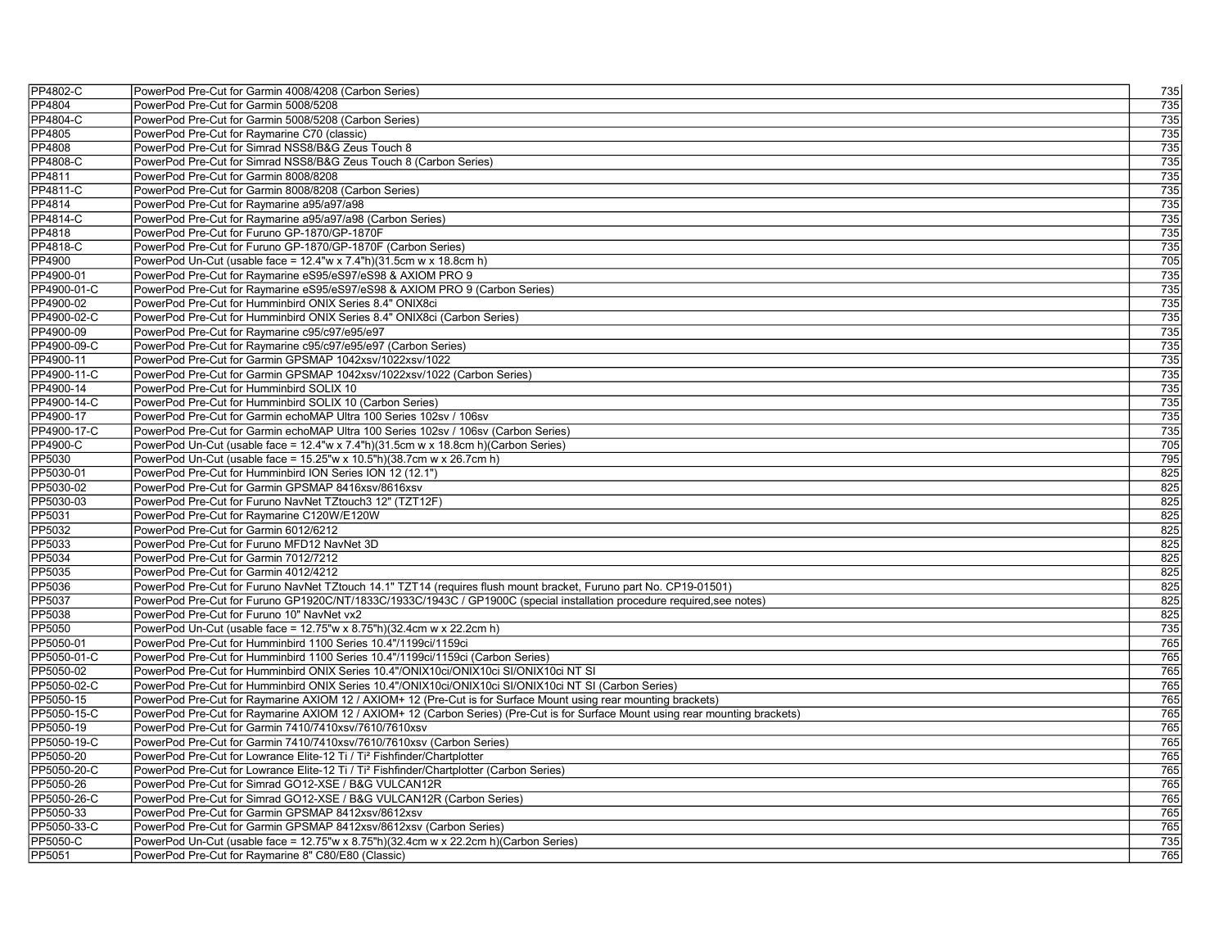| PP4802-C         | PowerPod Pre-Cut for Garmin 4008/4208 (Carbon Series)                                                                           | 735              |
|------------------|---------------------------------------------------------------------------------------------------------------------------------|------------------|
| PP4804           | PowerPod Pre-Cut for Garmin 5008/5208                                                                                           | 735              |
| PP4804-C         | PowerPod Pre-Cut for Garmin 5008/5208 (Carbon Series)                                                                           | 735              |
| PP4805           | PowerPod Pre-Cut for Raymarine C70 (classic)                                                                                    | 735              |
| PP4808           | PowerPod Pre-Cut for Simrad NSS8/B&G Zeus Touch 8                                                                               | 735              |
| PP4808-C         | PowerPod Pre-Cut for Simrad NSS8/B&G Zeus Touch 8 (Carbon Series)                                                               | 735              |
| PP4811           | PowerPod Pre-Cut for Garmin 8008/8208                                                                                           | 735              |
| PP4811-C         | PowerPod Pre-Cut for Garmin 8008/8208 (Carbon Series)                                                                           | 735              |
| PP4814           | PowerPod Pre-Cut for Raymarine a95/a97/a98                                                                                      | 735              |
| PP4814-C         | PowerPod Pre-Cut for Raymarine a95/a97/a98 (Carbon Series)                                                                      | 735              |
| PP4818           | PowerPod Pre-Cut for Furuno GP-1870/GP-1870F                                                                                    | 735              |
| <b>PP4818-C</b>  | PowerPod Pre-Cut for Furuno GP-1870/GP-1870F (Carbon Series)                                                                    | 735              |
| PP4900           | PowerPod Un-Cut (usable face = $12.4$ "w x $7.4$ "h)(31.5cm w x 18.8cm h)                                                       | 705              |
| PP4900-01        | PowerPod Pre-Cut for Raymarine eS95/eS97/eS98 & AXIOM PRO 9                                                                     | 735              |
| PP4900-01-C      | PowerPod Pre-Cut for Raymarine eS95/eS97/eS98 & AXIOM PRO 9 (Carbon Series)                                                     | 735              |
| PP4900-02        | PowerPod Pre-Cut for Humminbird ONIX Series 8.4" ONIX8ci                                                                        | 735              |
| PP4900-02-C      | PowerPod Pre-Cut for Humminbird ONIX Series 8.4" ONIX8ci (Carbon Series)                                                        | 735              |
| PP4900-09        | PowerPod Pre-Cut for Raymarine c95/c97/e95/e97                                                                                  | 735              |
| PP4900-09-C      | PowerPod Pre-Cut for Raymarine c95/c97/e95/e97 (Carbon Series)                                                                  | 735              |
| PP4900-11        | PowerPod Pre-Cut for Garmin GPSMAP 1042xsv/1022xsv/1022                                                                         | $\overline{735}$ |
| PP4900-11-C      | PowerPod Pre-Cut for Garmin GPSMAP 1042xsv/1022xsv/1022 (Carbon Series)                                                         | 735              |
| PP4900-14        | PowerPod Pre-Cut for Humminbird SOLIX 10                                                                                        | 735              |
| PP4900-14-C      | PowerPod Pre-Cut for Humminbird SOLIX 10 (Carbon Series)                                                                        | $\overline{735}$ |
| PP4900-17        | PowerPod Pre-Cut for Garmin echoMAP Ultra 100 Series 102sv / 106sv                                                              | 735              |
| PP4900-17-C      | PowerPod Pre-Cut for Garmin echoMAP Ultra 100 Series 102sv / 106sv (Carbon Series)                                              | 735              |
| PP4900-C         | PowerPod Un-Cut (usable face = 12.4"w x 7.4"h)(31.5cm w x 18.8cm h)(Carbon Series)                                              | 705              |
| PP5030           | PowerPod Un-Cut (usable face = 15.25"w x 10.5"h)(38.7cm w x 26.7cm h)                                                           | 795              |
| PP5030-01        | PowerPod Pre-Cut for Humminbird ION Series ION 12 (12.1")                                                                       | 825              |
| PP5030-02        | PowerPod Pre-Cut for Garmin GPSMAP 8416xsv/8616xsv                                                                              | 825              |
| PP5030-03        | PowerPod Pre-Cut for Furuno NavNet TZtouch3 12" (TZT12F)                                                                        | 825              |
| PP5031           | PowerPod Pre-Cut for Raymarine C120W/E120W                                                                                      | 825              |
|                  |                                                                                                                                 | 825              |
| PP5032<br>PP5033 | PowerPod Pre-Cut for Garmin 6012/6212<br>PowerPod Pre-Cut for Furuno MFD12 NavNet 3D                                            | 825              |
|                  | PowerPod Pre-Cut for Garmin 7012/7212                                                                                           | 825              |
| PP5034           |                                                                                                                                 |                  |
| PP5035           | PowerPod Pre-Cut for Garmin 4012/4212                                                                                           | 825<br>825       |
| PP5036           | PowerPod Pre-Cut for Furuno NavNet TZtouch 14.1" TZT14 (requires flush mount bracket, Furuno part No. CP19-01501)               |                  |
| PP5037           | PowerPod Pre-Cut for Furuno GP1920C/NT/1833C/1933C/1943C / GP1900C (special installation procedure required,see notes)          | 825              |
| PP5038           | PowerPod Pre-Cut for Furuno 10" NavNet vx2                                                                                      | 825              |
| PP5050           | PowerPod Un-Cut (usable face = 12.75"w x 8.75"h)(32.4cm w x 22.2cm h)                                                           | 735              |
| PP5050-01        | PowerPod Pre-Cut for Humminbird 1100 Series 10.4"/1199ci/1159ci                                                                 | 765              |
| PP5050-01-C      | PowerPod Pre-Cut for Humminbird 1100 Series 10.4"/1199ci/1159ci (Carbon Series)                                                 | 765              |
| PP5050-02        | PowerPod Pre-Cut for Humminbird ONIX Series 10.4"/ONIX10ci/ONIX10ci SI/ONIX10ci NT SI                                           | 765              |
| PP5050-02-C      | PowerPod Pre-Cut for Humminbird ONIX Series 10.4"/ONIX10ci/ONIX10ci SI/ONIX10ci NT SI (Carbon Series)                           | 765              |
| PP5050-15        | PowerPod Pre-Cut for Raymarine AXIOM 12 / AXIOM+ 12 (Pre-Cut is for Surface Mount using rear mounting brackets)                 | 765              |
| PP5050-15-C      | PowerPod Pre-Cut for Raymarine AXIOM 12 / AXIOM+ 12 (Carbon Series) (Pre-Cut is for Surface Mount using rear mounting brackets) | 765              |
| PP5050-19        | PowerPod Pre-Cut for Garmin 7410/7410xsv/7610/7610xsv                                                                           | 765              |
| PP5050-19-C      | PowerPod Pre-Cut for Garmin 7410/7410xsv/7610/7610xsv (Carbon Series)                                                           | 765              |
| PP5050-20        | PowerPod Pre-Cut for Lowrance Elite-12 Ti / Ti <sup>2</sup> Fishfinder/Chartplotter                                             | 765              |
| PP5050-20-C      | PowerPod Pre-Cut for Lowrance Elite-12 Ti / Ti <sup>2</sup> Fishfinder/Chartplotter (Carbon Series)                             | 765              |
| PP5050-26        | PowerPod Pre-Cut for Simrad GO12-XSE / B&G VULCAN12R                                                                            | 765              |
| PP5050-26-C      | PowerPod Pre-Cut for Simrad GO12-XSE / B&G VULCAN12R (Carbon Series)                                                            | 765              |
| PP5050-33        | PowerPod Pre-Cut for Garmin GPSMAP 8412xsv/8612xsv                                                                              | 765              |
| PP5050-33-C      | PowerPod Pre-Cut for Garmin GPSMAP 8412xsv/8612xsv (Carbon Series)                                                              | 765              |
| PP5050-C         | PowerPod Un-Cut (usable face = 12.75"w x 8.75"h)(32.4cm w x 22.2cm h)(Carbon Series)                                            | 735              |
| PP5051           | PowerPod Pre-Cut for Raymarine 8" C80/E80 (Classic)                                                                             | 765              |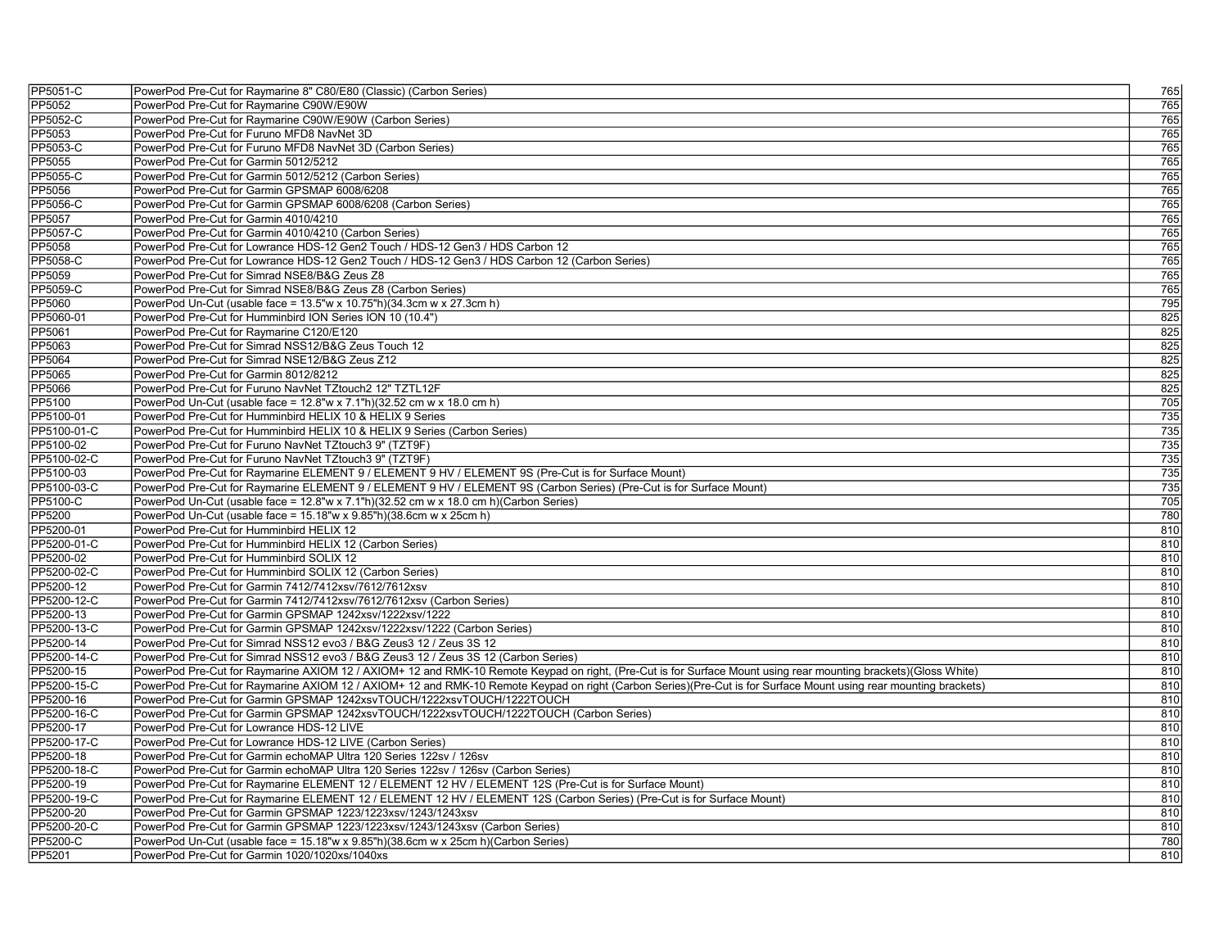| PP5051-C    | PowerPod Pre-Cut for Raymarine 8" C80/E80 (Classic) (Carbon Series)                                                                                              | 765 |
|-------------|------------------------------------------------------------------------------------------------------------------------------------------------------------------|-----|
| PP5052      | PowerPod Pre-Cut for Raymarine C90W/E90W                                                                                                                         | 765 |
| PP5052-C    | PowerPod Pre-Cut for Raymarine C90W/E90W (Carbon Series)                                                                                                         | 765 |
| PP5053      | PowerPod Pre-Cut for Furuno MFD8 NavNet 3D                                                                                                                       | 765 |
| PP5053-C    | PowerPod Pre-Cut for Furuno MFD8 NavNet 3D (Carbon Series)                                                                                                       | 765 |
| PP5055      | PowerPod Pre-Cut for Garmin 5012/5212                                                                                                                            | 765 |
| PP5055-C    | PowerPod Pre-Cut for Garmin 5012/5212 (Carbon Series)                                                                                                            | 765 |
| PP5056      | PowerPod Pre-Cut for Garmin GPSMAP 6008/6208                                                                                                                     | 765 |
| PP5056-C    | PowerPod Pre-Cut for Garmin GPSMAP 6008/6208 (Carbon Series)                                                                                                     | 765 |
| PP5057      | PowerPod Pre-Cut for Garmin 4010/4210                                                                                                                            | 765 |
| PP5057-C    | PowerPod Pre-Cut for Garmin 4010/4210 (Carbon Series)                                                                                                            | 765 |
| PP5058      | PowerPod Pre-Cut for Lowrance HDS-12 Gen2 Touch / HDS-12 Gen3 / HDS Carbon 12                                                                                    | 765 |
| PP5058-C    | PowerPod Pre-Cut for Lowrance HDS-12 Gen2 Touch / HDS-12 Gen3 / HDS Carbon 12 (Carbon Series)                                                                    | 765 |
| PP5059      | PowerPod Pre-Cut for Simrad NSE8/B&G Zeus Z8                                                                                                                     | 765 |
| PP5059-C    | PowerPod Pre-Cut for Simrad NSE8/B&G Zeus Z8 (Carbon Series)                                                                                                     | 765 |
| PP5060      | PowerPod Un-Cut (usable face = 13.5"w x 10.75"h)(34.3cm w x 27.3cm h)                                                                                            | 795 |
| PP5060-01   | PowerPod Pre-Cut for Humminbird ION Series ION 10 (10.4")                                                                                                        | 825 |
| PP5061      | PowerPod Pre-Cut for Raymarine C120/E120                                                                                                                         | 825 |
| PP5063      | PowerPod Pre-Cut for Simrad NSS12/B&G Zeus Touch 12                                                                                                              | 825 |
| PP5064      | PowerPod Pre-Cut for Simrad NSE12/B&G Zeus Z12                                                                                                                   | 825 |
| PP5065      | PowerPod Pre-Cut for Garmin 8012/8212                                                                                                                            | 825 |
| PP5066      | PowerPod Pre-Cut for Furuno NavNet TZtouch2 12" TZTL12F                                                                                                          | 825 |
| PP5100      | PowerPod Un-Cut (usable face = 12.8"w x 7.1"h)(32.52 cm w x 18.0 cm h)                                                                                           | 705 |
| PP5100-01   | PowerPod Pre-Cut for Humminbird HELIX 10 & HELIX 9 Series                                                                                                        | 735 |
| PP5100-01-C | PowerPod Pre-Cut for Humminbird HELIX 10 & HELIX 9 Series (Carbon Series)                                                                                        | 735 |
| PP5100-02   | PowerPod Pre-Cut for Furuno NavNet TZtouch3 9" (TZT9F)                                                                                                           | 735 |
| PP5100-02-C | PowerPod Pre-Cut for Furuno NavNet TZtouch3 9" (TZT9F)                                                                                                           | 735 |
| PP5100-03   | PowerPod Pre-Cut for Raymarine ELEMENT 9 / ELEMENT 9 HV / ELEMENT 9S (Pre-Cut is for Surface Mount)                                                              | 735 |
| PP5100-03-C | PowerPod Pre-Cut for Raymarine ELEMENT 9 / ELEMENT 9 HV / ELEMENT 9S (Carbon Series) (Pre-Cut is for Surface Mount)                                              | 735 |
| PP5100-C    | PowerPod Un-Cut (usable face = 12.8"w x 7.1"h)(32.52 cm w x 18.0 cm h)(Carbon Series)                                                                            | 705 |
| PP5200      | PowerPod Un-Cut (usable face = 15.18"w x 9.85"h)(38.6cm w x 25cm h)                                                                                              | 780 |
| PP5200-01   | PowerPod Pre-Cut for Humminbird HELIX 12                                                                                                                         | 810 |
| PP5200-01-C | PowerPod Pre-Cut for Humminbird HELIX 12 (Carbon Series)                                                                                                         | 810 |
| PP5200-02   | PowerPod Pre-Cut for Humminbird SOLIX 12                                                                                                                         | 810 |
| PP5200-02-C | PowerPod Pre-Cut for Humminbird SOLIX 12 (Carbon Series)                                                                                                         | 810 |
| PP5200-12   | PowerPod Pre-Cut for Garmin 7412/7412xsv/7612/7612xsv                                                                                                            | 810 |
| PP5200-12-C | PowerPod Pre-Cut for Garmin 7412/7412xsv/7612/7612xsv (Carbon Series)                                                                                            | 810 |
| PP5200-13   | PowerPod Pre-Cut for Garmin GPSMAP 1242xsv/1222xsv/1222                                                                                                          | 810 |
| PP5200-13-C | PowerPod Pre-Cut for Garmin GPSMAP 1242xsv/1222xsv/1222 (Carbon Series)                                                                                          | 810 |
| PP5200-14   | PowerPod Pre-Cut for Simrad NSS12 evo3 / B&G Zeus3 12 / Zeus 3S 12                                                                                               | 810 |
| PP5200-14-C | PowerPod Pre-Cut for Simrad NSS12 evo3 / B&G Zeus3 12 / Zeus 3S 12 (Carbon Series)                                                                               | 810 |
| PP5200-15   | PowerPod Pre-Cut for Raymarine AXIOM 12 / AXIOM+ 12 and RMK-10 Remote Keypad on right, (Pre-Cut is for Surface Mount using rear mounting brackets)(Gloss White)  | 810 |
| PP5200-15-C | PowerPod Pre-Cut for Raymarine AXIOM 12 / AXIOM+ 12 and RMK-10 Remote Keypad on right (Carbon Series)(Pre-Cut is for Surface Mount using rear mounting brackets) | 810 |
| PP5200-16   | PowerPod Pre-Cut for Garmin GPSMAP 1242xsvTOUCH/1222xsvTOUCH/1222TOUCH                                                                                           | 810 |
| PP5200-16-C | PowerPod Pre-Cut for Garmin GPSMAP 1242xsvTOUCH/1222xsvTOUCH/1222TOUCH (Carbon Series)                                                                           | 810 |
| PP5200-17   | PowerPod Pre-Cut for Lowrance HDS-12 LIVE                                                                                                                        | 810 |
| PP5200-17-C | PowerPod Pre-Cut for Lowrance HDS-12 LIVE (Carbon Series)                                                                                                        | 810 |
| PP5200-18   | PowerPod Pre-Cut for Garmin echoMAP Ultra 120 Series 122sv / 126sv                                                                                               | 810 |
| PP5200-18-C | PowerPod Pre-Cut for Garmin echoMAP Ultra 120 Series 122sv / 126sv (Carbon Series)                                                                               | 810 |
| PP5200-19   | PowerPod Pre-Cut for Raymarine ELEMENT 12 / ELEMENT 12 HV / ELEMENT 12S (Pre-Cut is for Surface Mount)                                                           | 810 |
| PP5200-19-C | PowerPod Pre-Cut for Raymarine ELEMENT 12 / ELEMENT 12 HV / ELEMENT 12S (Carbon Series) (Pre-Cut is for Surface Mount)                                           | 810 |
| PP5200-20   | PowerPod Pre-Cut for Garmin GPSMAP 1223/1223xsv/1243/1243xsv                                                                                                     | 810 |
| PP5200-20-C | PowerPod Pre-Cut for Garmin GPSMAP 1223/1223xsv/1243/1243xsv (Carbon Series)                                                                                     | 810 |
| PP5200-C    | PowerPod Un-Cut (usable face = 15.18"w x 9.85"h)(38.6cm w x 25cm h)(Carbon Series)                                                                               | 780 |
| PP5201      | PowerPod Pre-Cut for Garmin 1020/1020xs/1040xs                                                                                                                   | 810 |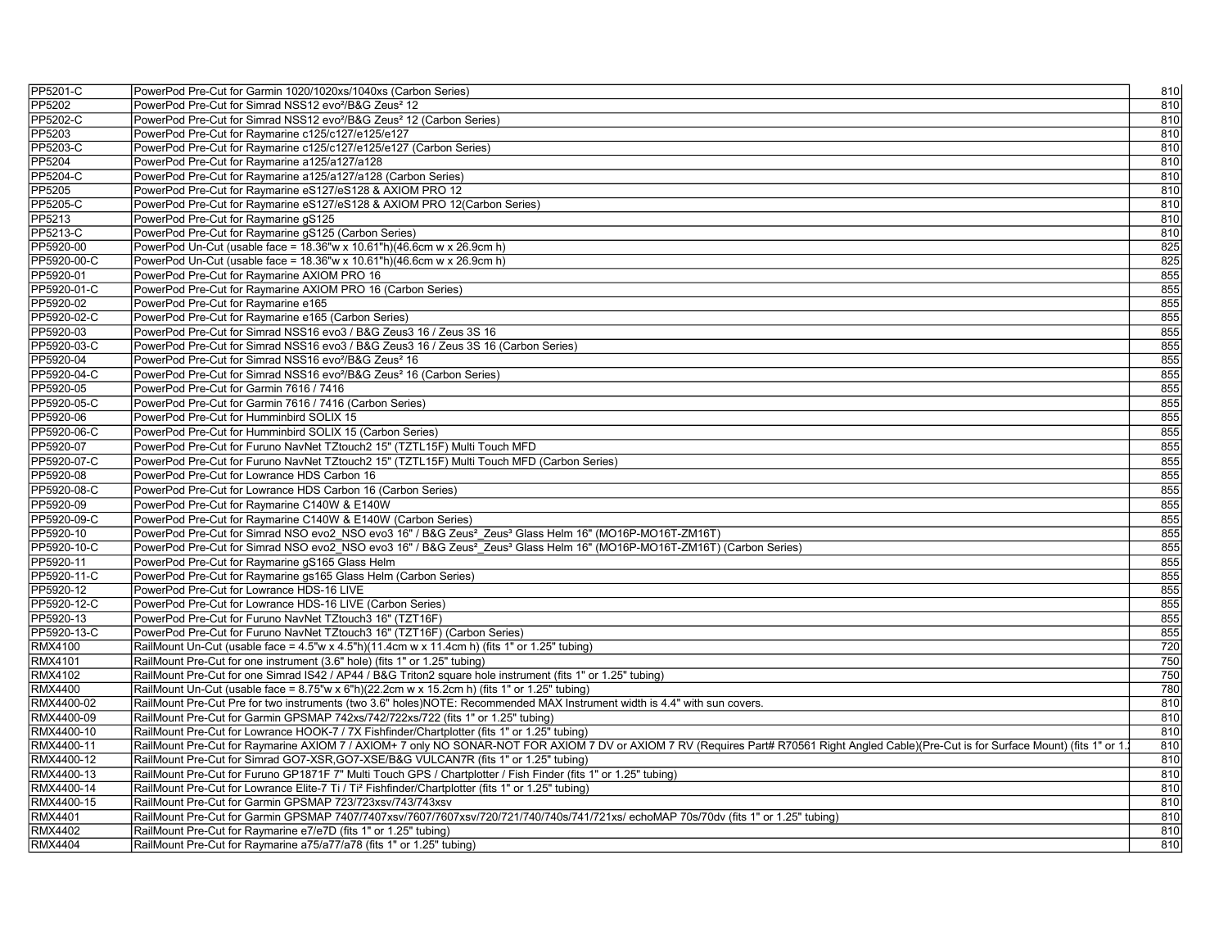| PP5201-C       | PowerPod Pre-Cut for Garmin 1020/1020xs/1040xs (Carbon Series)                                                                                                                            | 810 |  |
|----------------|-------------------------------------------------------------------------------------------------------------------------------------------------------------------------------------------|-----|--|
| PP5202         | PowerPod Pre-Cut for Simrad NSS12 evo <sup>2</sup> /B&G Zeus <sup>2</sup> 12                                                                                                              | 810 |  |
| PP5202-C       | PowerPod Pre-Cut for Simrad NSS12 evo <sup>2</sup> /B&G Zeus <sup>2</sup> 12 (Carbon Series)                                                                                              | 810 |  |
| PP5203         | PowerPod Pre-Cut for Raymarine c125/c127/e125/e127                                                                                                                                        | 810 |  |
| PP5203-C       | PowerPod Pre-Cut for Raymarine c125/c127/e125/e127 (Carbon Series)                                                                                                                        | 810 |  |
| PP5204         | PowerPod Pre-Cut for Raymarine a125/a127/a128                                                                                                                                             | 810 |  |
| PP5204-C       | PowerPod Pre-Cut for Raymarine a125/a127/a128 (Carbon Series)                                                                                                                             | 810 |  |
| <b>PP5205</b>  | PowerPod Pre-Cut for Raymarine eS127/eS128 & AXIOM PRO 12                                                                                                                                 | 810 |  |
| PP5205-C       | PowerPod Pre-Cut for Raymarine eS127/eS128 & AXIOM PRO 12(Carbon Series)                                                                                                                  | 810 |  |
| PP5213         | PowerPod Pre-Cut for Raymarine gS125                                                                                                                                                      | 810 |  |
| PP5213-C       | PowerPod Pre-Cut for Raymarine gS125 (Carbon Series)                                                                                                                                      | 810 |  |
| PP5920-00      | PowerPod Un-Cut (usable face = 18.36"w x 10.61"h)(46.6cm w x 26.9cm h)                                                                                                                    | 825 |  |
| PP5920-00-C    | PowerPod Un-Cut (usable face = 18.36"w x 10.61"h)(46.6cm w x 26.9cm h)                                                                                                                    | 825 |  |
| PP5920-01      | PowerPod Pre-Cut for Raymarine AXIOM PRO 16                                                                                                                                               | 855 |  |
| PP5920-01-C    | PowerPod Pre-Cut for Raymarine AXIOM PRO 16 (Carbon Series)                                                                                                                               | 855 |  |
| PP5920-02      | PowerPod Pre-Cut for Raymarine e165                                                                                                                                                       | 855 |  |
| PP5920-02-C    | PowerPod Pre-Cut for Raymarine e165 (Carbon Series)                                                                                                                                       | 855 |  |
| PP5920-03      | PowerPod Pre-Cut for Simrad NSS16 evo3 / B&G Zeus3 16 / Zeus 3S 16                                                                                                                        | 855 |  |
| PP5920-03-C    | PowerPod Pre-Cut for Simrad NSS16 evo3 / B&G Zeus3 16 / Zeus 3S 16 (Carbon Series)                                                                                                        | 855 |  |
| PP5920-04      | PowerPod Pre-Cut for Simrad NSS16 evo <sup>2</sup> /B&G Zeus <sup>2</sup> 16                                                                                                              | 855 |  |
| PP5920-04-C    | PowerPod Pre-Cut for Simrad NSS16 evo <sup>2</sup> /B&G Zeus <sup>2</sup> 16 (Carbon Series)                                                                                              | 855 |  |
| PP5920-05      | PowerPod Pre-Cut for Garmin 7616 / 7416                                                                                                                                                   | 855 |  |
| PP5920-05-C    | PowerPod Pre-Cut for Garmin 7616 / 7416 (Carbon Series)                                                                                                                                   | 855 |  |
| PP5920-06      | PowerPod Pre-Cut for Humminbird SOLIX 15                                                                                                                                                  | 855 |  |
| PP5920-06-C    | PowerPod Pre-Cut for Humminbird SOLIX 15 (Carbon Series)                                                                                                                                  | 855 |  |
| PP5920-07      | PowerPod Pre-Cut for Furuno NavNet TZtouch2 15" (TZTL15F) Multi Touch MFD                                                                                                                 | 855 |  |
| PP5920-07-C    | PowerPod Pre-Cut for Furuno NavNet TZtouch2 15" (TZTL15F) Multi Touch MFD (Carbon Series)                                                                                                 | 855 |  |
| PP5920-08      | PowerPod Pre-Cut for Lowrance HDS Carbon 16                                                                                                                                               | 855 |  |
| PP5920-08-C    | PowerPod Pre-Cut for Lowrance HDS Carbon 16 (Carbon Series)                                                                                                                               | 855 |  |
| PP5920-09      | PowerPod Pre-Cut for Raymarine C140W & E140W                                                                                                                                              | 855 |  |
| PP5920-09-C    | PowerPod Pre-Cut for Raymarine C140W & E140W (Carbon Series)                                                                                                                              | 855 |  |
| PP5920-10      | PowerPod Pre-Cut for Simrad NSO evo2 NSO evo3 16" / B&G Zeus <sup>2</sup> Zeus <sup>3</sup> Glass Helm 16" (MO16P-MO16T-ZM16T)                                                            | 855 |  |
| PP5920-10-C    | PowerPod Pre-Cut for Simrad NSO evo2 NSO evo3 16" / B&G Zeus <sup>2</sup> Zeus <sup>3</sup> Glass Helm 16" (MO16P-MO16T-ZM16T) (Carbon Series)                                            | 855 |  |
| PP5920-11      | PowerPod Pre-Cut for Raymarine gS165 Glass Helm                                                                                                                                           | 855 |  |
| PP5920-11-C    | PowerPod Pre-Cut for Raymarine gs165 Glass Helm (Carbon Series)                                                                                                                           | 855 |  |
| PP5920-12      | PowerPod Pre-Cut for Lowrance HDS-16 LIVE                                                                                                                                                 | 855 |  |
| PP5920-12-C    | PowerPod Pre-Cut for Lowrance HDS-16 LIVE (Carbon Series)                                                                                                                                 | 855 |  |
| PP5920-13      | PowerPod Pre-Cut for Furuno NavNet TZtouch3 16" (TZT16F)                                                                                                                                  | 855 |  |
| PP5920-13-C    | PowerPod Pre-Cut for Furuno NavNet TZtouch3 16" (TZT16F) (Carbon Series)                                                                                                                  | 855 |  |
| RMX4100        | RailMount Un-Cut (usable face = $4.5$ "w x $4.5$ "h)(11.4cm w x 11.4cm h) (fits 1" or 1.25" tubing)                                                                                       | 720 |  |
| RMX4101        | RailMount Pre-Cut for one instrument (3.6" hole) (fits 1" or 1.25" tubing)                                                                                                                | 750 |  |
| RMX4102        | RailMount Pre-Cut for one Simrad IS42 / AP44 / B&G Triton2 square hole instrument (fits 1" or 1.25" tubing)                                                                               | 750 |  |
| <b>RMX4400</b> | RailMount Un-Cut (usable face = 8.75"w x 6"h)(22.2cm w x 15.2cm h) (fits 1" or 1.25" tubing)                                                                                              | 780 |  |
| RMX4400-02     | RailMount Pre-Cut Pre for two instruments (two 3.6" holes)NOTE: Recommended MAX Instrument width is 4.4" with sun covers.                                                                 | 810 |  |
| RMX4400-09     | RailMount Pre-Cut for Garmin GPSMAP 742xs/742/722xs/722 (fits 1" or 1.25" tubing)                                                                                                         | 810 |  |
| RMX4400-10     | RailMount Pre-Cut for Lowrance HOOK-7 / 7X Fishfinder/Chartplotter (fits 1" or 1.25" tubing)                                                                                              | 810 |  |
| RMX4400-11     | RailMount Pre-Cut for Raymarine AXIOM 7 / AXIOM+ 7 only NO SONAR-NOT FOR AXIOM 7 DV or AXIOM 7 RV (Requires Part# R70561 Right Angled Cable)(Pre-Cut is for Surface Mount) (fits 1" or 1. | 810 |  |
| RMX4400-12     | RailMount Pre-Cut for Simrad GO7-XSR, GO7-XSE/B&G VULCAN7R (fits 1" or 1.25" tubing)                                                                                                      | 810 |  |
| RMX4400-13     | RailMount Pre-Cut for Furuno GP1871F 7" Multi Touch GPS / Chartplotter / Fish Finder (fits 1" or 1.25" tubing)                                                                            | 810 |  |
| RMX4400-14     | RailMount Pre-Cut for Lowrance Elite-7 Ti / Ti <sup>2</sup> Fishfinder/Chartplotter (fits 1" or 1.25" tubing)                                                                             | 810 |  |
| RMX4400-15     | RailMount Pre-Cut for Garmin GPSMAP 723/723xsv/743/743xsv                                                                                                                                 | 810 |  |
| <b>RMX4401</b> | RailMount Pre-Cut for Garmin GPSMAP 7407/7407xsv/7607/7607xsv/720/721/740/740s/741/721xs/ echoMAP 70s/70dv (fits 1" or 1.25" tubing)                                                      | 810 |  |
| <b>RMX4402</b> | RailMount Pre-Cut for Raymarine e7/e7D (fits 1" or 1.25" tubing)                                                                                                                          | 810 |  |
| <b>RMX4404</b> | RailMount Pre-Cut for Raymarine a75/a77/a78 (fits 1" or 1.25" tubing)                                                                                                                     | 810 |  |
|                |                                                                                                                                                                                           |     |  |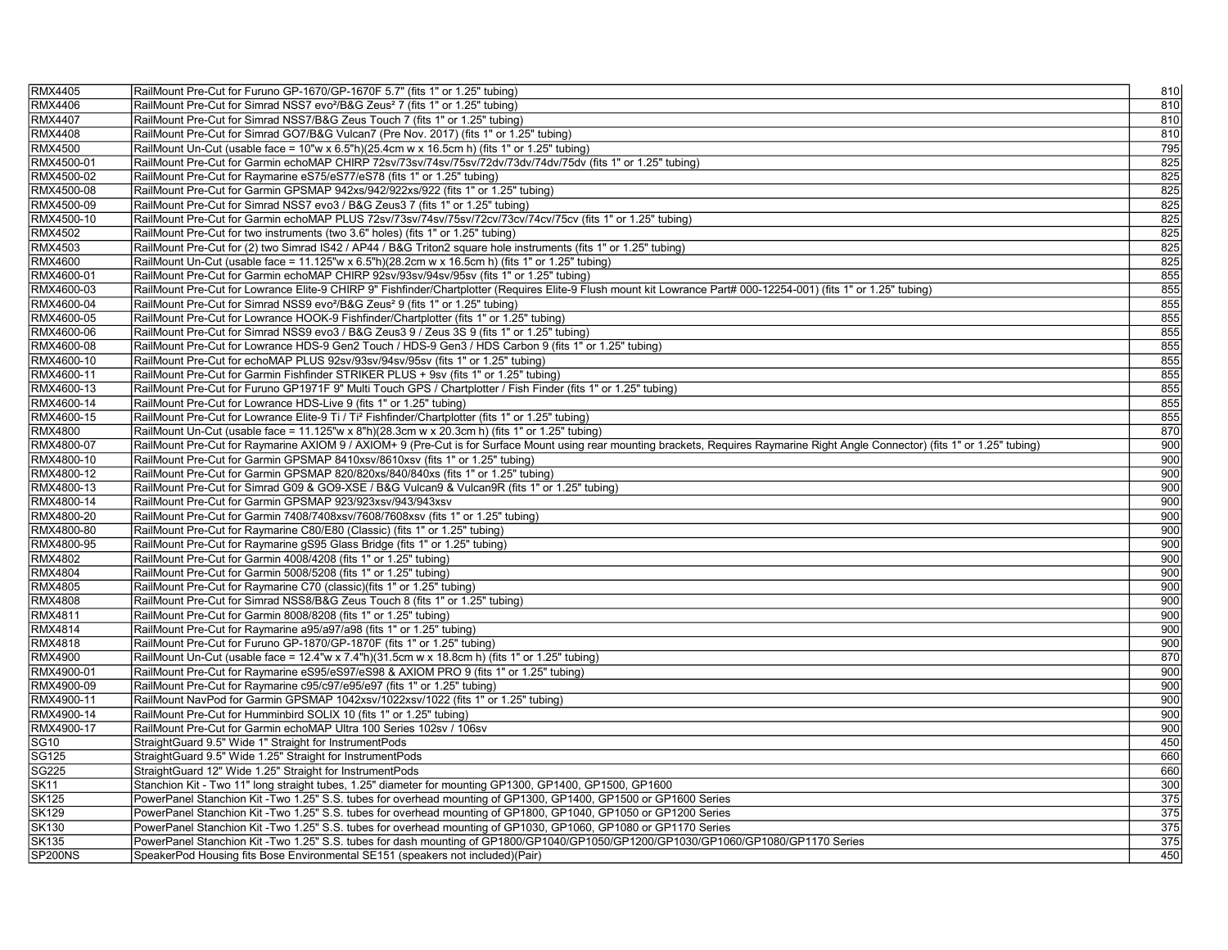| <b>RMX4405</b> | RailMount Pre-Cut for Furuno GP-1670/GP-1670F 5.7" (fits 1" or 1.25" tubing)                                                                                                       | 810              |
|----------------|------------------------------------------------------------------------------------------------------------------------------------------------------------------------------------|------------------|
| RMX4406        | RailMount Pre-Cut for Simrad NSS7 evo <sup>2</sup> /B&G Zeus <sup>2</sup> 7 (fits 1" or 1.25" tubing)                                                                              | 810              |
| <b>RMX4407</b> | RailMount Pre-Cut for Simrad NSS7/B&G Zeus Touch 7 (fits 1" or 1.25" tubing)                                                                                                       | 810              |
| <b>RMX4408</b> | RailMount Pre-Cut for Simrad GO7/B&G Vulcan7 (Pre Nov. 2017) (fits 1" or 1.25" tubing)                                                                                             | 810              |
| <b>RMX4500</b> | RailMount Un-Cut (usable face = $10''w \times 6.5''h$ )(25.4cm w x 16.5cm h) (fits 1" or 1.25" tubing)                                                                             | 795              |
| RMX4500-01     | RailMount Pre-Cut for Garmin echoMAP CHIRP 72sv/73sv/74sv/75sv/72dv/73dv/74dv/75dv (fits 1" or 1.25" tubing)                                                                       | 825              |
| RMX4500-02     | RailMount Pre-Cut for Raymarine eS75/eS77/eS78 (fits 1" or 1.25" tubing)                                                                                                           | 825              |
| RMX4500-08     | RailMount Pre-Cut for Garmin GPSMAP 942xs/942/922xs/922 (fits 1" or 1.25" tubing)                                                                                                  | 825              |
| RMX4500-09     | RailMount Pre-Cut for Simrad NSS7 evo3 / B&G Zeus3 7 (fits 1" or 1.25" tubing)                                                                                                     | 825              |
| RMX4500-10     | RailMount Pre-Cut for Garmin echoMAP PLUS 72sv/73sv/74sv/75sv/72cv/73cv/74cv/75cv (fits 1" or 1.25" tubing)                                                                        | 825              |
| <b>RMX4502</b> | RailMount Pre-Cut for two instruments (two 3.6" holes) (fits 1" or 1.25" tubing)                                                                                                   | 825              |
| <b>RMX4503</b> | RailMount Pre-Cut for (2) two Simrad IS42 / AP44 / B&G Triton2 square hole instruments (fits 1" or 1.25" tubing)                                                                   | 825              |
| <b>RMX4600</b> | RailMount Un-Cut (usable face = 11.125"w x 6.5"h)(28.2cm w x 16.5cm h) (fits 1" or 1.25" tubing)                                                                                   | 825              |
| RMX4600-01     | RailMount Pre-Cut for Garmin echoMAP CHIRP 92sv/93sv/94sv/95sv (fits 1" or 1.25" tubing)                                                                                           | 855              |
| RMX4600-03     | RailMount Pre-Cut for Lowrance Elite-9 CHIRP 9" Fishfinder/Chartplotter (Requires Elite-9 Flush mount kit Lowrance Part# 000-12254-001) (fits 1" or 1.25" tubing)                  | 855              |
| RMX4600-04     | RailMount Pre-Cut for Simrad NSS9 evo <sup>2</sup> /B&G Zeus <sup>2</sup> 9 (fits 1" or 1.25" tubing)                                                                              | 855              |
| RMX4600-05     | RailMount Pre-Cut for Lowrance HOOK-9 Fishfinder/Chartplotter (fits 1" or 1.25" tubing)                                                                                            | 855              |
| RMX4600-06     | RailMount Pre-Cut for Simrad NSS9 evo3 / B&G Zeus3 9 / Zeus 3S 9 (fits 1" or 1.25" tubing)                                                                                         | 855              |
| RMX4600-08     | RailMount Pre-Cut for Lowrance HDS-9 Gen2 Touch / HDS-9 Gen3 / HDS Carbon 9 (fits 1" or 1.25" tubing)                                                                              | 855              |
| RMX4600-10     | RailMount Pre-Cut for echoMAP PLUS 92sv/93sv/94sv/95sv (fits 1" or 1.25" tubing)                                                                                                   | 855              |
| RMX4600-11     | RailMount Pre-Cut for Garmin Fishfinder STRIKER PLUS + 9sv (fits 1" or 1.25" tubing)                                                                                               | 855              |
| RMX4600-13     | RailMount Pre-Cut for Furuno GP1971F 9" Multi Touch GPS / Chartplotter / Fish Finder (fits 1" or 1.25" tubing)                                                                     | 855              |
| RMX4600-14     | RailMount Pre-Cut for Lowrance HDS-Live 9 (fits 1" or 1.25" tubing)                                                                                                                | 855              |
| RMX4600-15     | RailMount Pre-Cut for Lowrance Elite-9 Ti / Ti <sup>2</sup> Fishfinder/Chartplotter (fits 1" or 1.25" tubing)                                                                      | 855              |
| <b>RMX4800</b> | RailMount Un-Cut (usable face = 11.125"w x 8"h)(28.3cm w x 20.3cm h) (fits 1" or 1.25" tubing)                                                                                     | 870              |
| RMX4800-07     | RailMount Pre-Cut for Raymarine AXIOM 9 / AXIOM+ 9 (Pre-Cut is for Surface Mount using rear mounting brackets, Requires Raymarine Right Angle Connector) (fits 1" or 1.25" tubing) | 900              |
| RMX4800-10     | RailMount Pre-Cut for Garmin GPSMAP 8410xsv/8610xsv (fits 1" or 1.25" tubing)                                                                                                      | 900              |
| RMX4800-12     | RailMount Pre-Cut for Garmin GPSMAP 820/820xs/840/840xs (fits 1" or 1.25" tubing)                                                                                                  | 900              |
| RMX4800-13     | RailMount Pre-Cut for Simrad G09 & GO9-XSE / B&G Vulcan9 & Vulcan9R (fits 1" or 1.25" tubing)                                                                                      | 900              |
| RMX4800-14     | RailMount Pre-Cut for Garmin GPSMAP 923/923xsv/943/943xsv                                                                                                                          | 900              |
| RMX4800-20     | RailMount Pre-Cut for Garmin 7408/7408xsv/7608/7608xsv (fits 1" or 1.25" tubing)                                                                                                   | 900              |
| RMX4800-80     | RailMount Pre-Cut for Raymarine C80/E80 (Classic) (fits 1" or 1.25" tubing)                                                                                                        | 900              |
| RMX4800-95     | RailMount Pre-Cut for Raymarine gS95 Glass Bridge (fits 1" or 1.25" tubing)                                                                                                        | 900              |
| <b>RMX4802</b> | RailMount Pre-Cut for Garmin 4008/4208 (fits 1" or 1.25" tubing)                                                                                                                   | 900              |
| <b>RMX4804</b> | RailMount Pre-Cut for Garmin 5008/5208 (fits 1" or 1.25" tubing)                                                                                                                   | 900              |
| <b>RMX4805</b> | RailMount Pre-Cut for Raymarine C70 (classic) (fits 1" or 1.25" tubing)                                                                                                            | 900              |
| <b>RMX4808</b> | RailMount Pre-Cut for Simrad NSS8/B&G Zeus Touch 8 (fits 1" or 1.25" tubing)                                                                                                       | 900              |
| RMX4811        | RailMount Pre-Cut for Garmin 8008/8208 (fits 1" or 1.25" tubing)                                                                                                                   | 900              |
| RMX4814        | RailMount Pre-Cut for Raymarine a95/a97/a98 (fits 1" or 1.25" tubing)                                                                                                              | 900              |
| RMX4818        | RailMount Pre-Cut for Furuno GP-1870/GP-1870F (fits 1" or 1.25" tubing)                                                                                                            | 900              |
| <b>RMX4900</b> | RailMount Un-Cut (usable face = 12.4"w x 7.4"h)(31.5cm w x 18.8cm h) (fits 1" or 1.25" tubing)                                                                                     | 870              |
| RMX4900-01     | RailMount Pre-Cut for Raymarine eS95/eS97/eS98 & AXIOM PRO 9 (fits 1" or 1.25" tubing)                                                                                             | 900              |
| RMX4900-09     | RailMount Pre-Cut for Raymarine c95/c97/e95/e97 (fits 1" or 1.25" tubing)                                                                                                          | 900              |
| RMX4900-11     | RailMount NavPod for Garmin GPSMAP 1042xsv/1022xsv/1022 (fits 1" or 1.25" tubing)                                                                                                  | 900              |
| RMX4900-14     | RailMount Pre-Cut for Humminbird SOLIX 10 (fits 1" or 1.25" tubing)                                                                                                                | 900              |
| RMX4900-17     | RailMount Pre-Cut for Garmin echoMAP Ultra 100 Series 102sv / 106sv                                                                                                                | 900              |
| <b>SG10</b>    | StraightGuard 9.5" Wide 1" Straight for InstrumentPods                                                                                                                             | 450              |
| <b>SG125</b>   | StraightGuard 9.5" Wide 1.25" Straight for InstrumentPods                                                                                                                          | 660              |
| <b>SG225</b>   | StraightGuard 12" Wide 1.25" Straight for InstrumentPods                                                                                                                           | 660              |
| <b>SK11</b>    | Stanchion Kit - Two 11" long straight tubes, 1.25" diameter for mounting GP1300, GP1400, GP1500, GP1600                                                                            | 300              |
| <b>SK125</b>   | PowerPanel Stanchion Kit -Two 1.25" S.S. tubes for overhead mounting of GP1300, GP1400, GP1500 or GP1600 Series                                                                    | 375              |
| <b>SK129</b>   | PowerPanel Stanchion Kit -Two 1.25" S.S. tubes for overhead mounting of GP1800, GP1040, GP1050 or GP1200 Series                                                                    | 375              |
| <b>SK130</b>   | PowerPanel Stanchion Kit -Two 1.25" S.S. tubes for overhead mounting of GP1030, GP1060, GP1080 or GP1170 Series                                                                    | 375              |
| <b>SK135</b>   | PowerPanel Stanchion Kit -Two 1.25" S.S. tubes for dash mounting of GP1800/GP1040/GP1050/GP1200/GP1030/GP1060/GP1080/GP1170 Series                                                 | $\overline{375}$ |
| SP200NS        | SpeakerPod Housing fits Bose Environmental SE151 (speakers not included)(Pair)                                                                                                     | 450              |
|                |                                                                                                                                                                                    |                  |